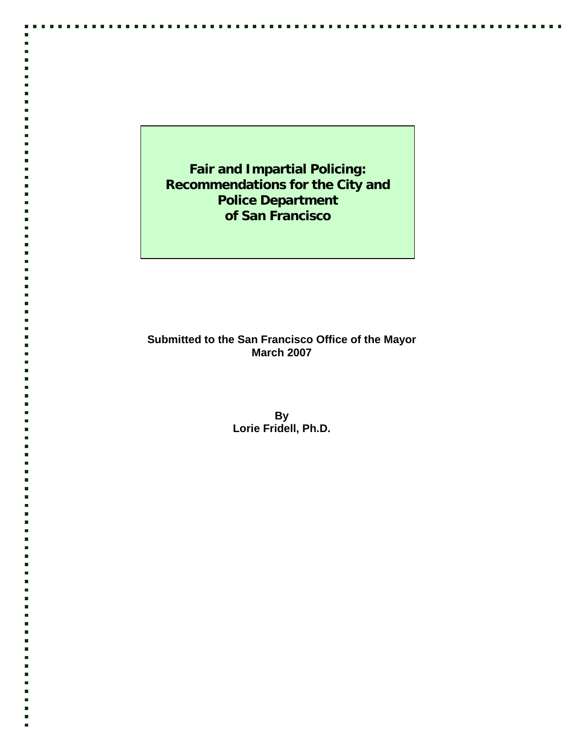**Fair and Impartial Policing: Recommendations for the City and Police Department of San Francisco** 

## **Submitted to the San Francisco Office of the Mayor March 2007**

**By Lorie Fridell, Ph.D.**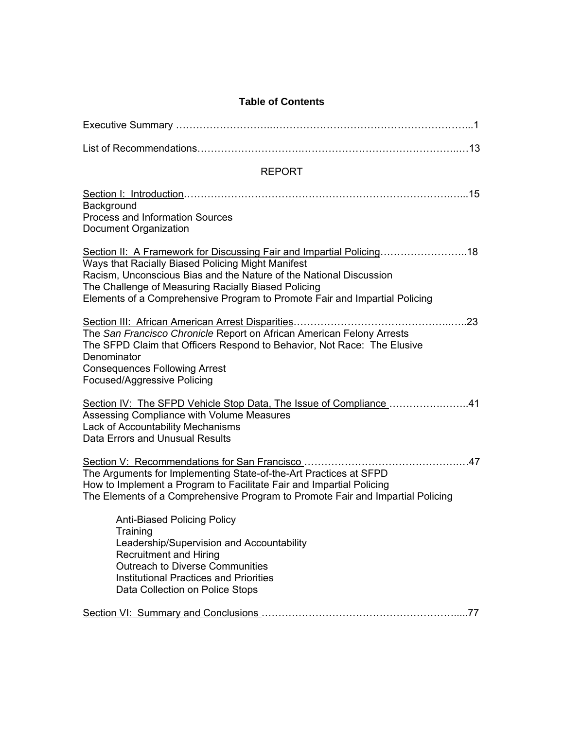## **Table of Contents**

| <b>REPORT</b>                                                                                                                                                                                                                                                                                                                        |
|--------------------------------------------------------------------------------------------------------------------------------------------------------------------------------------------------------------------------------------------------------------------------------------------------------------------------------------|
| Background<br><b>Process and Information Sources</b><br><b>Document Organization</b>                                                                                                                                                                                                                                                 |
| Section II: A Framework for Discussing Fair and Impartial Policing18<br>Ways that Racially Biased Policing Might Manifest<br>Racism, Unconscious Bias and the Nature of the National Discussion<br>The Challenge of Measuring Racially Biased Policing<br>Elements of a Comprehensive Program to Promote Fair and Impartial Policing |
| The San Francisco Chronicle Report on African American Felony Arrests<br>The SFPD Claim that Officers Respond to Behavior, Not Race: The Elusive<br>Denominator<br><b>Consequences Following Arrest</b><br><b>Focused/Aggressive Policing</b>                                                                                        |
| Section IV: The SFPD Vehicle Stop Data, The Issue of Compliance 41<br>Assessing Compliance with Volume Measures<br>Lack of Accountability Mechanisms<br>Data Errors and Unusual Results                                                                                                                                              |
| The Arguments for Implementing State-of-the-Art Practices at SFPD<br>How to Implement a Program to Facilitate Fair and Impartial Policing<br>The Elements of a Comprehensive Program to Promote Fair and Impartial Policing                                                                                                          |
| <b>Anti-Biased Policing Policy</b><br>Training<br>Leadership/Supervision and Accountability<br><b>Recruitment and Hiring</b><br><b>Outreach to Diverse Communities</b><br><b>Institutional Practices and Priorities</b><br>Data Collection on Police Stops                                                                           |
|                                                                                                                                                                                                                                                                                                                                      |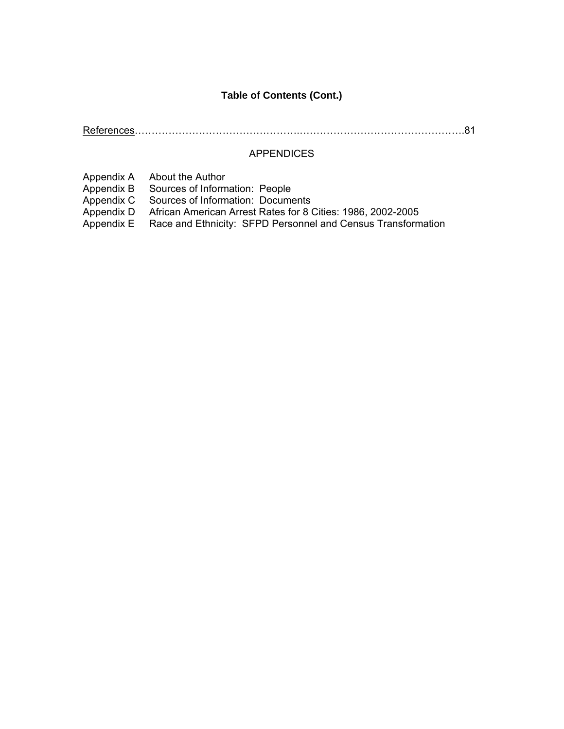# **Table of Contents (Cont.)**

References………………………………………….………………………………………….81

### APPENDICES

- Appendix B Sources of Information: People
- Appendix C Sources of Information: Documents
- Appendix D African American Arrest Rates for 8 Cities: 1986, 2002-2005
- Appendix E Race and Ethnicity: SFPD Personnel and Census Transformation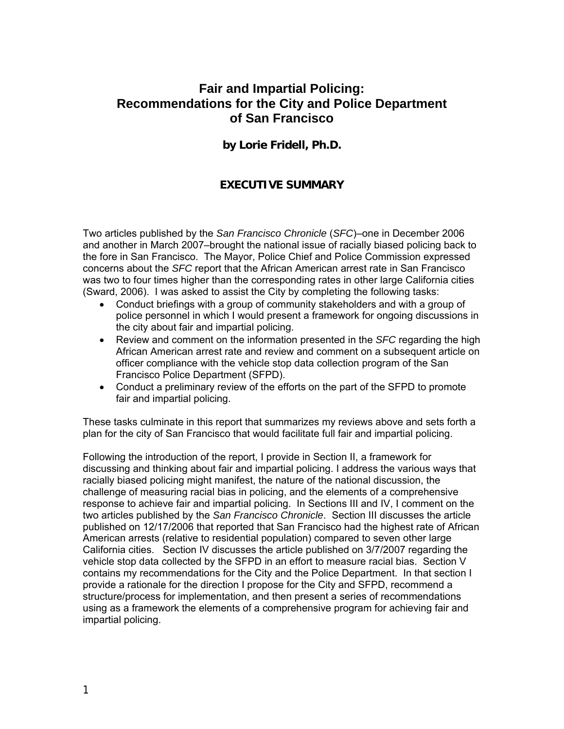# **Fair and Impartial Policing: Recommendations for the City and Police Department of San Francisco**

# **by Lorie Fridell, Ph.D.**

# **EXECUTIVE SUMMARY**

Two articles published by the *San Francisco Chronicle* (*SFC*)–one in December 2006 and another in March 2007–brought the national issue of racially biased policing back to the fore in San Francisco. The Mayor, Police Chief and Police Commission expressed concerns about the *SFC* report that the African American arrest rate in San Francisco was two to four times higher than the corresponding rates in other large California cities (Sward, 2006). I was asked to assist the City by completing the following tasks:

- Conduct briefings with a group of community stakeholders and with a group of police personnel in which I would present a framework for ongoing discussions in the city about fair and impartial policing.
- Review and comment on the information presented in the *SFC* regarding the high African American arrest rate and review and comment on a subsequent article on officer compliance with the vehicle stop data collection program of the San Francisco Police Department (SFPD).
- Conduct a preliminary review of the efforts on the part of the SFPD to promote fair and impartial policing.

These tasks culminate in this report that summarizes my reviews above and sets forth a plan for the city of San Francisco that would facilitate full fair and impartial policing.

Following the introduction of the report, I provide in Section II, a framework for discussing and thinking about fair and impartial policing. I address the various ways that racially biased policing might manifest, the nature of the national discussion, the challenge of measuring racial bias in policing, and the elements of a comprehensive response to achieve fair and impartial policing. In Sections III and IV, I comment on the two articles published by the *San Francisco Chronicle*. Section III discusses the article published on 12/17/2006 that reported that San Francisco had the highest rate of African American arrests (relative to residential population) compared to seven other large California cities. Section IV discusses the article published on 3/7/2007 regarding the vehicle stop data collected by the SFPD in an effort to measure racial bias. Section V contains my recommendations for the City and the Police Department. In that section I provide a rationale for the direction I propose for the City and SFPD, recommend a structure/process for implementation, and then present a series of recommendations using as a framework the elements of a comprehensive program for achieving fair and impartial policing.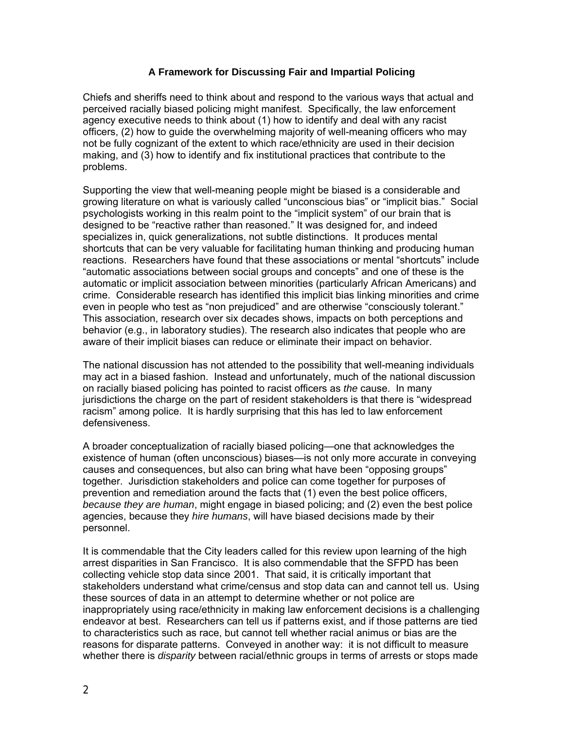#### **A Framework for Discussing Fair and Impartial Policing**

Chiefs and sheriffs need to think about and respond to the various ways that actual and perceived racially biased policing might manifest. Specifically, the law enforcement agency executive needs to think about (1) how to identify and deal with any racist officers, (2) how to guide the overwhelming majority of well-meaning officers who may not be fully cognizant of the extent to which race/ethnicity are used in their decision making, and (3) how to identify and fix institutional practices that contribute to the problems.

Supporting the view that well-meaning people might be biased is a considerable and growing literature on what is variously called "unconscious bias" or "implicit bias." Social psychologists working in this realm point to the "implicit system" of our brain that is designed to be "reactive rather than reasoned." It was designed for, and indeed specializes in, quick generalizations, not subtle distinctions. It produces mental shortcuts that can be very valuable for facilitating human thinking and producing human reactions. Researchers have found that these associations or mental "shortcuts" include "automatic associations between social groups and concepts" and one of these is the automatic or implicit association between minorities (particularly African Americans) and crime. Considerable research has identified this implicit bias linking minorities and crime even in people who test as "non prejudiced" and are otherwise "consciously tolerant." This association, research over six decades shows, impacts on both perceptions and behavior (e.g., in laboratory studies). The research also indicates that people who are aware of their implicit biases can reduce or eliminate their impact on behavior.

The national discussion has not attended to the possibility that well-meaning individuals may act in a biased fashion. Instead and unfortunately, much of the national discussion on racially biased policing has pointed to racist officers as *the* cause. In many jurisdictions the charge on the part of resident stakeholders is that there is "widespread racism" among police. It is hardly surprising that this has led to law enforcement defensiveness.

A broader conceptualization of racially biased policing—one that acknowledges the existence of human (often unconscious) biases—is not only more accurate in conveying causes and consequences, but also can bring what have been "opposing groups" together. Jurisdiction stakeholders and police can come together for purposes of prevention and remediation around the facts that (1) even the best police officers, *because they are human*, might engage in biased policing; and (2) even the best police agencies, because they *hire humans*, will have biased decisions made by their personnel.

It is commendable that the City leaders called for this review upon learning of the high arrest disparities in San Francisco. It is also commendable that the SFPD has been collecting vehicle stop data since 2001. That said, it is critically important that stakeholders understand what crime/census and stop data can and cannot tell us. Using these sources of data in an attempt to determine whether or not police are inappropriately using race/ethnicity in making law enforcement decisions is a challenging endeavor at best. Researchers can tell us if patterns exist, and if those patterns are tied to characteristics such as race, but cannot tell whether racial animus or bias are the reasons for disparate patterns. Conveyed in another way: it is not difficult to measure whether there is *disparity* between racial/ethnic groups in terms of arrests or stops made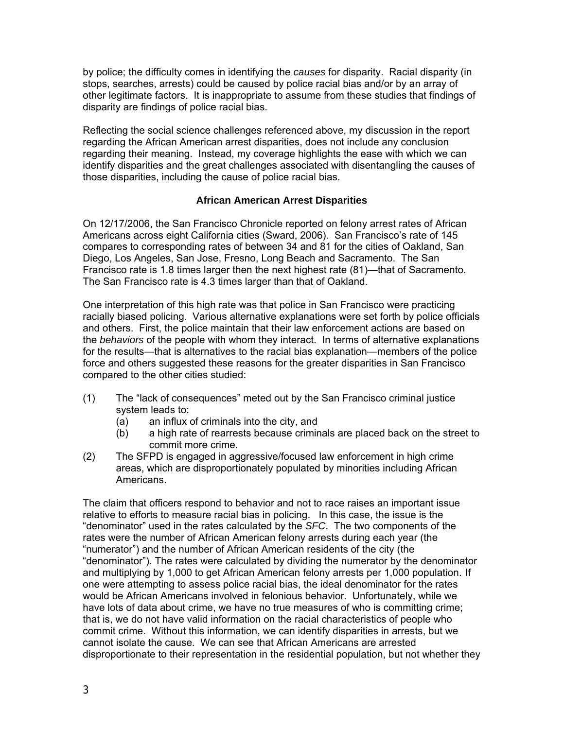by police; the difficulty comes in identifying the *causes* for disparity. Racial disparity (in stops, searches, arrests) could be caused by police racial bias and/or by an array of other legitimate factors. It is inappropriate to assume from these studies that findings of disparity are findings of police racial bias.

Reflecting the social science challenges referenced above, my discussion in the report regarding the African American arrest disparities, does not include any conclusion regarding their meaning. Instead, my coverage highlights the ease with which we can identify disparities and the great challenges associated with disentangling the causes of those disparities, including the cause of police racial bias.

## **African American Arrest Disparities**

On 12/17/2006, the San Francisco Chronicle reported on felony arrest rates of African Americans across eight California cities (Sward, 2006). San Francisco's rate of 145 compares to corresponding rates of between 34 and 81 for the cities of Oakland, San Diego, Los Angeles, San Jose, Fresno, Long Beach and Sacramento. The San Francisco rate is 1.8 times larger then the next highest rate (81)—that of Sacramento. The San Francisco rate is 4.3 times larger than that of Oakland.

One interpretation of this high rate was that police in San Francisco were practicing racially biased policing. Various alternative explanations were set forth by police officials and others. First, the police maintain that their law enforcement actions are based on the *behaviors* of the people with whom they interact. In terms of alternative explanations for the results—that is alternatives to the racial bias explanation—members of the police force and others suggested these reasons for the greater disparities in San Francisco compared to the other cities studied:

- (1) The "lack of consequences" meted out by the San Francisco criminal justice system leads to:
	- (a) an influx of criminals into the city, and
	- (b) a high rate of rearrests because criminals are placed back on the street to commit more crime.
- (2) The SFPD is engaged in aggressive/focused law enforcement in high crime areas, which are disproportionately populated by minorities including African Americans.

The claim that officers respond to behavior and not to race raises an important issue relative to efforts to measure racial bias in policing. In this case, the issue is the "denominator" used in the rates calculated by the *SFC*. The two components of the rates were the number of African American felony arrests during each year (the "numerator") and the number of African American residents of the city (the "denominator"). The rates were calculated by dividing the numerator by the denominator and multiplying by 1,000 to get African American felony arrests per 1,000 population. If one were attempting to assess police racial bias, the ideal denominator for the rates would be African Americans involved in felonious behavior. Unfortunately, while we have lots of data about crime, we have no true measures of who is committing crime; that is, we do not have valid information on the racial characteristics of people who commit crime. Without this information, we can identify disparities in arrests, but we cannot isolate the cause. We can see that African Americans are arrested disproportionate to their representation in the residential population, but not whether they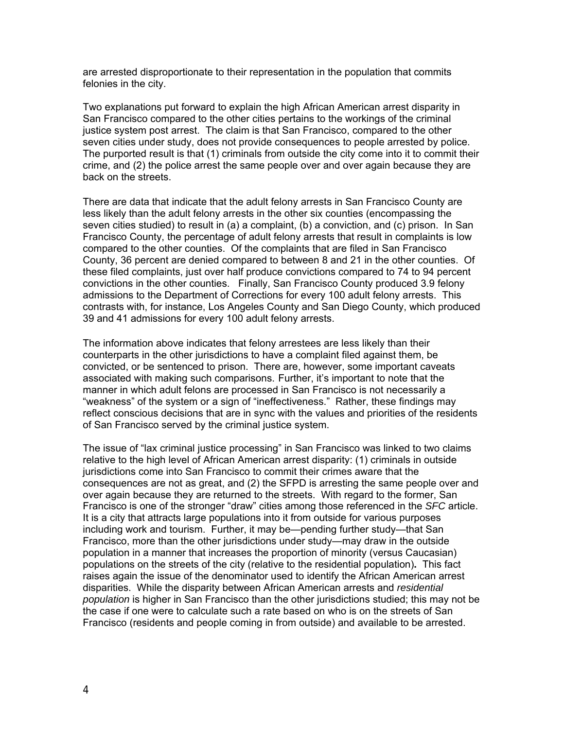are arrested disproportionate to their representation in the population that commits felonies in the city.

Two explanations put forward to explain the high African American arrest disparity in San Francisco compared to the other cities pertains to the workings of the criminal justice system post arrest. The claim is that San Francisco, compared to the other seven cities under study, does not provide consequences to people arrested by police. The purported result is that (1) criminals from outside the city come into it to commit their crime, and (2) the police arrest the same people over and over again because they are back on the streets.

There are data that indicate that the adult felony arrests in San Francisco County are less likely than the adult felony arrests in the other six counties (encompassing the seven cities studied) to result in (a) a complaint, (b) a conviction, and (c) prison. In San Francisco County, the percentage of adult felony arrests that result in complaints is low compared to the other counties. Of the complaints that are filed in San Francisco County, 36 percent are denied compared to between 8 and 21 in the other counties. Of these filed complaints, just over half produce convictions compared to 74 to 94 percent convictions in the other counties. Finally, San Francisco County produced 3.9 felony admissions to the Department of Corrections for every 100 adult felony arrests. This contrasts with, for instance, Los Angeles County and San Diego County, which produced 39 and 41 admissions for every 100 adult felony arrests.

The information above indicates that felony arrestees are less likely than their counterparts in the other jurisdictions to have a complaint filed against them, be convicted, or be sentenced to prison. There are, however, some important caveats associated with making such comparisons. Further, it's important to note that the manner in which adult felons are processed in San Francisco is not necessarily a "weakness" of the system or a sign of "ineffectiveness." Rather, these findings may reflect conscious decisions that are in sync with the values and priorities of the residents of San Francisco served by the criminal justice system.

The issue of "lax criminal justice processing" in San Francisco was linked to two claims relative to the high level of African American arrest disparity: (1) criminals in outside jurisdictions come into San Francisco to commit their crimes aware that the consequences are not as great, and (2) the SFPD is arresting the same people over and over again because they are returned to the streets. With regard to the former, San Francisco is one of the stronger "draw" cities among those referenced in the *SFC* article. It is a city that attracts large populations into it from outside for various purposes including work and tourism. Further, it may be—pending further study—that San Francisco, more than the other jurisdictions under study—may draw in the outside population in a manner that increases the proportion of minority (versus Caucasian) populations on the streets of the city (relative to the residential population)**.** This fact raises again the issue of the denominator used to identify the African American arrest disparities. While the disparity between African American arrests and *residential population* is higher in San Francisco than the other jurisdictions studied; this may not be the case if one were to calculate such a rate based on who is on the streets of San Francisco (residents and people coming in from outside) and available to be arrested.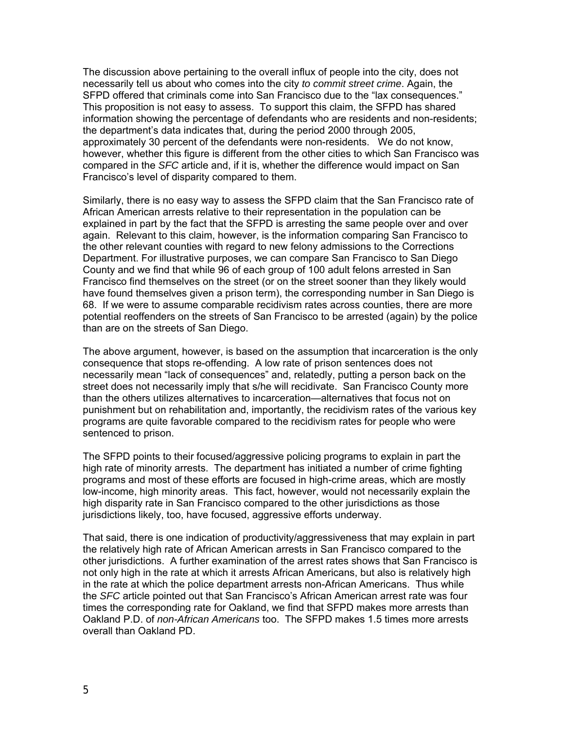The discussion above pertaining to the overall influx of people into the city, does not necessarily tell us about who comes into the city *to commit street crime*. Again, the SFPD offered that criminals come into San Francisco due to the "lax consequences." This proposition is not easy to assess. To support this claim, the SFPD has shared information showing the percentage of defendants who are residents and non-residents; the department's data indicates that, during the period 2000 through 2005, approximately 30 percent of the defendants were non-residents. We do not know, however, whether this figure is different from the other cities to which San Francisco was compared in the *SFC* article and, if it is, whether the difference would impact on San Francisco's level of disparity compared to them.

Similarly, there is no easy way to assess the SFPD claim that the San Francisco rate of African American arrests relative to their representation in the population can be explained in part by the fact that the SFPD is arresting the same people over and over again. Relevant to this claim, however, is the information comparing San Francisco to the other relevant counties with regard to new felony admissions to the Corrections Department. For illustrative purposes, we can compare San Francisco to San Diego County and we find that while 96 of each group of 100 adult felons arrested in San Francisco find themselves on the street (or on the street sooner than they likely would have found themselves given a prison term), the corresponding number in San Diego is 68. If we were to assume comparable recidivism rates across counties, there are more potential reoffenders on the streets of San Francisco to be arrested (again) by the police than are on the streets of San Diego.

The above argument, however, is based on the assumption that incarceration is the only consequence that stops re-offending. A low rate of prison sentences does not necessarily mean "lack of consequences" and, relatedly, putting a person back on the street does not necessarily imply that s/he will recidivate. San Francisco County more than the others utilizes alternatives to incarceration—alternatives that focus not on punishment but on rehabilitation and, importantly, the recidivism rates of the various key programs are quite favorable compared to the recidivism rates for people who were sentenced to prison.

The SFPD points to their focused/aggressive policing programs to explain in part the high rate of minority arrests. The department has initiated a number of crime fighting programs and most of these efforts are focused in high-crime areas, which are mostly low-income, high minority areas. This fact, however, would not necessarily explain the high disparity rate in San Francisco compared to the other jurisdictions as those jurisdictions likely, too, have focused, aggressive efforts underway.

That said, there is one indication of productivity/aggressiveness that may explain in part the relatively high rate of African American arrests in San Francisco compared to the other jurisdictions. A further examination of the arrest rates shows that San Francisco is not only high in the rate at which it arrests African Americans, but also is relatively high in the rate at which the police department arrests non-African Americans. Thus while the *SFC* article pointed out that San Francisco's African American arrest rate was four times the corresponding rate for Oakland, we find that SFPD makes more arrests than Oakland P.D. of *non-African Americans* too. The SFPD makes 1.5 times more arrests overall than Oakland PD.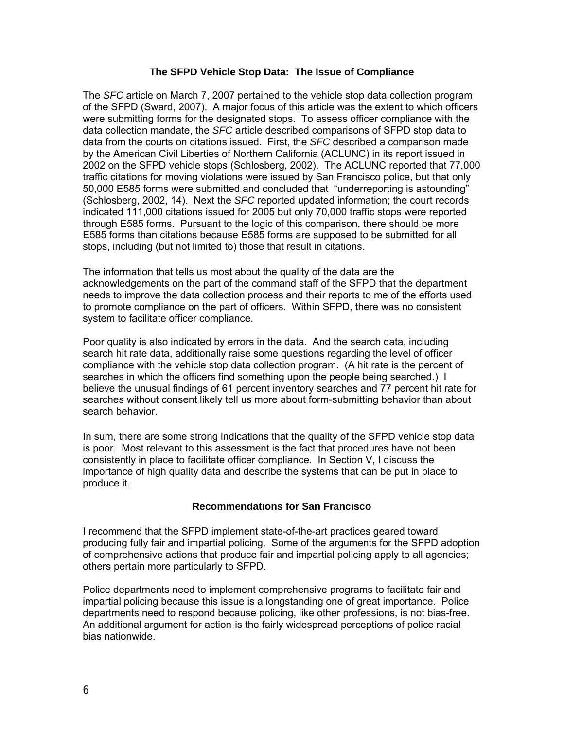#### **The SFPD Vehicle Stop Data: The Issue of Compliance**

The *SFC* article on March 7, 2007 pertained to the vehicle stop data collection program of the SFPD (Sward, 2007). A major focus of this article was the extent to which officers were submitting forms for the designated stops. To assess officer compliance with the data collection mandate, the *SFC* article described comparisons of SFPD stop data to data from the courts on citations issued. First, the *SFC* described a comparison made by the American Civil Liberties of Northern California (ACLUNC) in its report issued in 2002 on the SFPD vehicle stops (Schlosberg, 2002). The ACLUNC reported that 77,000 traffic citations for moving violations were issued by San Francisco police, but that only 50,000 E585 forms were submitted and concluded that "underreporting is astounding" (Schlosberg, 2002, 14). Next the *SFC* reported updated information; the court records indicated 111,000 citations issued for 2005 but only 70,000 traffic stops were reported through E585 forms. Pursuant to the logic of this comparison, there should be more E585 forms than citations because E585 forms are supposed to be submitted for all stops, including (but not limited to) those that result in citations.

The information that tells us most about the quality of the data are the acknowledgements on the part of the command staff of the SFPD that the department needs to improve the data collection process and their reports to me of the efforts used to promote compliance on the part of officers. Within SFPD, there was no consistent system to facilitate officer compliance.

Poor quality is also indicated by errors in the data. And the search data, including search hit rate data, additionally raise some questions regarding the level of officer compliance with the vehicle stop data collection program. (A hit rate is the percent of searches in which the officers find something upon the people being searched.) I believe the unusual findings of 61 percent inventory searches and 77 percent hit rate for searches without consent likely tell us more about form-submitting behavior than about search behavior.

In sum, there are some strong indications that the quality of the SFPD vehicle stop data is poor. Most relevant to this assessment is the fact that procedures have not been consistently in place to facilitate officer compliance. In Section V, I discuss the importance of high quality data and describe the systems that can be put in place to produce it.

## **Recommendations for San Francisco**

I recommend that the SFPD implement state-of-the-art practices geared toward producing fully fair and impartial policing. Some of the arguments for the SFPD adoption of comprehensive actions that produce fair and impartial policing apply to all agencies; others pertain more particularly to SFPD.

Police departments need to implement comprehensive programs to facilitate fair and impartial policing because this issue is a longstanding one of great importance. Police departments need to respond because policing, like other professions, is not bias-free. An additional argument for action is the fairly widespread perceptions of police racial bias nationwide.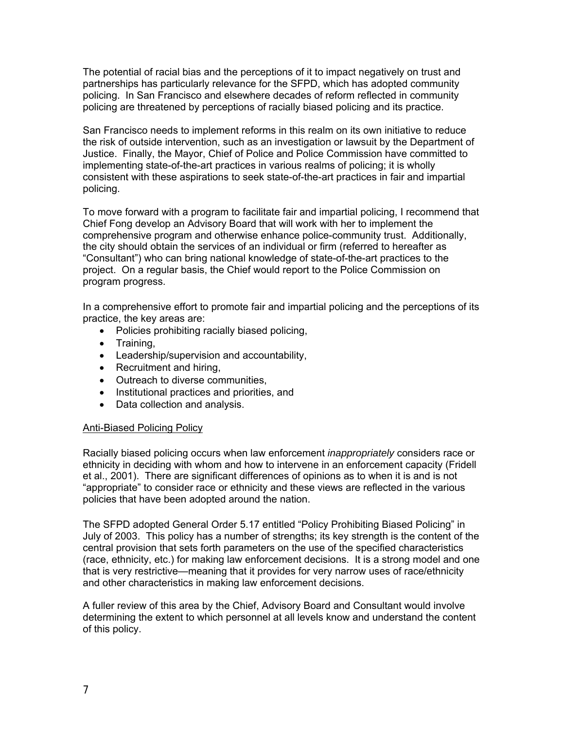The potential of racial bias and the perceptions of it to impact negatively on trust and partnerships has particularly relevance for the SFPD, which has adopted community policing. In San Francisco and elsewhere decades of reform reflected in community policing are threatened by perceptions of racially biased policing and its practice.

San Francisco needs to implement reforms in this realm on its own initiative to reduce the risk of outside intervention, such as an investigation or lawsuit by the Department of Justice. Finally, the Mayor, Chief of Police and Police Commission have committed to implementing state-of-the-art practices in various realms of policing; it is wholly consistent with these aspirations to seek state-of-the-art practices in fair and impartial policing.

To move forward with a program to facilitate fair and impartial policing, I recommend that Chief Fong develop an Advisory Board that will work with her to implement the comprehensive program and otherwise enhance police-community trust. Additionally, the city should obtain the services of an individual or firm (referred to hereafter as "Consultant") who can bring national knowledge of state-of-the-art practices to the project. On a regular basis, the Chief would report to the Police Commission on program progress.

In a comprehensive effort to promote fair and impartial policing and the perceptions of its practice, the key areas are:

- Policies prohibiting racially biased policing,
- Training,
- Leadership/supervision and accountability,
- Recruitment and hiring,
- Outreach to diverse communities,
- Institutional practices and priorities, and
- Data collection and analysis.

## Anti-Biased Policing Policy

Racially biased policing occurs when law enforcement *inappropriately* considers race or ethnicity in deciding with whom and how to intervene in an enforcement capacity (Fridell et al., 2001). There are significant differences of opinions as to when it is and is not "appropriate" to consider race or ethnicity and these views are reflected in the various policies that have been adopted around the nation.

The SFPD adopted General Order 5.17 entitled "Policy Prohibiting Biased Policing" in July of 2003. This policy has a number of strengths; its key strength is the content of the central provision that sets forth parameters on the use of the specified characteristics (race, ethnicity, etc.) for making law enforcement decisions. It is a strong model and one that is very restrictive—meaning that it provides for very narrow uses of race/ethnicity and other characteristics in making law enforcement decisions.

A fuller review of this area by the Chief, Advisory Board and Consultant would involve determining the extent to which personnel at all levels know and understand the content of this policy.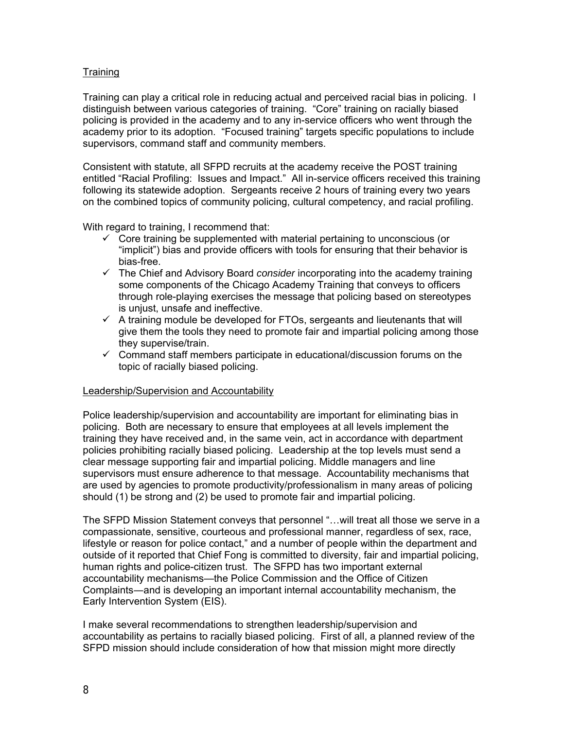## **Training**

Training can play a critical role in reducing actual and perceived racial bias in policing. I distinguish between various categories of training. "Core" training on racially biased policing is provided in the academy and to any in-service officers who went through the academy prior to its adoption. "Focused training" targets specific populations to include supervisors, command staff and community members.

Consistent with statute, all SFPD recruits at the academy receive the POST training entitled "Racial Profiling: Issues and Impact." All in-service officers received this training following its statewide adoption. Sergeants receive 2 hours of training every two years on the combined topics of community policing, cultural competency, and racial profiling.

With regard to training, I recommend that:

- $\checkmark$  Core training be supplemented with material pertaining to unconscious (or "implicit") bias and provide officers with tools for ensuring that their behavior is bias-free.
- 9 The Chief and Advisory Board *consider* incorporating into the academy training some components of the Chicago Academy Training that conveys to officers through role-playing exercises the message that policing based on stereotypes is unjust, unsafe and ineffective.
- $\checkmark$  A training module be developed for FTOs, sergeants and lieutenants that will give them the tools they need to promote fair and impartial policing among those they supervise/train.
- $\checkmark$  Command staff members participate in educational/discussion forums on the topic of racially biased policing.

## Leadership/Supervision and Accountability

Police leadership/supervision and accountability are important for eliminating bias in policing. Both are necessary to ensure that employees at all levels implement the training they have received and, in the same vein, act in accordance with department policies prohibiting racially biased policing. Leadership at the top levels must send a clear message supporting fair and impartial policing. Middle managers and line supervisors must ensure adherence to that message. Accountability mechanisms that are used by agencies to promote productivity/professionalism in many areas of policing should (1) be strong and (2) be used to promote fair and impartial policing.

The SFPD Mission Statement conveys that personnel "…will treat all those we serve in a compassionate, sensitive, courteous and professional manner, regardless of sex, race, lifestyle or reason for police contact," and a number of people within the department and outside of it reported that Chief Fong is committed to diversity, fair and impartial policing, human rights and police-citizen trust. The SFPD has two important external accountability mechanisms—the Police Commission and the Office of Citizen Complaints―and is developing an important internal accountability mechanism, the Early Intervention System (EIS).

I make several recommendations to strengthen leadership/supervision and accountability as pertains to racially biased policing. First of all, a planned review of the SFPD mission should include consideration of how that mission might more directly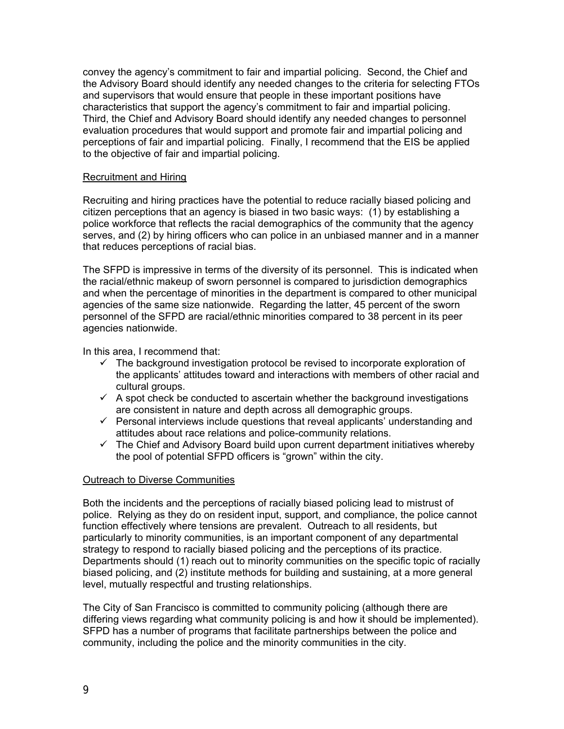convey the agency's commitment to fair and impartial policing. Second, the Chief and the Advisory Board should identify any needed changes to the criteria for selecting FTOs and supervisors that would ensure that people in these important positions have characteristics that support the agency's commitment to fair and impartial policing. Third, the Chief and Advisory Board should identify any needed changes to personnel evaluation procedures that would support and promote fair and impartial policing and perceptions of fair and impartial policing. Finally, I recommend that the EIS be applied to the objective of fair and impartial policing.

#### Recruitment and Hiring

Recruiting and hiring practices have the potential to reduce racially biased policing and citizen perceptions that an agency is biased in two basic ways: (1) by establishing a police workforce that reflects the racial demographics of the community that the agency serves, and (2) by hiring officers who can police in an unbiased manner and in a manner that reduces perceptions of racial bias.

The SFPD is impressive in terms of the diversity of its personnel. This is indicated when the racial/ethnic makeup of sworn personnel is compared to jurisdiction demographics and when the percentage of minorities in the department is compared to other municipal agencies of the same size nationwide. Regarding the latter, 45 percent of the sworn personnel of the SFPD are racial/ethnic minorities compared to 38 percent in its peer agencies nationwide.

In this area, I recommend that:

- $\checkmark$  The background investigation protocol be revised to incorporate exploration of the applicants' attitudes toward and interactions with members of other racial and cultural groups.
- $\checkmark$  A spot check be conducted to ascertain whether the background investigations are consistent in nature and depth across all demographic groups.
- $\checkmark$  Personal interviews include questions that reveal applicants' understanding and attitudes about race relations and police-community relations.
- $\checkmark$  The Chief and Advisory Board build upon current department initiatives whereby the pool of potential SFPD officers is "grown" within the city.

## Outreach to Diverse Communities

Both the incidents and the perceptions of racially biased policing lead to mistrust of police. Relying as they do on resident input, support, and compliance, the police cannot function effectively where tensions are prevalent. Outreach to all residents, but particularly to minority communities, is an important component of any departmental strategy to respond to racially biased policing and the perceptions of its practice. Departments should (1) reach out to minority communities on the specific topic of racially biased policing, and (2) institute methods for building and sustaining, at a more general level, mutually respectful and trusting relationships.

The City of San Francisco is committed to community policing (although there are differing views regarding what community policing is and how it should be implemented). SFPD has a number of programs that facilitate partnerships between the police and community, including the police and the minority communities in the city.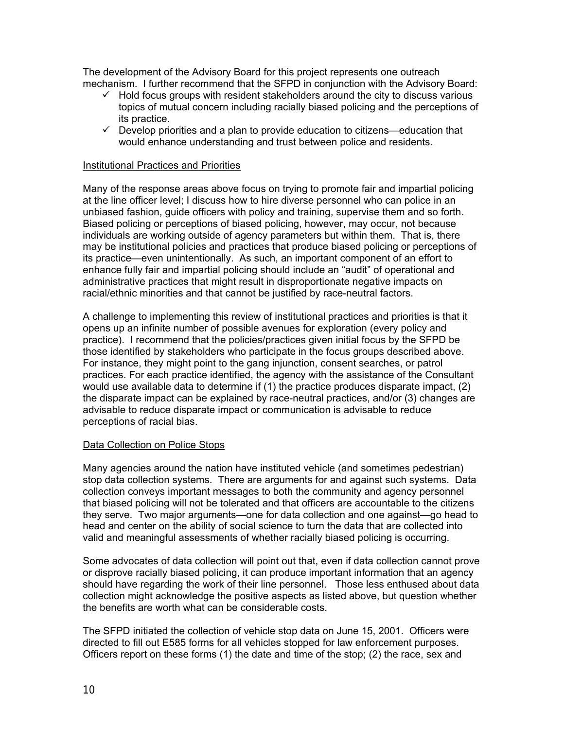The development of the Advisory Board for this project represents one outreach mechanism. I further recommend that the SFPD in conjunction with the Advisory Board:

- $\checkmark$  Hold focus groups with resident stakeholders around the city to discuss various topics of mutual concern including racially biased policing and the perceptions of its practice.
- $\checkmark$  Develop priorities and a plan to provide education to citizens—education that would enhance understanding and trust between police and residents.

#### Institutional Practices and Priorities

Many of the response areas above focus on trying to promote fair and impartial policing at the line officer level; I discuss how to hire diverse personnel who can police in an unbiased fashion, guide officers with policy and training, supervise them and so forth. Biased policing or perceptions of biased policing, however, may occur, not because individuals are working outside of agency parameters but within them. That is, there may be institutional policies and practices that produce biased policing or perceptions of its practice—even unintentionally. As such, an important component of an effort to enhance fully fair and impartial policing should include an "audit" of operational and administrative practices that might result in disproportionate negative impacts on racial/ethnic minorities and that cannot be justified by race-neutral factors.

A challenge to implementing this review of institutional practices and priorities is that it opens up an infinite number of possible avenues for exploration (every policy and practice). I recommend that the policies/practices given initial focus by the SFPD be those identified by stakeholders who participate in the focus groups described above. For instance, they might point to the gang injunction, consent searches, or patrol practices. For each practice identified, the agency with the assistance of the Consultant would use available data to determine if (1) the practice produces disparate impact, (2) the disparate impact can be explained by race-neutral practices, and/or (3) changes are advisable to reduce disparate impact or communication is advisable to reduce perceptions of racial bias.

#### Data Collection on Police Stops

Many agencies around the nation have instituted vehicle (and sometimes pedestrian) stop data collection systems. There are arguments for and against such systems. Data collection conveys important messages to both the community and agency personnel that biased policing will not be tolerated and that officers are accountable to the citizens they serve. Two major arguments—one for data collection and one against—go head to head and center on the ability of social science to turn the data that are collected into valid and meaningful assessments of whether racially biased policing is occurring.

Some advocates of data collection will point out that, even if data collection cannot prove or disprove racially biased policing, it can produce important information that an agency should have regarding the work of their line personnel. Those less enthused about data collection might acknowledge the positive aspects as listed above, but question whether the benefits are worth what can be considerable costs.

The SFPD initiated the collection of vehicle stop data on June 15, 2001. Officers were directed to fill out E585 forms for all vehicles stopped for law enforcement purposes. Officers report on these forms (1) the date and time of the stop; (2) the race, sex and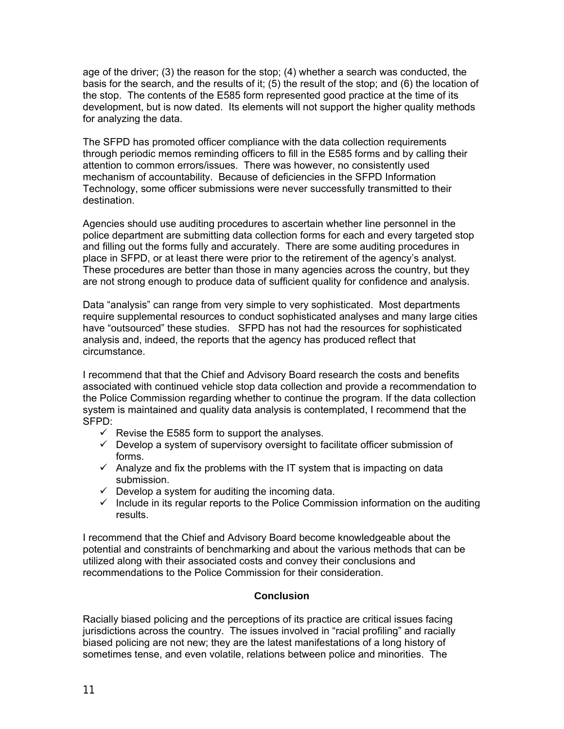age of the driver; (3) the reason for the stop; (4) whether a search was conducted, the basis for the search, and the results of it; (5) the result of the stop; and (6) the location of the stop. The contents of the E585 form represented good practice at the time of its development, but is now dated. Its elements will not support the higher quality methods for analyzing the data.

The SFPD has promoted officer compliance with the data collection requirements through periodic memos reminding officers to fill in the E585 forms and by calling their attention to common errors/issues. There was however, no consistently used mechanism of accountability. Because of deficiencies in the SFPD Information Technology, some officer submissions were never successfully transmitted to their destination.

Agencies should use auditing procedures to ascertain whether line personnel in the police department are submitting data collection forms for each and every targeted stop and filling out the forms fully and accurately. There are some auditing procedures in place in SFPD, or at least there were prior to the retirement of the agency's analyst. These procedures are better than those in many agencies across the country, but they are not strong enough to produce data of sufficient quality for confidence and analysis.

Data "analysis" can range from very simple to very sophisticated. Most departments require supplemental resources to conduct sophisticated analyses and many large cities have "outsourced" these studies. SFPD has not had the resources for sophisticated analysis and, indeed, the reports that the agency has produced reflect that circumstance.

I recommend that that the Chief and Advisory Board research the costs and benefits associated with continued vehicle stop data collection and provide a recommendation to the Police Commission regarding whether to continue the program. If the data collection system is maintained and quality data analysis is contemplated, I recommend that the SFPD:

- $\checkmark$  Revise the E585 form to support the analyses.
- $\checkmark$  Develop a system of supervisory oversight to facilitate officer submission of forms.
- $\checkmark$  Analyze and fix the problems with the IT system that is impacting on data submission.
- $\checkmark$  Develop a system for auditing the incoming data.
- $\checkmark$  Include in its regular reports to the Police Commission information on the auditing results.

I recommend that the Chief and Advisory Board become knowledgeable about the potential and constraints of benchmarking and about the various methods that can be utilized along with their associated costs and convey their conclusions and recommendations to the Police Commission for their consideration.

## **Conclusion**

Racially biased policing and the perceptions of its practice are critical issues facing jurisdictions across the country. The issues involved in "racial profiling" and racially biased policing are not new; they are the latest manifestations of a long history of sometimes tense, and even volatile, relations between police and minorities. The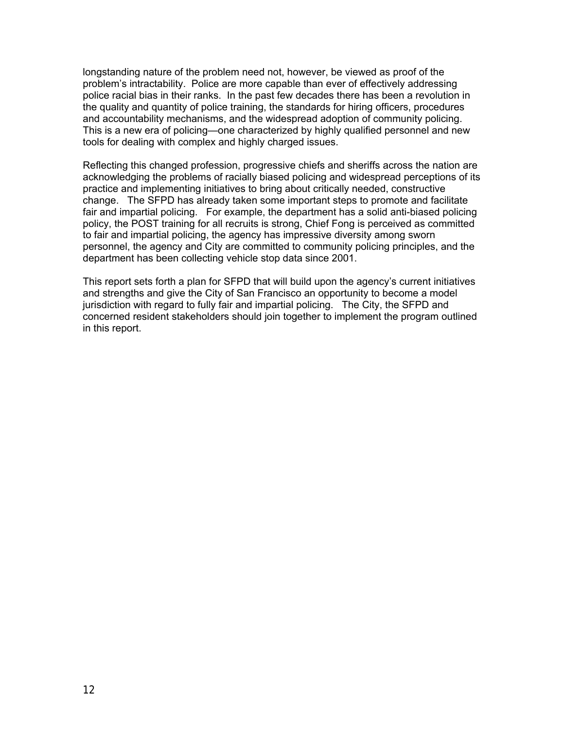longstanding nature of the problem need not, however, be viewed as proof of the problem's intractability. Police are more capable than ever of effectively addressing police racial bias in their ranks. In the past few decades there has been a revolution in the quality and quantity of police training, the standards for hiring officers, procedures and accountability mechanisms, and the widespread adoption of community policing. This is a new era of policing—one characterized by highly qualified personnel and new tools for dealing with complex and highly charged issues.

Reflecting this changed profession, progressive chiefs and sheriffs across the nation are acknowledging the problems of racially biased policing and widespread perceptions of its practice and implementing initiatives to bring about critically needed, constructive change. The SFPD has already taken some important steps to promote and facilitate fair and impartial policing. For example, the department has a solid anti-biased policing policy, the POST training for all recruits is strong, Chief Fong is perceived as committed to fair and impartial policing, the agency has impressive diversity among sworn personnel, the agency and City are committed to community policing principles, and the department has been collecting vehicle stop data since 2001.

This report sets forth a plan for SFPD that will build upon the agency's current initiatives and strengths and give the City of San Francisco an opportunity to become a model jurisdiction with regard to fully fair and impartial policing. The City, the SFPD and concerned resident stakeholders should join together to implement the program outlined in this report.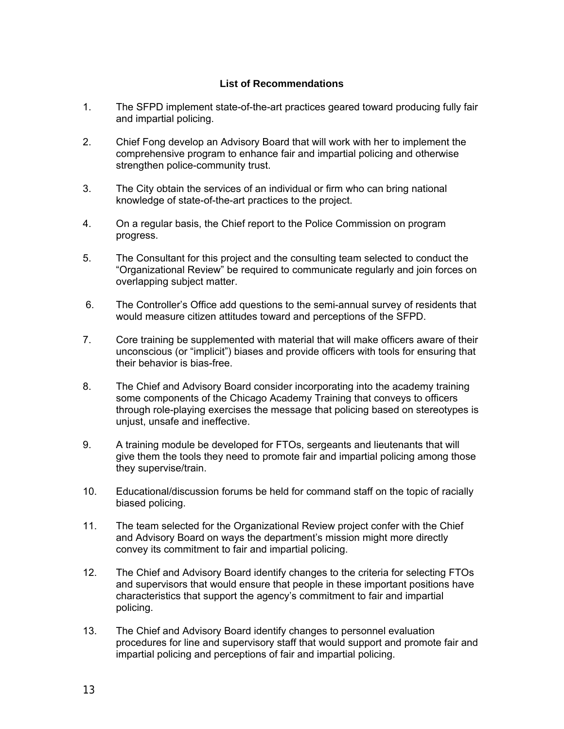## **List of Recommendations**

- 1. The SFPD implement state-of-the-art practices geared toward producing fully fair and impartial policing.
- 2. Chief Fong develop an Advisory Board that will work with her to implement the comprehensive program to enhance fair and impartial policing and otherwise strengthen police-community trust.
- 3. The City obtain the services of an individual or firm who can bring national knowledge of state-of-the-art practices to the project.
- 4. On a regular basis, the Chief report to the Police Commission on program progress.
- 5. The Consultant for this project and the consulting team selected to conduct the "Organizational Review" be required to communicate regularly and join forces on overlapping subject matter.
- 6. The Controller's Office add questions to the semi-annual survey of residents that would measure citizen attitudes toward and perceptions of the SFPD.
- 7. Core training be supplemented with material that will make officers aware of their unconscious (or "implicit") biases and provide officers with tools for ensuring that their behavior is bias-free.
- 8. The Chief and Advisory Board consider incorporating into the academy training some components of the Chicago Academy Training that conveys to officers through role-playing exercises the message that policing based on stereotypes is unjust, unsafe and ineffective.
- 9. A training module be developed for FTOs, sergeants and lieutenants that will give them the tools they need to promote fair and impartial policing among those they supervise/train.
- 10. Educational/discussion forums be held for command staff on the topic of racially biased policing.
- 11. The team selected for the Organizational Review project confer with the Chief and Advisory Board on ways the department's mission might more directly convey its commitment to fair and impartial policing.
- 12. The Chief and Advisory Board identify changes to the criteria for selecting FTOs and supervisors that would ensure that people in these important positions have characteristics that support the agency's commitment to fair and impartial policing.
- 13. The Chief and Advisory Board identify changes to personnel evaluation procedures for line and supervisory staff that would support and promote fair and impartial policing and perceptions of fair and impartial policing.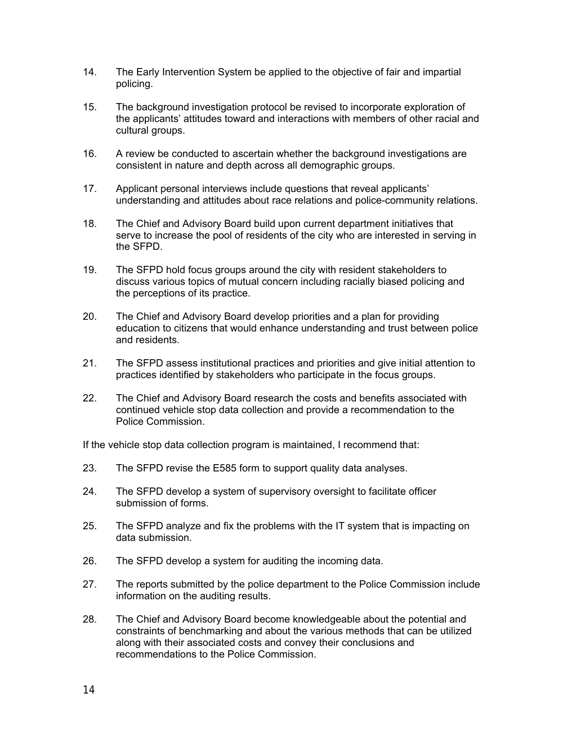- 14. The Early Intervention System be applied to the objective of fair and impartial policing.
- 15. The background investigation protocol be revised to incorporate exploration of the applicants' attitudes toward and interactions with members of other racial and cultural groups.
- 16. A review be conducted to ascertain whether the background investigations are consistent in nature and depth across all demographic groups.
- 17. Applicant personal interviews include questions that reveal applicants' understanding and attitudes about race relations and police-community relations.
- 18. The Chief and Advisory Board build upon current department initiatives that serve to increase the pool of residents of the city who are interested in serving in the SFPD.
- 19. The SFPD hold focus groups around the city with resident stakeholders to discuss various topics of mutual concern including racially biased policing and the perceptions of its practice.
- 20. The Chief and Advisory Board develop priorities and a plan for providing education to citizens that would enhance understanding and trust between police and residents.
- 21. The SFPD assess institutional practices and priorities and give initial attention to practices identified by stakeholders who participate in the focus groups.
- 22. The Chief and Advisory Board research the costs and benefits associated with continued vehicle stop data collection and provide a recommendation to the Police Commission.

If the vehicle stop data collection program is maintained, I recommend that:

- 23. The SFPD revise the E585 form to support quality data analyses.
- 24. The SFPD develop a system of supervisory oversight to facilitate officer submission of forms.
- 25. The SFPD analyze and fix the problems with the IT system that is impacting on data submission.
- 26. The SFPD develop a system for auditing the incoming data.
- 27. The reports submitted by the police department to the Police Commission include information on the auditing results.
- 28. The Chief and Advisory Board become knowledgeable about the potential and constraints of benchmarking and about the various methods that can be utilized along with their associated costs and convey their conclusions and recommendations to the Police Commission.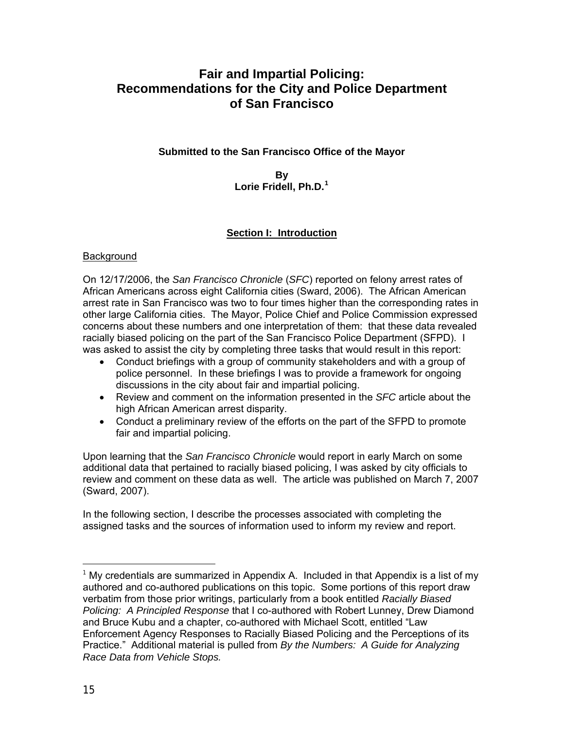# **Fair and Impartial Policing: Recommendations for the City and Police Department of San Francisco**

## **Submitted to the San Francisco Office of the Mayor**

**By Lorie Fridell, Ph.D.[1](#page-17-0)**

# **Section I: Introduction**

## **Background**

On 12/17/2006, the *San Francisco Chronicle* (*SFC*) reported on felony arrest rates of African Americans across eight California cities (Sward, 2006). The African American arrest rate in San Francisco was two to four times higher than the corresponding rates in other large California cities. The Mayor, Police Chief and Police Commission expressed concerns about these numbers and one interpretation of them: that these data revealed racially biased policing on the part of the San Francisco Police Department (SFPD). I was asked to assist the city by completing three tasks that would result in this report:

- Conduct briefings with a group of community stakeholders and with a group of police personnel. In these briefings I was to provide a framework for ongoing discussions in the city about fair and impartial policing.
- Review and comment on the information presented in the *SFC* article about the high African American arrest disparity.
- Conduct a preliminary review of the efforts on the part of the SFPD to promote fair and impartial policing.

Upon learning that the *San Francisco Chronicle* would report in early March on some additional data that pertained to racially biased policing, I was asked by city officials to review and comment on these data as well. The article was published on March 7, 2007 (Sward, 2007).

In the following section, I describe the processes associated with completing the assigned tasks and the sources of information used to inform my review and report.

<span id="page-17-0"></span> $<sup>1</sup>$  My credentials are summarized in Appendix A. Included in that Appendix is a list of my</sup> authored and co-authored publications on this topic. Some portions of this report draw verbatim from those prior writings, particularly from a book entitled *Racially Biased Policing: A Principled Response* that I co-authored with Robert Lunney, Drew Diamond and Bruce Kubu and a chapter, co-authored with Michael Scott, entitled "Law Enforcement Agency Responses to Racially Biased Policing and the Perceptions of its Practice." Additional material is pulled from *By the Numbers: A Guide for Analyzing Race Data from Vehicle Stops.*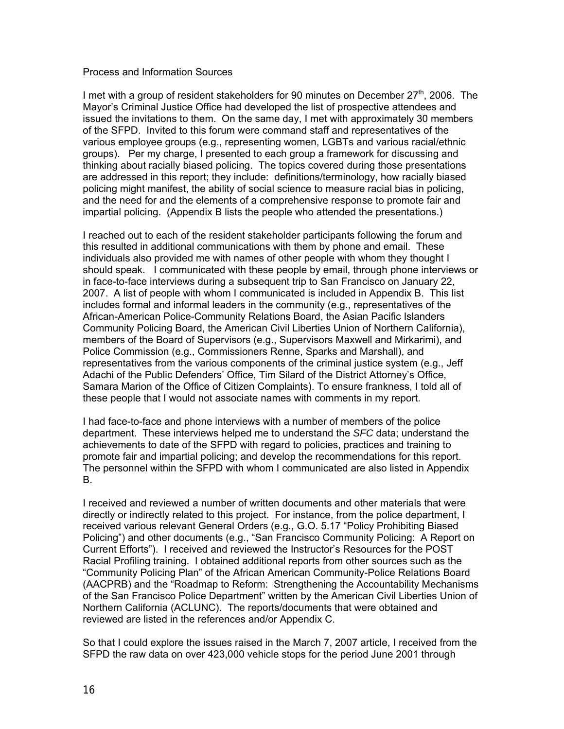#### Process and Information Sources

I met with a group of resident stakeholders for 90 minutes on December  $27<sup>th</sup>$ , 2006. The Mayor's Criminal Justice Office had developed the list of prospective attendees and issued the invitations to them. On the same day, I met with approximately 30 members of the SFPD. Invited to this forum were command staff and representatives of the various employee groups (e.g., representing women, LGBTs and various racial/ethnic groups). Per my charge, I presented to each group a framework for discussing and thinking about racially biased policing. The topics covered during those presentations are addressed in this report; they include: definitions/terminology, how racially biased policing might manifest, the ability of social science to measure racial bias in policing, and the need for and the elements of a comprehensive response to promote fair and impartial policing. (Appendix B lists the people who attended the presentations.)

I reached out to each of the resident stakeholder participants following the forum and this resulted in additional communications with them by phone and email. These individuals also provided me with names of other people with whom they thought I should speak. I communicated with these people by email, through phone interviews or in face-to-face interviews during a subsequent trip to San Francisco on January 22, 2007. A list of people with whom I communicated is included in Appendix B. This list includes formal and informal leaders in the community (e.g., representatives of the African-American Police-Community Relations Board, the Asian Pacific Islanders Community Policing Board, the American Civil Liberties Union of Northern California), members of the Board of Supervisors (e.g., Supervisors Maxwell and Mirkarimi), and Police Commission (e.g., Commissioners Renne, Sparks and Marshall), and representatives from the various components of the criminal justice system (e.g., Jeff Adachi of the Public Defenders' Office, Tim Silard of the District Attorney's Office, Samara Marion of the Office of Citizen Complaints). To ensure frankness, I told all of these people that I would not associate names with comments in my report.

I had face-to-face and phone interviews with a number of members of the police department. These interviews helped me to understand the *SFC* data; understand the achievements to date of the SFPD with regard to policies, practices and training to promote fair and impartial policing; and develop the recommendations for this report. The personnel within the SFPD with whom I communicated are also listed in Appendix B.

I received and reviewed a number of written documents and other materials that were directly or indirectly related to this project. For instance, from the police department, I received various relevant General Orders (e.g., G.O. 5.17 "Policy Prohibiting Biased Policing") and other documents (e.g., "San Francisco Community Policing: A Report on Current Efforts"). I received and reviewed the Instructor's Resources for the POST Racial Profiling training. I obtained additional reports from other sources such as the "Community Policing Plan" of the African American Community-Police Relations Board (AACPRB) and the "Roadmap to Reform: Strengthening the Accountability Mechanisms of the San Francisco Police Department" written by the American Civil Liberties Union of Northern California (ACLUNC). The reports/documents that were obtained and reviewed are listed in the references and/or Appendix C.

So that I could explore the issues raised in the March 7, 2007 article, I received from the SFPD the raw data on over 423,000 vehicle stops for the period June 2001 through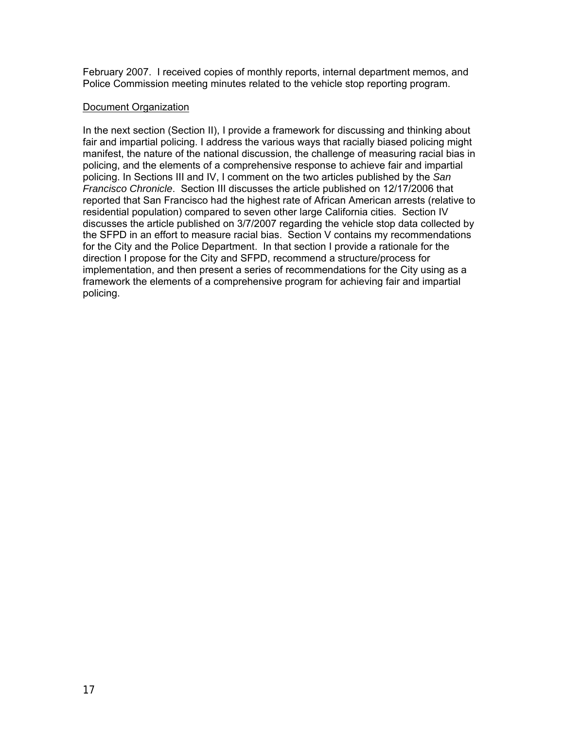February 2007. I received copies of monthly reports, internal department memos, and Police Commission meeting minutes related to the vehicle stop reporting program.

#### Document Organization

In the next section (Section II), I provide a framework for discussing and thinking about fair and impartial policing. I address the various ways that racially biased policing might manifest, the nature of the national discussion, the challenge of measuring racial bias in policing, and the elements of a comprehensive response to achieve fair and impartial policing. In Sections III and IV, I comment on the two articles published by the *San Francisco Chronicle*. Section III discusses the article published on 12/17/2006 that reported that San Francisco had the highest rate of African American arrests (relative to residential population) compared to seven other large California cities. Section IV discusses the article published on 3/7/2007 regarding the vehicle stop data collected by the SFPD in an effort to measure racial bias. Section V contains my recommendations for the City and the Police Department. In that section I provide a rationale for the direction I propose for the City and SFPD, recommend a structure/process for implementation, and then present a series of recommendations for the City using as a framework the elements of a comprehensive program for achieving fair and impartial policing.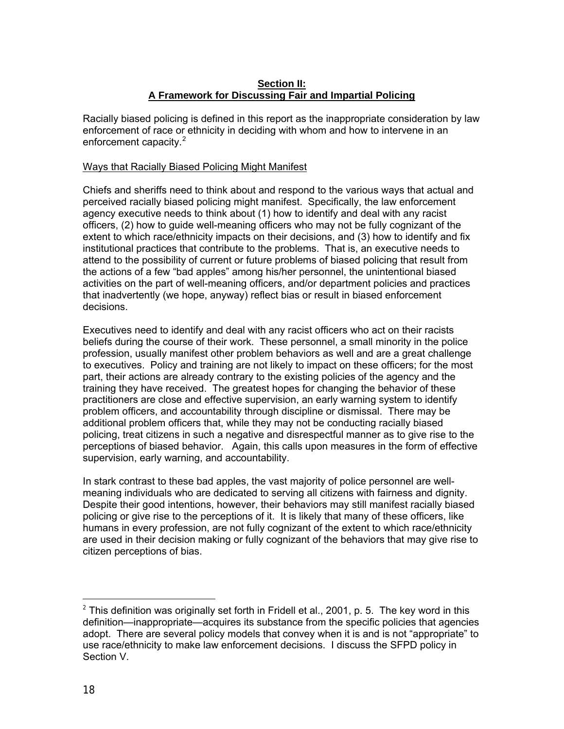#### **Section II: A Framework for Discussing Fair and Impartial Policing**

Racially biased policing is defined in this report as the inappropriate consideration by law enforcement of race or ethnicity in deciding with whom and how to intervene in an enforcement capacity.<sup>[2](#page-20-0)</sup>

### Ways that Racially Biased Policing Might Manifest

Chiefs and sheriffs need to think about and respond to the various ways that actual and perceived racially biased policing might manifest. Specifically, the law enforcement agency executive needs to think about (1) how to identify and deal with any racist officers, (2) how to guide well-meaning officers who may not be fully cognizant of the extent to which race/ethnicity impacts on their decisions, and (3) how to identify and fix institutional practices that contribute to the problems. That is, an executive needs to attend to the possibility of current or future problems of biased policing that result from the actions of a few "bad apples" among his/her personnel, the unintentional biased activities on the part of well-meaning officers, and/or department policies and practices that inadvertently (we hope, anyway) reflect bias or result in biased enforcement decisions.

Executives need to identify and deal with any racist officers who act on their racists beliefs during the course of their work. These personnel, a small minority in the police profession, usually manifest other problem behaviors as well and are a great challenge to executives. Policy and training are not likely to impact on these officers; for the most part, their actions are already contrary to the existing policies of the agency and the training they have received. The greatest hopes for changing the behavior of these practitioners are close and effective supervision, an early warning system to identify problem officers, and accountability through discipline or dismissal. There may be additional problem officers that, while they may not be conducting racially biased policing, treat citizens in such a negative and disrespectful manner as to give rise to the perceptions of biased behavior. Again, this calls upon measures in the form of effective supervision, early warning, and accountability.

In stark contrast to these bad apples, the vast majority of police personnel are wellmeaning individuals who are dedicated to serving all citizens with fairness and dignity. Despite their good intentions, however, their behaviors may still manifest racially biased policing or give rise to the perceptions of it. It is likely that many of these officers, like humans in every profession, are not fully cognizant of the extent to which race/ethnicity are used in their decision making or fully cognizant of the behaviors that may give rise to citizen perceptions of bias.

<span id="page-20-0"></span> $2$  This definition was originally set forth in Fridell et al., 2001, p. 5. The key word in this definition—inappropriate—acquires its substance from the specific policies that agencies adopt. There are several policy models that convey when it is and is not "appropriate" to use race/ethnicity to make law enforcement decisions. I discuss the SFPD policy in Section V.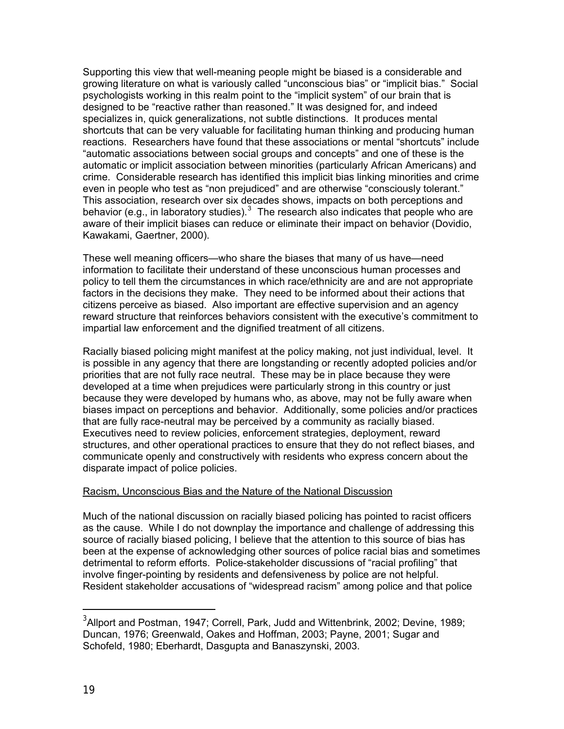Supporting this view that well-meaning people might be biased is a considerable and growing literature on what is variously called "unconscious bias" or "implicit bias." Social psychologists working in this realm point to the "implicit system" of our brain that is designed to be "reactive rather than reasoned." It was designed for, and indeed specializes in, quick generalizations, not subtle distinctions. It produces mental shortcuts that can be very valuable for facilitating human thinking and producing human reactions. Researchers have found that these associations or mental "shortcuts" include "automatic associations between social groups and concepts" and one of these is the automatic or implicit association between minorities (particularly African Americans) and crime. Considerable research has identified this implicit bias linking minorities and crime even in people who test as "non prejudiced" and are otherwise "consciously tolerant." This association, research over six decades shows, impacts on both perceptions and behavior (e.g., in laboratory studies).<sup>[3](#page-21-0)</sup> The research also indicates that people who are aware of their implicit biases can reduce or eliminate their impact on behavior (Dovidio, Kawakami, Gaertner, 2000).

These well meaning officers—who share the biases that many of us have—need information to facilitate their understand of these unconscious human processes and policy to tell them the circumstances in which race/ethnicity are and are not appropriate factors in the decisions they make. They need to be informed about their actions that citizens perceive as biased. Also important are effective supervision and an agency reward structure that reinforces behaviors consistent with the executive's commitment to impartial law enforcement and the dignified treatment of all citizens.

Racially biased policing might manifest at the policy making, not just individual, level. It is possible in any agency that there are longstanding or recently adopted policies and/or priorities that are not fully race neutral. These may be in place because they were developed at a time when prejudices were particularly strong in this country or just because they were developed by humans who, as above, may not be fully aware when biases impact on perceptions and behavior. Additionally, some policies and/or practices that are fully race-neutral may be perceived by a community as racially biased. Executives need to review policies, enforcement strategies, deployment, reward structures, and other operational practices to ensure that they do not reflect biases, and communicate openly and constructively with residents who express concern about the disparate impact of police policies.

#### Racism, Unconscious Bias and the Nature of the National Discussion

Much of the national discussion on racially biased policing has pointed to racist officers as the cause. While I do not downplay the importance and challenge of addressing this source of racially biased policing, I believe that the attention to this source of bias has been at the expense of acknowledging other sources of police racial bias and sometimes detrimental to reform efforts. Police-stakeholder discussions of "racial profiling" that involve finger-pointing by residents and defensiveness by police are not helpful. Resident stakeholder accusations of "widespread racism" among police and that police

<span id="page-21-0"></span> $3$ Allport and Postman, 1947; Correll, Park, Judd and Wittenbrink, 2002; Devine, 1989; Duncan, 1976; Greenwald, Oakes and Hoffman, 2003; Payne, 2001; Sugar and Schofeld, 1980; Eberhardt, Dasgupta and Banaszynski, 2003.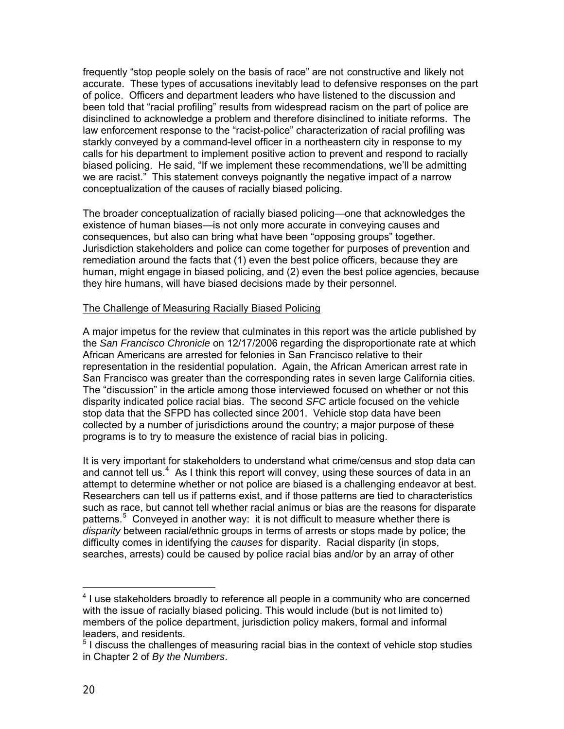frequently "stop people solely on the basis of race" are not constructive and likely not accurate. These types of accusations inevitably lead to defensive responses on the part of police. Officers and department leaders who have listened to the discussion and been told that "racial profiling" results from widespread racism on the part of police are disinclined to acknowledge a problem and therefore disinclined to initiate reforms. The law enforcement response to the "racist-police" characterization of racial profiling was starkly conveyed by a command-level officer in a northeastern city in response to my calls for his department to implement positive action to prevent and respond to racially biased policing. He said, "If we implement these recommendations, we'll be admitting we are racist." This statement conveys poignantly the negative impact of a narrow conceptualization of the causes of racially biased policing.

The broader conceptualization of racially biased policing—one that acknowledges the existence of human biases—is not only more accurate in conveying causes and consequences, but also can bring what have been "opposing groups" together. Jurisdiction stakeholders and police can come together for purposes of prevention and remediation around the facts that (1) even the best police officers, because they are human, might engage in biased policing, and (2) even the best police agencies, because they hire humans, will have biased decisions made by their personnel.

#### The Challenge of Measuring Racially Biased Policing

A major impetus for the review that culminates in this report was the article published by the *San Francisco Chronicle* on 12/17/2006 regarding the disproportionate rate at which African Americans are arrested for felonies in San Francisco relative to their representation in the residential population. Again, the African American arrest rate in San Francisco was greater than the corresponding rates in seven large California cities. The "discussion" in the article among those interviewed focused on whether or not this disparity indicated police racial bias. The second *SFC* article focused on the vehicle stop data that the SFPD has collected since 2001. Vehicle stop data have been collected by a number of jurisdictions around the country; a major purpose of these programs is to try to measure the existence of racial bias in policing.

It is very important for stakeholders to understand what crime/census and stop data can and cannot tell us. $<sup>4</sup>$  $<sup>4</sup>$  $<sup>4</sup>$  As I think this report will convey, using these sources of data in an</sup> attempt to determine whether or not police are biased is a challenging endeavor at best. Researchers can tell us if patterns exist, and if those patterns are tied to characteristics such as race, but cannot tell whether racial animus or bias are the reasons for disparate patterns.<sup>[5](#page-22-1)</sup> Conveyed in another way: it is not difficult to measure whether there is *disparity* between racial/ethnic groups in terms of arrests or stops made by police; the difficulty comes in identifying the *causes* for disparity. Racial disparity (in stops, searches, arrests) could be caused by police racial bias and/or by an array of other

<span id="page-22-0"></span><sup>&</sup>lt;sup>4</sup> I use stakeholders broadly to reference all people in a community who are concerned with the issue of racially biased policing. This would include (but is not limited to) members of the police department, jurisdiction policy makers, formal and informal leaders, and residents.

<span id="page-22-1"></span> $<sup>5</sup>$  I discuss the challenges of measuring racial bias in the context of vehicle stop studies</sup> in Chapter 2 of *By the Numbers*.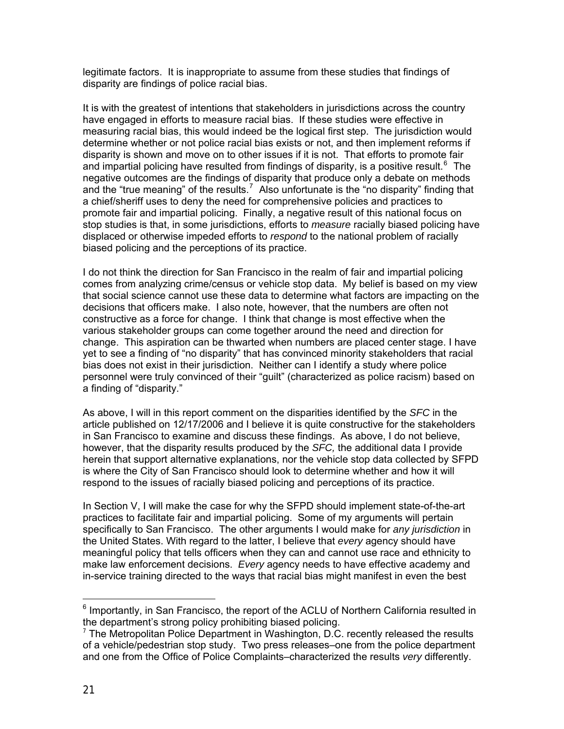legitimate factors. It is inappropriate to assume from these studies that findings of disparity are findings of police racial bias.

It is with the greatest of intentions that stakeholders in jurisdictions across the country have engaged in efforts to measure racial bias. If these studies were effective in measuring racial bias, this would indeed be the logical first step. The jurisdiction would determine whether or not police racial bias exists or not, and then implement reforms if disparity is shown and move on to other issues if it is not. That efforts to promote fair and impartial policing have resulted from findings of disparity, is a positive result.<sup>[6](#page-23-0)</sup> The negative outcomes are the findings of disparity that produce only a debate on methods and the "true meaning" of the results.<sup>[7](#page-23-1)</sup> Also unfortunate is the "no disparity" finding that a chief/sheriff uses to deny the need for comprehensive policies and practices to promote fair and impartial policing. Finally, a negative result of this national focus on stop studies is that, in some jurisdictions, efforts to *measure* racially biased policing have displaced or otherwise impeded efforts to *respond* to the national problem of racially biased policing and the perceptions of its practice.

I do not think the direction for San Francisco in the realm of fair and impartial policing comes from analyzing crime/census or vehicle stop data. My belief is based on my view that social science cannot use these data to determine what factors are impacting on the decisions that officers make. I also note, however, that the numbers are often not constructive as a force for change. I think that change is most effective when the various stakeholder groups can come together around the need and direction for change. This aspiration can be thwarted when numbers are placed center stage. I have yet to see a finding of "no disparity" that has convinced minority stakeholders that racial bias does not exist in their jurisdiction. Neither can I identify a study where police personnel were truly convinced of their "guilt" (characterized as police racism) based on a finding of "disparity."

As above, I will in this report comment on the disparities identified by the *SFC* in the article published on 12/17/2006 and I believe it is quite constructive for the stakeholders in San Francisco to examine and discuss these findings. As above, I do not believe, however, that the disparity results produced by the *SFC,* the additional data I provide herein that support alternative explanations, nor the vehicle stop data collected by SFPD is where the City of San Francisco should look to determine whether and how it will respond to the issues of racially biased policing and perceptions of its practice.

In Section V, I will make the case for why the SFPD should implement state-of-the-art practices to facilitate fair and impartial policing. Some of my arguments will pertain specifically to San Francisco. The other arguments I would make for *any jurisdiction* in the United States. With regard to the latter, I believe that *every* agency should have meaningful policy that tells officers when they can and cannot use race and ethnicity to make law enforcement decisions. *Every* agency needs to have effective academy and in-service training directed to the ways that racial bias might manifest in even the best

<span id="page-23-0"></span> $6$  Importantly, in San Francisco, the report of the ACLU of Northern California resulted in the department's strong policy prohibiting biased policing.

<span id="page-23-1"></span> $<sup>7</sup>$  The Metropolitan Police Department in Washington, D.C. recently released the results</sup> of a vehicle/pedestrian stop study. Two press releases–one from the police department and one from the Office of Police Complaints–characterized the results *very* differently.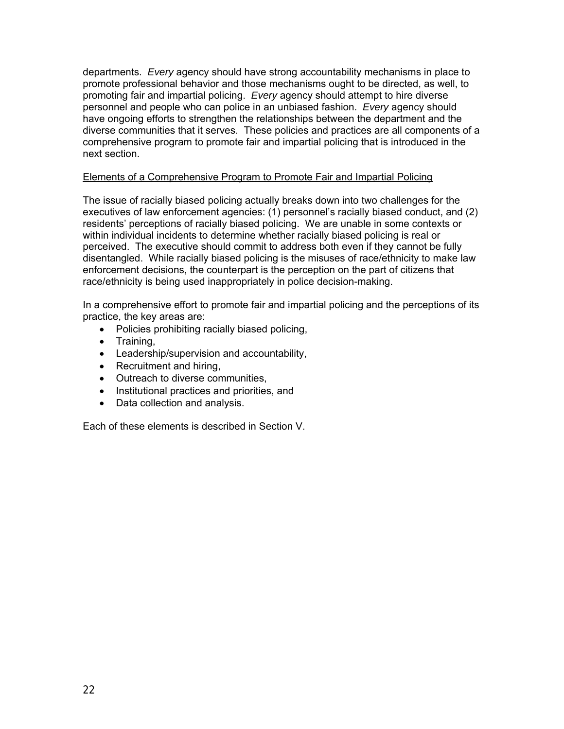departments. *Every* agency should have strong accountability mechanisms in place to promote professional behavior and those mechanisms ought to be directed, as well, to promoting fair and impartial policing. *Every* agency should attempt to hire diverse personnel and people who can police in an unbiased fashion. *Every* agency should have ongoing efforts to strengthen the relationships between the department and the diverse communities that it serves. These policies and practices are all components of a comprehensive program to promote fair and impartial policing that is introduced in the next section.

#### Elements of a Comprehensive Program to Promote Fair and Impartial Policing

The issue of racially biased policing actually breaks down into two challenges for the executives of law enforcement agencies: (1) personnel's racially biased conduct, and (2) residents' perceptions of racially biased policing. We are unable in some contexts or within individual incidents to determine whether racially biased policing is real or perceived. The executive should commit to address both even if they cannot be fully disentangled. While racially biased policing is the misuses of race/ethnicity to make law enforcement decisions, the counterpart is the perception on the part of citizens that race/ethnicity is being used inappropriately in police decision-making.

In a comprehensive effort to promote fair and impartial policing and the perceptions of its practice, the key areas are:

- Policies prohibiting racially biased policing,
- Training,
- Leadership/supervision and accountability,
- Recruitment and hiring.
- Outreach to diverse communities,
- Institutional practices and priorities, and
- Data collection and analysis.

Each of these elements is described in Section V.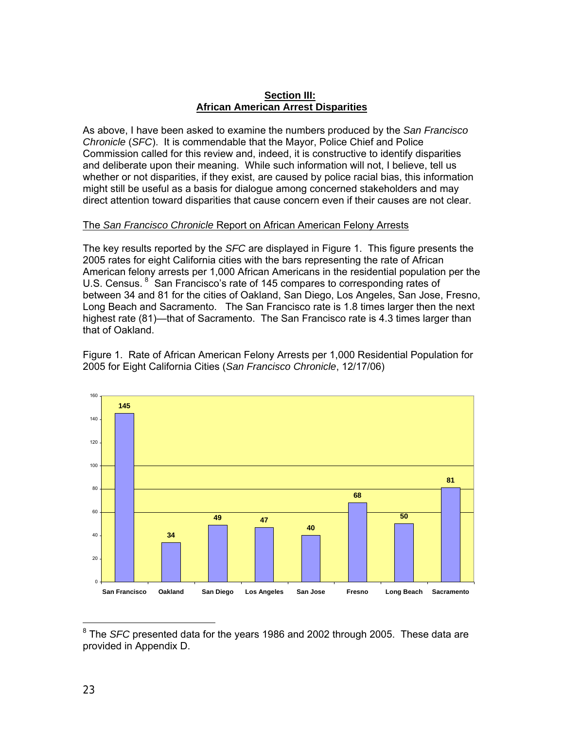#### **Section III: African American Arrest Disparities**

As above, I have been asked to examine the numbers produced by the *San Francisco Chronicle* (*SFC*). It is commendable that the Mayor, Police Chief and Police Commission called for this review and, indeed, it is constructive to identify disparities and deliberate upon their meaning. While such information will not, I believe, tell us whether or not disparities, if they exist, are caused by police racial bias, this information might still be useful as a basis for dialogue among concerned stakeholders and may direct attention toward disparities that cause concern even if their causes are not clear.

## The *San Francisco Chronicle* Report on African American Felony Arrests

The key results reported by the *SFC* are displayed in Figure 1. This figure presents the 2005 rates for eight California cities with the bars representing the rate of African American felony arrests per 1,000 African Americans in the residential population per the U.S. Census. <sup>[8](#page-25-0)</sup> San Francisco's rate of 145 compares to corresponding rates of between 34 and 81 for the cities of Oakland, San Diego, Los Angeles, San Jose, Fresno, Long Beach and Sacramento. The San Francisco rate is 1.8 times larger then the next highest rate (81)—that of Sacramento. The San Francisco rate is 4.3 times larger than that of Oakland.

Figure 1. Rate of African American Felony Arrests per 1,000 Residential Population for 2005 for Eight California Cities (*San Francisco Chronicle*, 12/17/06)



<span id="page-25-0"></span> $\overline{a}$ <sup>8</sup> The *SFC* presented data for the years 1986 and 2002 through 2005. These data are provided in Appendix D.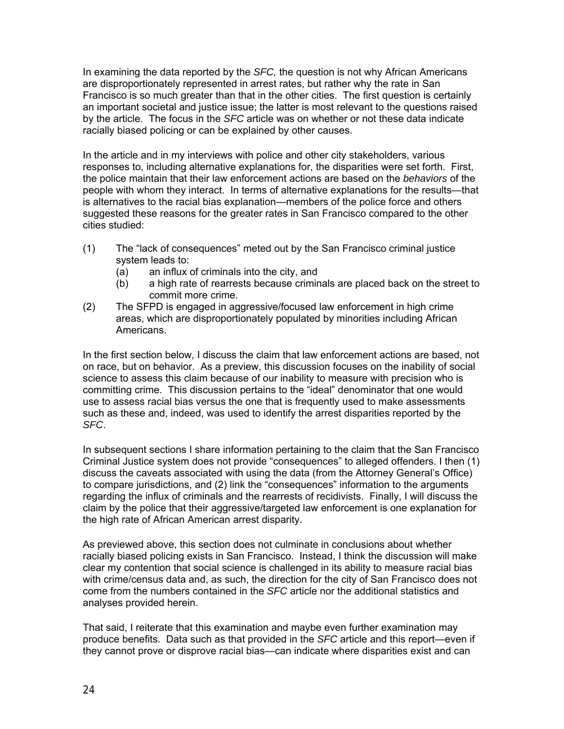In examining the data reported by the *SFC,* the question is not why African Americans are disproportionately represented in arrest rates, but rather why the rate in San Francisco is so much greater than that in the other cities. The first question is certainly an important societal and justice issue; the latter is most relevant to the questions raised by the article. The focus in the *SFC* article was on whether or not these data indicate racially biased policing or can be explained by other causes.

In the article and in my interviews with police and other city stakeholders, various responses to, including alternative explanations for, the disparities were set forth. First, the police maintain that their law enforcement actions are based on the *behaviors* of the people with whom they interact. In terms of alternative explanations for the results—that is alternatives to the racial bias explanation—members of the police force and others suggested these reasons for the greater rates in San Francisco compared to the other cities studied:

- (1) The "lack of consequences" meted out by the San Francisco criminal justice system leads to:
	- (a) an influx of criminals into the city, and
	- (b) a high rate of rearrests because criminals are placed back on the street to commit more crime.
- (2) The SFPD is engaged in aggressive/focused law enforcement in high crime areas, which are disproportionately populated by minorities including African Americans.

In the first section below, I discuss the claim that law enforcement actions are based, not on race, but on behavior. As a preview, this discussion focuses on the inability of social science to assess this claim because of our inability to measure with precision who is committing crime. This discussion pertains to the "ideal" denominator that one would use to assess racial bias versus the one that is frequently used to make assessments such as these and, indeed, was used to identify the arrest disparities reported by the *SFC*.

In subsequent sections I share information pertaining to the claim that the San Francisco Criminal Justice system does not provide "consequences" to alleged offenders. I then (1) discuss the caveats associated with using the data (from the Attorney General's Office) to compare jurisdictions, and (2) link the "consequences" information to the arguments regarding the influx of criminals and the rearrests of recidivists. Finally, I will discuss the claim by the police that their aggressive/targeted law enforcement is one explanation for the high rate of African American arrest disparity.

As previewed above, this section does not culminate in conclusions about whether racially biased policing exists in San Francisco. Instead, I think the discussion will make clear my contention that social science is challenged in its ability to measure racial bias with crime/census data and, as such, the direction for the city of San Francisco does not come from the numbers contained in the *SFC* article nor the additional statistics and analyses provided herein.

That said, I reiterate that this examination and maybe even further examination may produce benefits. Data such as that provided in the *SFC* article and this report—even if they cannot prove or disprove racial bias—can indicate where disparities exist and can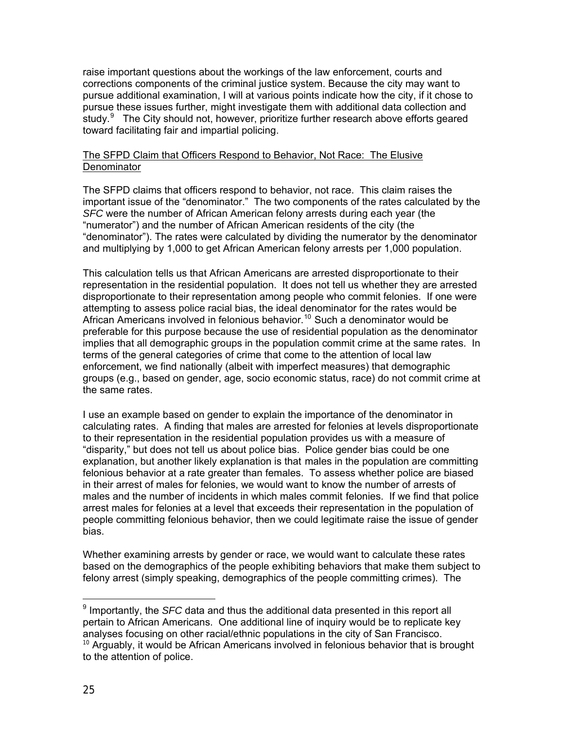raise important questions about the workings of the law enforcement, courts and corrections components of the criminal justice system. Because the city may wan t to pursue additional examination, I will at various points indicate how the city, if it chose to pursue these issues further, might investigate them with additional data collection and study.<sup>9</sup> The City should not, however, prioritize further research above efforts geared toward facilitating fair and impartial policing.

### The SFPD Claim that Officers Respond to Behavior, Not Race: The Elusive **Denominator**

The SFPD claims that officers respond to behavior, not race. This claim raises the important issue of the "denominator." The two components of the rates calculated by the *SFC* were the number of African American felony arrests during each year (the "numerator") and the number of African American residents of the city (the "denominator"). The rates were calculated by dividing the numerator by the denominator and multiplying by 1,000 to get African American felony arrests per 1,000 population.

This calculation tells us that African Americans are arrested disproportionate to their representation in the residential population. It does not tell us whether they are arrested disproportionate to their representation among people who commit felonies. If one were African Americans involved in felonious behavior.<sup>10</sup> Such a denominator would be preferable for this purpose because the use of residential population as the denominator implies that all demographic groups in the population commit crime at the same rates. In groups (e.g., based on gender, age, socio economic status, race) do not commit crime at attempting to assess police racial bias, the ideal denominator for the rates would be terms of the general categories of crime that come to the attention of local law enforcement, we find nationally (albeit with imperfect measures) that demographic the same rates.

calculating rates. A finding that males are arrested for felonies at levels disproportionate to their representation in the residential population provides us with a measure of people committing felonious behavior, then we could legitimate raise the issue of gender bias. I use an example based on gender to explain the importance of the denominator in "disparity," but does not tell us about police bias. Police gender bias could be one explanation, but another likely explanation is that males in the population are committing felonious behavior at a rate greater than females. To assess whether police are biased in their arrest of males for felonies, we would want to know the number of arrests of males and the number of incidents in which males commit felonies. If we find that police arrest males for felonies at a level that exceeds their representation in the population of

Whether examining arrests by gender or race, we would want to calculate these rates based on the demographics of the people exhibiting behaviors that make them subject to felony arrest (simply speaking, demographics of the people committing crimes). The

 $\overline{a}$ 9 Importantly, the *SFC* data and thus the additional data presented in this report all pertain to African Americans. One additional line of inquiry would be to replicate key analyses focusing on other racial/ethnic populations in the city of San Francisco.

 $10$  Arguably, it would be African Americans involved in felonious behavior that is brought to the attention of police.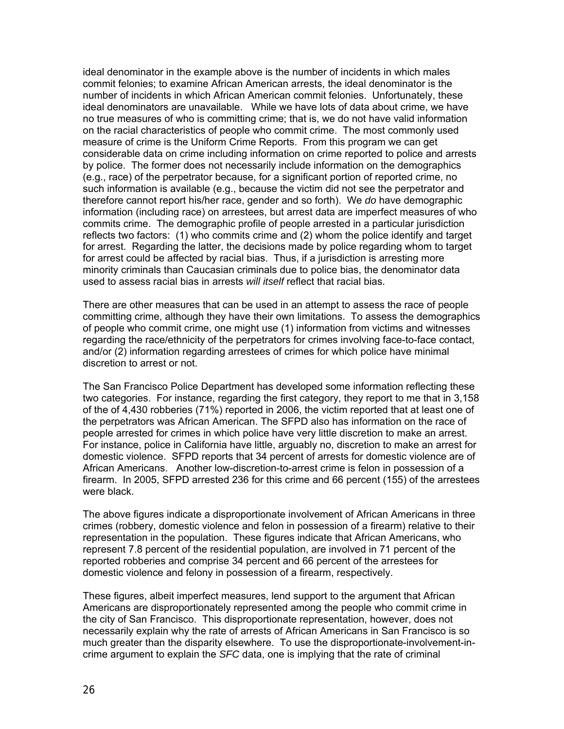ideal denominator in the example above is the number of incidents in which males commit felonies; to examine African American arrests, the ideal denominator is the number of incidents in which African American commit felonies. Unfortunately, these ideal denominators are unavailable. While we have lots of data about crime, we have no true measures of who is committing crime; that is, we do not have valid information on the racial characteristics of people who commit crime. The most commonly used measure of crime is the Uniform Crime Reports. From this program we can get considerable data on crime including information on crime reported to police and arrests by police. The former does not necessarily include information on the demographics .g., race) of the perpetrator because, for a significant portion of reported crime, no (e such information is available (e.g., because the victim did not see the perpetrator and information (including race) on arrestees, but arrest data are imperfect measures of who commits crime. The demographic profile of people arrested in a particular jurisdiction for arrest could be affected by racial bias. Thus, if a jurisdiction is arresting more therefore cannot report his/her race, gender and so forth). We *do* have demographic reflects two factors: (1) who commits crime and (2) whom the police identify and target for arrest. Regarding the latter, the decisions made by police regarding whom to target minority criminals than Caucasian criminals due to police bias, the denominator data used to assess racial bias in arrests *will itself* reflect that racial bias.

committing crime, although they have their own limitations. To assess the demographics There are other measures that can be used in an attempt to assess the race of people of people who commit crime, one might use (1) information from victims and witnesses regarding the race/ethnicity of the perpetrators for crimes involving face-to-face contact, and/or (2) information regarding arrestees of crimes for which police have minimal discretion to arrest or not.

two categories. For instance, regarding the first category, they report to me that in 3,158 of the of 4,430 robberies (71%) reported in 2006, the victim reported that at least one of For instance, police in California have little, arguably no, discretion to make an arrest for The San Francisco Police Department has developed some information reflecting these the perpetrators was African American. The SFPD also has information on the race of people arrested for crimes in which police have very little discretion to make an arrest. domestic violence. SFPD reports that 34 percent of arrests for domestic violence are of African Americans. Another low-discretion-to-arrest crime is felon in possession of a firearm. In 2005, SFPD arrested 236 for this crime and 66 percent (155) of the arrestees were black.

representation in the population. These figures indicate that African Americans, who The above figures indicate a disproportionate involvement of African Americans in three crimes (robbery, domestic violence and felon in possession of a firearm) relative to their represent 7.8 percent of the residential population, are involved in 71 percent of the reported robberies and comprise 34 percent and 66 percent of the arrestees for domestic violence and felony in possession of a firearm, respectively.

These figures, albeit imperfect measures, lend support to the argument that African Americans are disproportionately represented among the people who commit crime in necessarily explain why the rate of arrests of African Americans in San Francisco is so the city of San Francisco. This disproportionate representation, however, does not much greater than the disparity elsewhere. To use the disproportionate-involvement-incrime argument to explain the *SFC* data, one is implying that the rate of criminal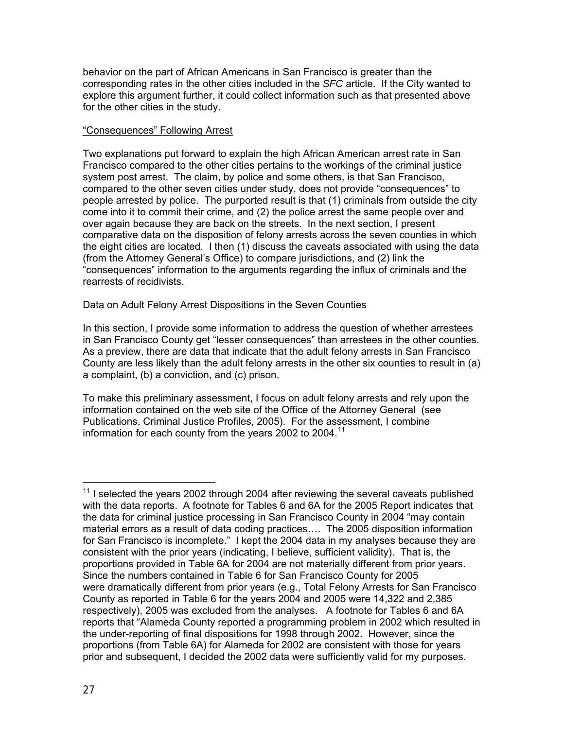behavior on the part of African Americans in San Francisco is greater than the corresponding rates in the other cities included in the *SFC* article. If the City wanted to explore this argument further, it could collect information such as that presented above for the other cities in the study.

#### "Consequences" Following Arrest

Two explanations put forward to explain the high African American arrest rate in San Francisco compared to the other cities pertains to the workings of the criminal justice system post arrest. The claim, by police and some others, is that San Francisco, compared to the other seven cities under study, does not provide "consequences" to people arrested by police. The purported result is that (1) criminals from outside the c ity come into it to commit their crime, and (2) the police arrest the same people over and over again because they are back on the streets. In the next section, I present comparative data on the disposition of felony arrests across the seven counties in which the eight cities are located. I then (1) discuss the caveats associated with using the data (from the Attorney General's Office) to compare jurisdictions, and (2) link the "consequences" information to the arguments regarding the influx of criminals and the rearrests of recidivists.

Data on Adult Felony Arrest Dispositions in the Seven Counties

 in San Francisco County get "lesser consequences" than arrestees in the other counties. As a preview, there are data that indicate that the adult felony arrests in San Francisco County are less likely than the adult felony arrests in the other six counties to result in (a) a complaint, (b) a conviction, and (c) prison. In this section, I provide some information to address the question of whether arrestees

To make this preliminary assessment, I focus on adult felony arrests and rely upon the information contained on the web site of the Office of the Attorney General (see Publications, Criminal Justice Profiles, 2005). For the assessment, I combine information for each county from the years 2002 to 2004.<sup>11</sup>

 $11$  I selected the years 2002 through 2004 after reviewing the several caveats published for San Francisco is incomplete." I kept the 2004 data in my analyses because they are proportions provided in Table 6A for 2004 are not materially different from prior years. Since the numbers contained in Table 6 for San Francisco County for 2005 were dramatically different from prior years (e.g., Total Felony Arrests for San Francisco reports that "Alameda County reported a programming problem in 2002 which resulted in prior and subsequent, I decided the 2002 data were sufficiently valid for my purposes. with the data reports. A footnote for Tables 6 and 6A for the 2005 Report indicates that the data for criminal justice processing in San Francisco County in 2004 "may contain material errors as a result of data coding practices…. The 2005 disposition information consistent with the prior years (indicating, I believe, sufficient validity). That is, the County as reported in Table 6 for the years 2004 and 2005 were 14,322 and 2,385 respectively), 2005 was excluded from the analyses. A footnote for Tables 6 and 6A the under-reporting of final dispositions for 1998 through 2002. However, since the proportions (from Table 6A) for Alameda for 2002 are consistent with those for years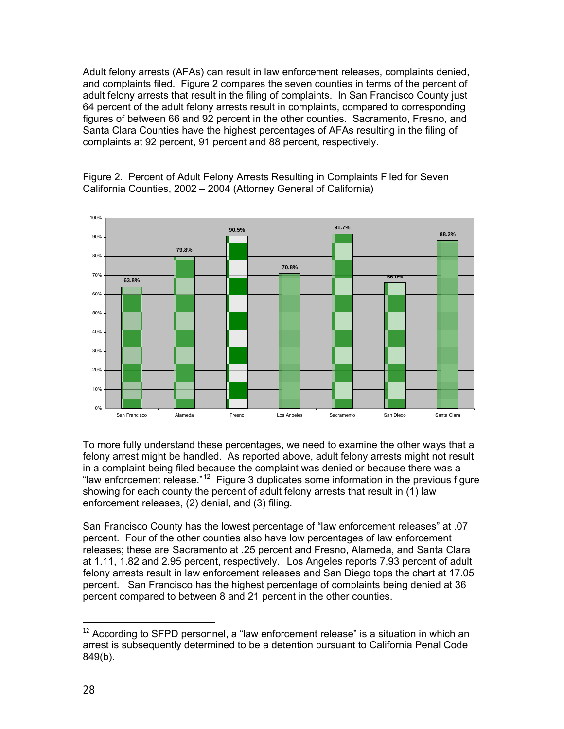Adult felony arrests (AFAs) can result in law enforcement releases, complaints d enied, and complaints filed. Figure 2 compares the seven counties in terms of the percent of adult felony arrests that result in the filing of complaints. In San Francisco County just 64 percent of the adult felony arrests result in complaints, compared to corresponding figures of between 66 and 92 percent in the other counties. Sacramento, Fresno, and Santa Clara Counties have the highest percentages of AFAs resulting in the filing of omplaints at 92 percent, 91 percent and 88 percent, respectively. c



Figure 2. Percent of Adult Felony Arrests Resulting in Complaints Filed for Seven California Counties, 2002 – 2004 (Attorney General of California)

To more fully understand these percentages, we need to examine the other ways that a felony arrest might be handled. As reported above, adult felony arrests might not result in a complaint being filed because the complaint was denied or because there was a "law enforcement release."<sup>12</sup> Figure 3 duplicates some information in the previous figure showing for each county the percent of adult felony arrests that result in (1) law enforcement releases, (2) denial, and (3) filing.

releases; these are Sacramento at .25 percent and Fresno, Alameda, and Santa Clara felony arrests result in law enforcement releases and San Diego tops the chart at 17.05 San Francisco County has the lowest percentage of "law enforcement releases" at .07 percent. Four of the other counties also have low percentages of law enforcement at 1.11, 1.82 and 2.95 percent, respectively. Los Angeles reports 7.93 percent of adult percent. San Francisco has the highest percentage of complaints being denied at 36 percent compared to between 8 and 21 percent in the other counties.

 $\overline{a}$  $12$  According to SFPD personnel, a "law enforcement release" is a situation in which an arrest is subsequently determined to be a detention pursuant to California Penal Code 849(b).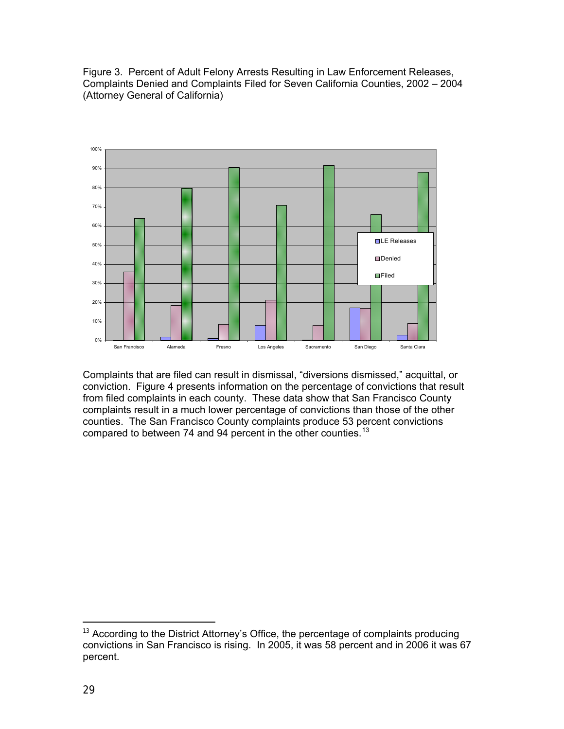Figure 3. Percent of Adult Felony Arrests Resulting in Law Enforcement Releases, Complaints Denied and Complaints Filed for Seven California Counties, 2002 – 2004 (Attorney General of California)



Complaints that are filed can result in dismissal, "diversions dismissed," acquittal, or conviction. Figure 4 presents information on the percentage of convictions that result from filed complaints in each county. These data show that San Francisco County complaints result in a much lower percentage of convictions than those of the other counties. The San Francisco County complaints produce 53 percent convictions compared to between 74 and 94 percent in the other counties.<sup>13</sup>

 $\overline{a}$  percent.  $13$  According to the District Attorney's Office, the percentage of complaints producing convictions in San Francisco is rising. In 2005, it was 58 percent and in 2006 it was 67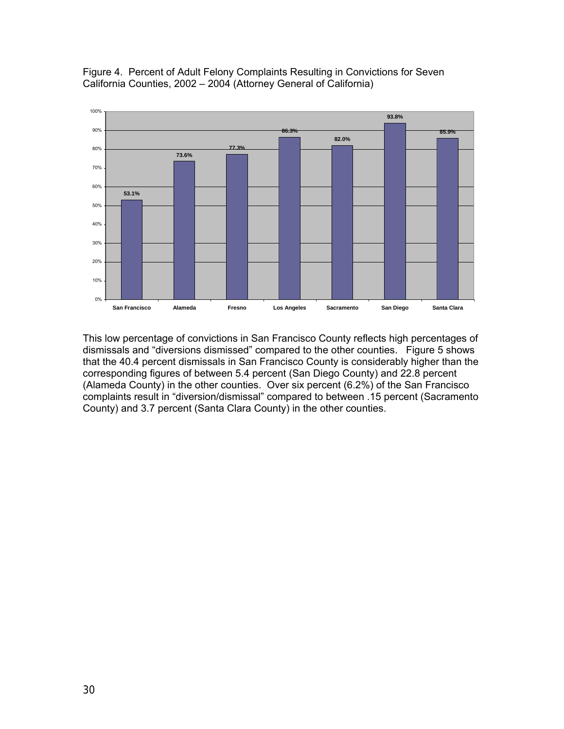



This low percentage of convictions in San Francisco County reflects high percentages of dismissals and "diversions dismissed" compared to the other counties. Figure 5 shows that the 40.4 percent dismissals in San Francisco County is considerably higher than the complaints result in "diversion/dismissal" compared to between .15 percent (Sacramento corresponding figures of between 5.4 percent (San Diego County) and 22.8 percent (Alameda County) in the other counties. Over six percent (6.2%) of the San Francisco County) and 3.7 percent (Santa Clara County) in the other counties.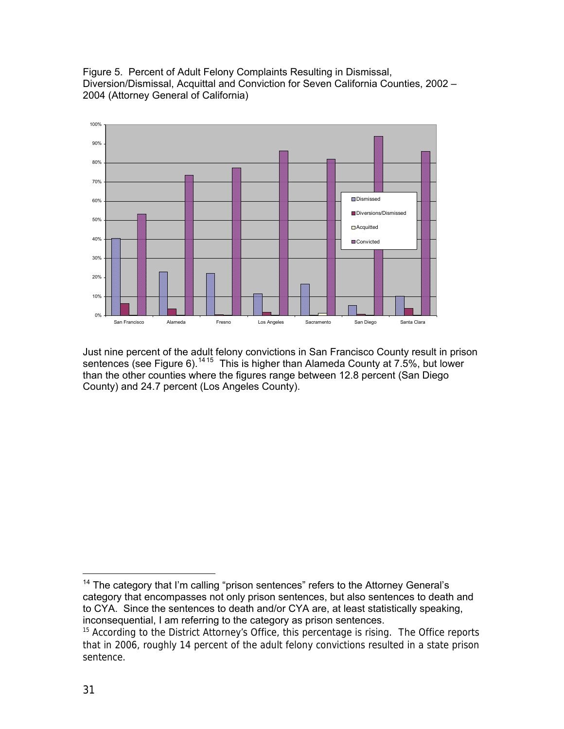Figure 5. Percent of Adult Felony Complaints Resulting in Dismissal, Diversion/Dismissal, Acquittal and Conviction for Seven California Counties, 2002 – 2004 (Attorney General of California)



Just nine percent of the adult felony convictions in San Francisco County result in prison sentences (see Figure 6).<sup>1415</sup> This is higher than Alameda County at  $7.5\%$ , but lower than the other counties where the figures range between 12.8 percent (San Diego County) and 24.7 percent (Los Angeles County).

 $14$  The category that I'm calling "prison sentences" refers to the Attorney General's category that encompasses not only prison sentences, but also sentences to death and to CYA. Since the sentences to death and/or CYA are, at least statistically speaking, inconsequential, I am referring to the category as prison sentences.

<sup>&</sup>lt;sup>15</sup> According to the District Attorney's Office, this percentage is rising. The Office reports that in 2006, roughly 14 percent of the adult felony convictions resulted in a state prison sentence.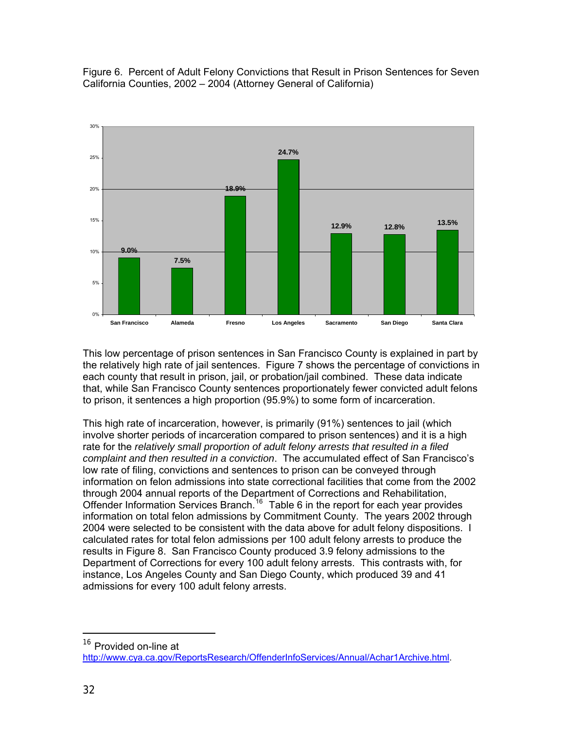

Figure 6. Percent of Adult Felony Convictions that Result in Prison Sentences for Seven California Counties, 2002 – 2004 (Attorney General of California)

This low percentage of prison sentences in San Francisco County is explained in part by that, while San Francisco County sentences proportionately fewer convicted adult felons to prison, it sentences a high proportion (95.9%) to some form of incarceration. the relatively high rate of jail sentences. Figure 7 shows the percentage of convictions in each county that result in prison, jail, or probation/jail combined. These data indicate

This high rate of incarceration, however, is primarily (91%) sentences to jail (which involve shorter periods of incarceration compared to prison sentences) and it is a high rate for the *relatively small proportion of adult felony arrests that resulted in a filed complaint and then resulted in a conviction*. The accumulated effect of San Francisco's low rate of filing, convictions and sentences to prison can be conveyed through information on felon admissions into state correctional facilities that come from the 2002 through 2004 annual reports of the Department of Corrections and Rehabilitation, Offender Information Services Branch.<sup>16</sup> Table 6 in the report for each year provides information on total felon admissions by Commitment County. The years 2002 through 2004 were selected to be consistent with the data above for adult felony dispositions. I calculated rates for total felon admissions per 100 adult felony arrests to produce the results in Figure 8. San Francisco County produced 3.9 felony admissions to the Department of Corrections for every 100 adult felony arrests. This contrasts with, for instance, Los Angeles County and San Diego County, which produced 39 and 41 admissions for every 100 adult felony arrests.

<sup>16</sup> Provided on-line at http://www.cya.ca.gov/ReportsResearch/OffenderInfoServices/Annual/Achar1Archive.html.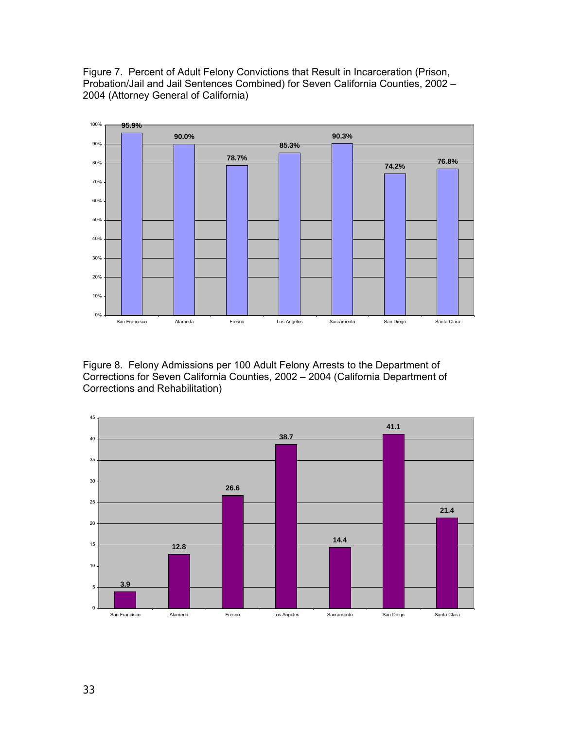Figure 7. Percent of Adult Felony Convictions that Result in Incarceration (Prison, Probation/Jail and Jail Sentences Combined) for Seven California Counties, 2002 – 2004 (Attorney General of California)



Figure 8. Felony Admissions per 100 Adult Felony Arrests to the Department of Corrections for Seven California Counties, 2002 – 2004 (California Department of Corrections and Rehabilitation)

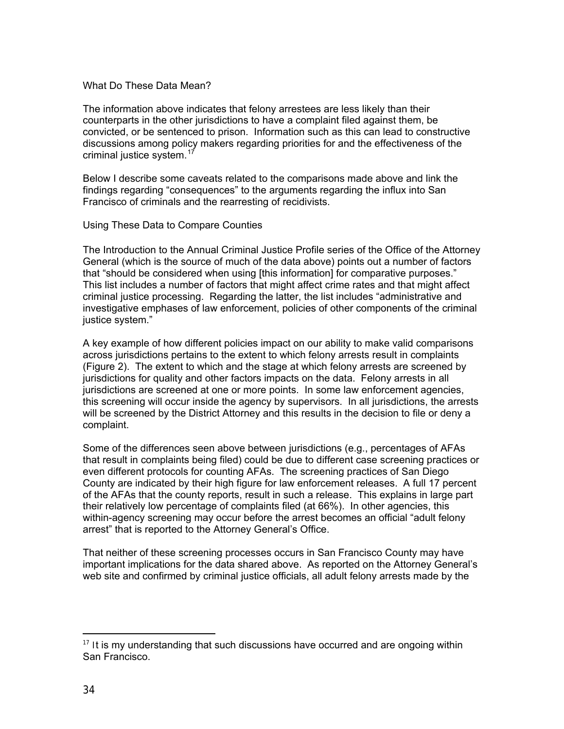## What Do These Data Mean?

The information above indicates that felony arrestees are less likely than their counterparts in the other jurisdictions to have a complaint filed against them, be convicted, or be sentenced to prison. Information such as this can lead to constructive discussions among policy makers regarding priorities for and the effectiveness of the criminal justice system. $<sup>1</sup>$ </sup>

Below I describe some caveats related to the comparisons made above and link the findings regarding "consequences" to the arguments regarding the influx into San Francisco of criminals and the rearresting of recidivists.

#### Using These Data to Compare Counties

The Introduction to the Annual Criminal Justice Profile series of the Office of the Attorney General (which is the source of much of the data above) points out a number of factors that "should be considered when using [this information] for comparative purposes." This list includes a number of factors that might affect crime rates and that might affect criminal justice processing. Regarding the latter, the list includes "administrative and investigative emphases of law enforcement, policies of other components of the criminal justice system."

A key example of how different policies impact on our ability to make valid comparisons across jurisdictions pertains to the extent to which felony arrests result in complaints (Figure 2). The extent to which and the stage at which felony arrests are screened by jurisdictions for quality and other factors impacts on the data. Felony arrests in all jurisdictions are screened at one or more points. In some law enforcement agencies, this screening will occur inside the agency by supervisors. In all jurisdictions, the arrests will be screened by the District Attorney and this results in the decision to file or deny a complaint.

Some of the differences seen above between jurisdictions (e.g., percentages of AFAs that result in complaints being filed) could be due to different case screening practices or even different protocols for counting AFAs. The screening practices of San Diego County are indicated by their high figure for law enforcement releases. A full 17 percent of the AFAs that the county reports, result in such a release. This explains in large part their relatively low percentage of complaints filed (at 66%). In other agencies, this within-agency screening may occur before the arrest becomes an official "adult felony arrest" that is reported to the Attorney General's Office.

That neither of these screening processes occurs in San Francisco County may have important implications for the data shared above. As reported on the Attorney General's web site and confirmed by criminal justice officials, all adult felony arrests made by the

 $17$  It is my understanding that such discussions have occurred and are ongoing within San Francisco.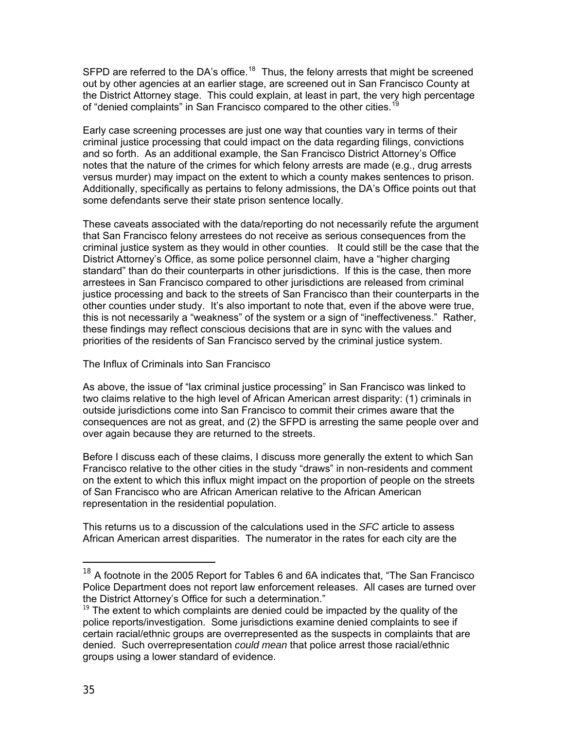SFPD are referred to the DA's office.<sup>18</sup> Thus, the felony arrests that might be screened out by other agencies at an earlier stage, are screened out in San Francisco County at the District Attorney stage. This could explain, at least in part, the very high percentage of "denied complaints" in San Francisco compared to the other cities.<sup>18</sup>

Early case screening processes are just one way that counties vary in terms of their criminal justice processing that could impact on the data regarding filings, convictions and so forth. As an additional example, the San Francisco District Attorney's Office notes that the nature of the crimes for which felony arrests are made (e.g., drug arrests versus murder) may impact on the extent to which a county makes sentences to prison. Additionally, specifically as pertains to felony admissions, the DA's Office points out that some defendants serve their state prison sentence locally.

These caveats associated with the data/reporting do not necessarily refute the argument that San Francisco felony arrestees do not receive as serious consequences from the criminal justice system as they would in other counties. It could still be the case that the District Attorney's Office, as some police personnel claim, have a "higher charging standard" than do their counterparts in other jurisdictions. If this is the case, then more arrestees in San Francisco compared to other jurisdictions are released from criminal justice processing and back to the streets of San Francisco than their counterparts in the other counties under study. It's also important to note that, even if the above were true, this is not necessarily a "weakness" of the system or a sign of "ineffectiveness." Rather, these findings may reflect conscious decisions that are in sync with the values and priorities of the residents of San Francisco served by the criminal justice system.

The Influx of Criminals into San Francisco

two claims relative to the high level of African American arrest disparity: (1) criminals in outside jurisdictions come into San Francisco to commit their crimes aware that the consequences are not as great, and (2) the SFPD is arresting the same people over and As above, the issue of "lax criminal justice processing" in San Francisco was linked to over again because they are returned to the streets.

Before I discuss each of these claims, I discuss more generally the extent to which San Francisco relative to the other cities in the study "draws" in non-residents and comment on the extent to which this influx might impact on the proportion of people on the streets of San Francisco who are African American relative to the African American representation in the residential population.

This returns us to a discussion of the calculations used in the *SFC* article to assess African American arrest disparities. The numerator in the rates for each city are the

-

 $18$  A footnote in the 2005 Report for Tables 6 and 6A indicates that, "The San Francisco Police Department does not report law enforcement releases. All cases are turned over the District Attorney's Office for such a determination."<br><sup>19</sup> The extent to which complaints are denied could be impacted by the quality of the

police reports/investigation. Some jurisdictions examine denied complaints to see if certain racial/ethnic groups are overrepresented as the suspects in complaints that are groups using a lower standard of evidence. denied. Such overrepresentation *could mean* that police arrest those racial/ethnic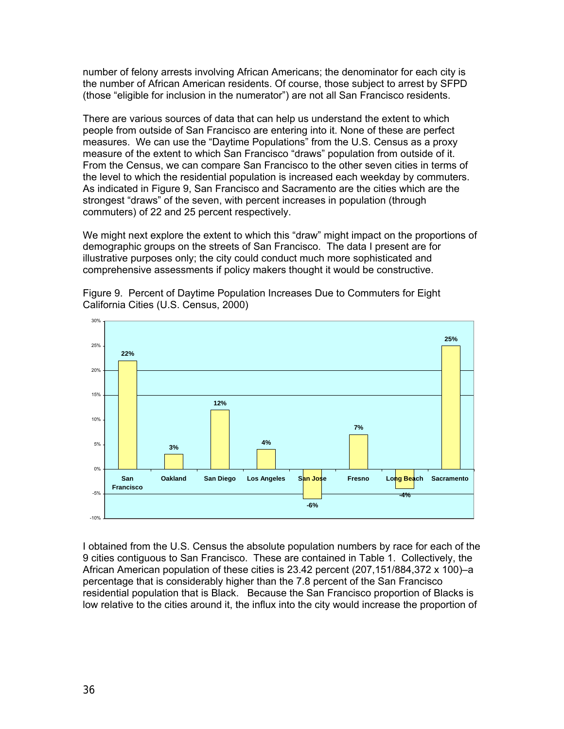number of felony arrests involving African Americans; the denominator for each city is the number of African American residents. Of course, those subject to arrest by SFPD (those "eligible for inclusion in the numerator") are not all San Francisco residents.

There are various sources of data that can help us understand the extent to which eople from outside of San Francisco are entering into it. None of these are perfect p From the Census, we can compare San Francisco to the other seven cities in terms of measures. We can use the "Daytime Populations" from the U.S. Census as a proxy measure of the extent to which San Francisco "draws" population from outside of it. the level to which the residential population is increased each weekday by commuters. As indicated in Figure 9, San Francisco and Sacramento are the cities which are the strongest "draws" of the seven, with percent increases in population (through commuters) of 22 and 25 percent respectively.

We might next explore the extent to which this "draw" might impact on the proportions of demographic groups on the streets of San Francisco. The data I present are for illustrative purposes only; the city could conduct much more sophisticated and comprehensive assessments if policy makers thought it would be constructive.



Figure 9. Percent of Daytime Population Increases Due to Commuters for Eight California Cities (U.S. Census, 2000)

I obtained from the U.S. Census the absolute population numbers by race for each of the 9 cities contiguous to San Francisco. These are contained in Table 1. Collectively, the low relative to the cities around it, the influx into the city would increase the proportion of African American population of these cities is 23.42 percent (207,151/884,372 x 100)–a percentage that is considerably higher than the 7.8 percent of the San Francisco residential population that is Black. Because the San Francisco proportion of Blacks is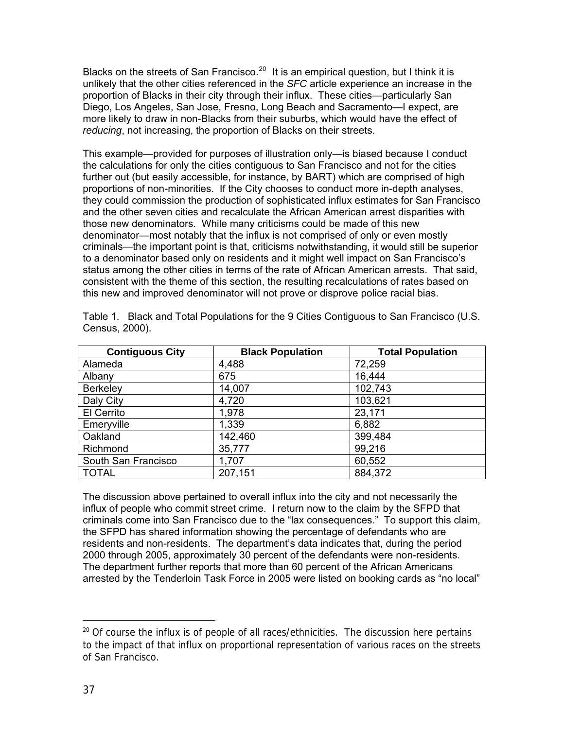Blacks on the streets of San Francisco.<sup>20</sup> It is an empirical question, but I think it is unlikely that the other cities referenced in the *SFC* article experience an increase in the roportion of Blacks in their city through their influx. These cities—particularly San p Diego, Los Angeles, San Jose, Fresno, Long Beach and Sacramento—I expect, are more likely to draw in non-Blacks from their suburbs, which would have the effect of *reducing*, not increasing, the proportion of Blacks on their streets.

This example—provided for purposes of illustration only—is biased because I conduct further out (but easily accessible, for instance, by BART) which are comprised of high roportions of non-minorities. If the City chooses to conduct more in-depth analyses, p denominator—most notably that the influx is not comprised of only or even mostly criminals—the important point is that, criticisms notwithstanding, it would still be superior to a denominator based only on residents and it might well impact on San Francisco's consistent with the theme of this section, the resulting recalculations of rates based on the calculations for only the cities contiguous to San Francisco and not for the cities they could commission the production of sophisticated influx estimates for San Francisco and the other seven cities and recalculate the African American arrest disparities with those new denominators. While many criticisms could be made of this new status among the other cities in terms of the rate of African American arrests. That said, this new and improved denominator will not prove or disprove police racial bias.

| <b>Contiguous City</b> | <b>Black Population</b> | <b>Total Population</b> |
|------------------------|-------------------------|-------------------------|
| Alameda                | 4,488                   | 72,259                  |
| Albany                 | 675                     | 16,444                  |
| <b>Berkeley</b>        | 14,007                  | 102,743                 |
| Daly City              | 4,720                   | 103,621                 |
| El Cerrito             | 1,978                   | 23,171                  |
| Emeryville             | 1,339                   | 6,882                   |
| Oakland                | 142,460                 | 399,484                 |
| Richmond               | 35,777                  | 99,216                  |
| South San Francisco    | 1,707                   | 60,552                  |
| <b>TOTAL</b>           | 207,151                 | 884,372                 |

Table 1. Black and Total Populations for the 9 Cities Contiguous to San Francisco (U.S. Census, 2000).

The discussion above pertained to overall influx into the city and not necessarily the influx of people who commit street crime. I return now to the claim by the SFPD that criminals come into San Francisco due to the "lax consequences." To support this claim, the SFPD has shared information showing the percentage of defendants who are residents and non-residents. The department's data indicates that, during the period 2000 through 2005, approximately 30 percent of the defendants were non-residents. The department further reports that more than 60 percent of the African Americans arrested by the Tenderloin Task Force in 2005 were listed on booking cards as "no local"

<sup>&</sup>lt;sup>20</sup> Of course the influx is of people of all races/ethnicities. The discussion here pertains to the impact of that influx on proportional representation of various races on the streets of San Francisco.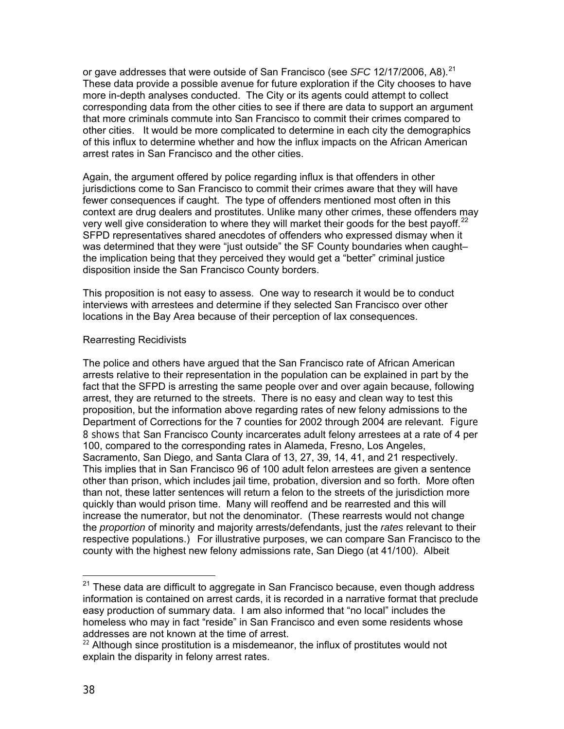or gave addresses that were outside of San Francisco (see *SFC* 12/17/2006, A8).<sup>21</sup> These data provide a possible avenue for future exploration if the City chooses to have more in-depth analyses conducted. The City or its agents could attempt to collect corresponding data from the other cities to see if there are data to support an argument that more criminals commute into San Francisco to commit their crimes compared to other cities. It would be more complicated to determine in each city the demographics of this influx to determine whether and how the influx impacts on the African American arrest rates in San Francisco and the other cities.

Again, the argument offered by police regarding influx is that offenders in other jurisdictions come to San Francisco to commit their crimes aware that they will have fewer consequences if caught. The type of offenders mentioned most often in this context are drug dealers and prostitutes. Unlike many other crimes, these offenders may very well give consideration to where they will market their goods for the best payoff.<sup>22</sup> SFPD representatives shared anecdotes of offenders who expressed dismay when it was determined that they were "just outside" the SF County boundaries when caught– the implication being that they perceived they would get a "better" criminal justice disposition inside the San Francisco County borders.

This proposition is not easy to assess. One way to research it would be to conduct interviews with arrestees and determine if they selected San Francisco over other locations in the Bay Area because of their perception of lax consequences.

## Rearresting Recidivists

Department of Corrections for the 7 counties for 2002 through 2004 are relevant. Figure 8 shows that San Francisco County incarcerates adult felony arrestees at a rate of 4 per other than prison, which includes jail time, probation, diversion and so forth. More often the *proportion* of minority and majority arrests/defendants, just the *rates* relevant to their The police and others have argued that the San Francisco rate of African American arrests relative to their representation in the population can be explained in part by the fact that the SFPD is arresting the same people over and over again because, following arrest, they are returned to the streets. There is no easy and clean way to test this proposition, but the information above regarding rates of new felony admissions to the 100, compared to the corresponding rates in Alameda, Fresno, Los Angeles, Sacramento, San Diego, and Santa Clara of 13, 27, 39, 14, 41, and 21 respectively. This implies that in San Francisco 96 of 100 adult felon arrestees are given a sentence than not, these latter sentences will return a felon to the streets of the jurisdiction more quickly than would prison time. Many will reoffend and be rearrested and this will increase the numerator, but not the denominator. (These rearrests would not change respective populations.) For illustrative purposes, we can compare San Francisco to the county with the highest new felony admissions rate, San Diego (at 41/100). Albeit

<span id="page-40-0"></span> $21$  These data are difficult to aggregate in San Francisco because, even though address information is contained on arrest cards, it is recorded in a narrative format that preclude easy production of summary data. I am also informed that "no local" includes the homeless who may in fact "reside" in San Francisco and even some residents whose addresses are not known at the time of arrest.

explain the disparity in felony arrest rates.  $22$  Although since prostitution is a misdemeanor, the influx of prostitutes would not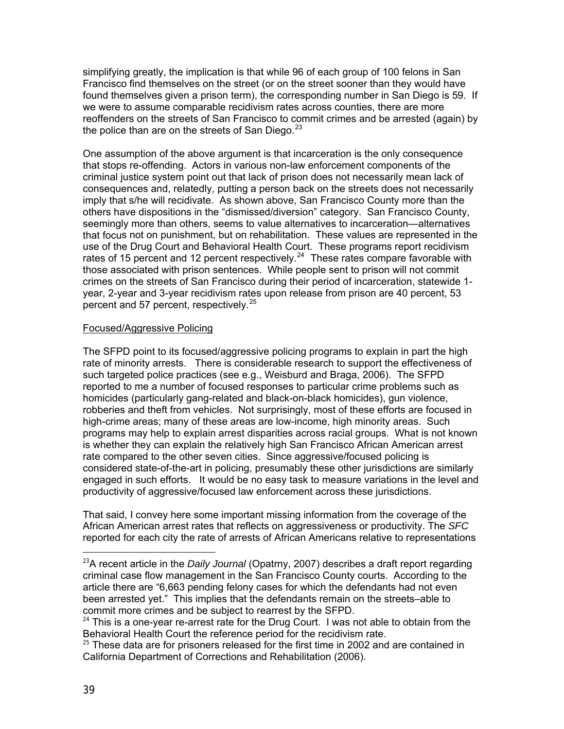simplifying greatly, the implication is that while 96 of each group of 100 felons in San Francisco find themselves on the street (or on the street sooner than they would have found themselves given a prison term), the corresponding number in San Diego is 59. If we were to assume comparable recidivism rates across counties, there are more reoffenders on the streets of San Francisco to commit crimes and be arrested (again) by the police than are on the streets of San Diego. $^{23}$ 

One assumption of the above argument is that incarceration is the only consequence that stops re-offending. Actors in various non-law enforcement components of the criminal justice system point out that lack of prison does not necessarily mean lack of consequences and, relatedly, putting a person back on the streets does not necessarily imply that s/he will recidivate. As shown above, San Francisco County more than the others have dispositions in the "dismissed/diversion" category. San Francisco County, seemingly more than others, seems to value alternatives to incarceration—alternatives that focus not on punishment, but on rehabilitation. These values are represented in the rates of 15 percent and 12 percent respectively.<sup>[24](#page-40-0)</sup> These rates compare favorable with use of the Drug Court and Behavioral Health Court. These programs report recidivism those associated with prison sentences. While people sent to prison will not commit crimes on the streets of San Francisco during their period of incarceration, statewide 1 year, 2-year and 3-year recidivism rates upon release from prison are 40 percent, 53 percent and 57 percent, respectively.<sup>[25](#page-40-0)</sup>

## Focused/Aggressive Policing

The SFPD point to its focused/aggressive policing programs to explain in part the high rate of minority arrests. There is considerable research to support the effectiveness of such targeted police practices (see e.g., Weisburd and Braga, 2006). The SFPD reported to me a number of focused responses to particular crime problems such as homicides (particularly gang-related and black-on-black homicides), gun violence, robberies and theft from vehicles. Not surprisingly, most of these efforts are focused in high-crime areas; many of these areas are low-income, high minority areas. Such programs may help to explain arrest disparities across racial groups. What is not known is whether they can explain the relatively high San Francisco African American arrest considered state-of-the-art in policing, presumably these other jurisdictions are similarly rate compared to the other seven cities. Since aggressive/focused policing is engaged in such efforts. It would be no easy task to measure variations in the level and productivity of aggressive/focused law enforcement across these jurisdictions.

That said, I convey here some important missing information from the coverage of the African American arrest rates that reflects on aggressiveness or productivity. The *SFC* reported for each city the rate of arrests of African Americans relative to representations

<sup>23</sup>A recent article in the *Daily Journal* (Opatrny, 2007) describes a draft report regarding criminal case flow management in the San Francisco County courts. According to the article there are "6,663 pending felony cases for which the defendants had not even been arrested yet." This implies that the defendants remain on the streets–able to commit more crimes and be subject to rearrest by the SFPD.

Behavioral Health Court the reference period for the recidivism rate.  $24$  This is a one-year re-arrest rate for the Drug Court. I was not able to obtain from the

 $25$  These data are for prisoners released for the first time in 2002 and are contained in California Department of Corrections and Rehabilitation (2006).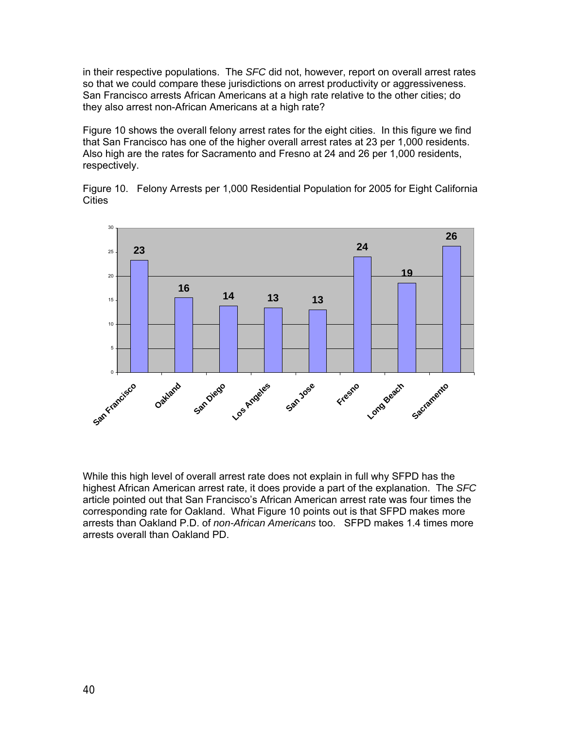in their respective populations. The *SFC* did not, however, report on overall arrest ra tes so that we could compare these jurisdictions on arrest productivity or aggressivene ss. San Francisco arrests African Americans at a high rate relative to the other c ities; do they also arrest non-African Americans at a high rate?

Figure 10 shows the overall felony arrest rates for the eight cities. In this figure we find that San Francisco has one of the higher overall arrest rates at 23 per 1,000 residents. Also high are the rates for Sacramento and Fresno at 24 and 26 per 1,000 residents, respectively.

Figure 10. Felony Arrests per 1,000 Residential Population for 2005 for Eight California **Cities** 



While this high level of overall arrest rate does not explain in full why SFPD has the highest African American arrest rate, it does provide a part of the explanation. The *SFC* article pointed out that San Francisco's African American arrest rate was four times the corresponding rate for Oakland. What Figure 10 points out is that SFPD makes more arrests than Oakland P.D. of *non-African Americans* too. SFPD makes 1.4 times more arrests overall than Oakland PD.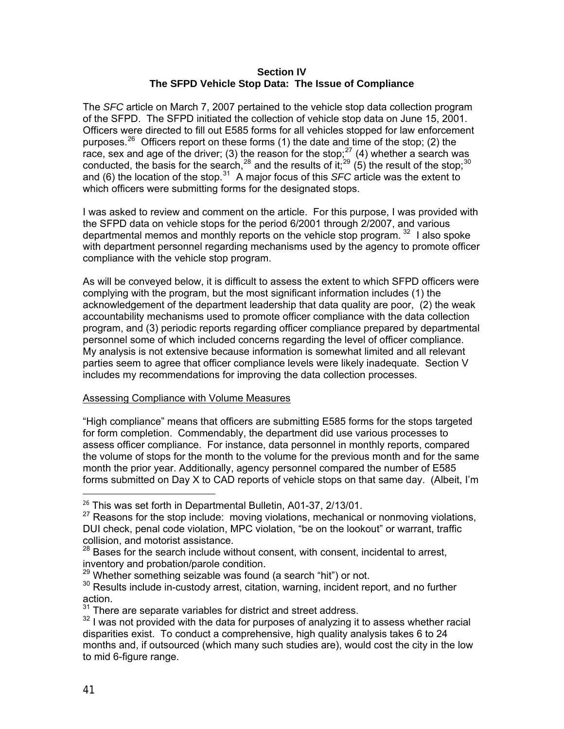### **Section IV The SFPD Vehicle Stop Data: The Issue of Compliance**

The *SFC* article on March 7, 2007 pertained to the vehicle stop data collection program of the SFPD. The SFPD initiated the collection of vehicle stop data on June 15, 2001. race, sex and age of the driver; (3) the reason for the stop;<sup>27</sup> (4) whether a search was<br>conducted, the basis for the search <sup>28</sup> and the results of it<sup>29</sup> (5) the result of the stop:<sup>30</sup> and (6) the location of the stop.<sup>31</sup> A major focus of this *SFC* article was the extent to Officers were directed to fill out E585 forms for all vehicles stopped for law enforcement purposes.<sup>26</sup> Officers report on these forms (1) the date and time of the stop; (2) the conducted, the basis for the search,<sup>28</sup> and the results of it;<sup>29</sup> (5) the result of the stop; which officers were submitting forms for the designated stops.

departmental memos and monthly reports on the vehicle stop program.  $32$  I also spoke I was asked to review and comment on the article. For this purpose, I was provided with the SFPD data on vehicle stops for the period 6/2001 through 2/2007, and various with department personnel regarding mechanisms used by the agency to promote officer compliance with the vehicle stop program.

As will be conveyed below, it is difficult to assess the extent to which SFPD officers were parties seem to agree that officer compliance levels were likely inadequate. Section V includes my recommendations for improving the data collection processes. complying with the program, but the most significant information includes (1) the acknowledgement of the department leadership that data quality are poor, (2) the weak accountability mechanisms used to promote officer compliance with the data collection program, and (3) periodic reports regarding officer compliance prepared by departmental personnel some of which included concerns regarding the level of officer compliance. My analysis is not extensive because information is somewhat limited and all relevant

#### Assessing Compliance with Volume Measures

"High compliance" means that officers are submitting E585 forms for the stops targeted for form completion. Commendably, the department did use various processes to the volume of stops for the month to the volume for the previous month and for the same month the prior year. Additionally, agency personnel compared the number of E585 forms submitted on Day X to CAD reports of vehicle stops on that same day. (Albeit, I'm assess officer compliance. For instance, data personnel in monthly reports, compared

 $26$  This was set forth in Departmental Bulletin, A01-37, 2/13/01.

 $27$  Reasons for the stop include: moving violations, mechanical or nonmoving violations, DUI check, penal code violation, MPC violation, "be on the lookout" or warrant, traffic collision, and motorist assistance.

 $28$  Bases for the search include without consent, with consent, incidental to arrest, inventory and probation/parole condition.

 $29$  Whether something seizable was found (a search "hit") or not.

 $30$  Results include in-custody arrest, citation, warning, incident report, and no further action.

 $31$ <sup>31</sup> There are separate variables for district and street address.

 $32$  I was not provided with the data for purposes of analyzing it to assess whether racial disparities exist. To conduct a comprehensive, high quality analysis takes 6 to 24 months and, if outsourced (which many such studies are), would cost the city in the low to mid 6-figure range.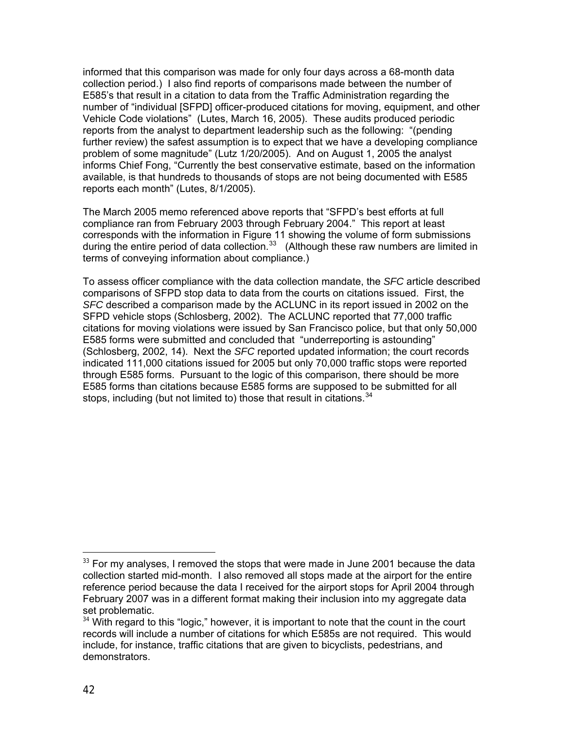informed that this comparison was made for only four days across a 68-month data collection period.) I also find reports of comparisons made between the number of E585's that result in a citation to data from the Traffic Administration regarding the number of "individual [SFPD] officer-produced citations for moving, equipment, and other Vehicle Code violations" (Lutes, March 16, 2005). These audits produced periodic reports from the analyst to department leadership such as the following: "(pending further review) the safest assumption is to expect that we have a developing compliance problem of some magnitude" (Lutz 1/20/2005). And on August 1, 2005 the analyst informs Chief Fong, "Currently the best conservative estimate, based on the information available, is that hundreds to thousands of stops are not being documented with E585 reports each month" (Lutes, 8/1/2005).

The March 2005 memo referenced above reports that "SFPD's best efforts at full compliance ran from February 2003 through February 2004." This report at least corresponds with the information in Figure 11 showing the volume of form submissions during the entire period of data collection. $33$  (Although these raw numbers are limited in terms of conveying information about compliance.)

To assess officer compliance with the data collection mandate, the *SFC* article described omparisons of SFPD stop data to data from the courts on citations issued. First, the c *FC* described a comparison made by the ACLUNC in its report issued in 2002 on the *S* citations for moving violations were issued by San Francisco police, but that only 50,000 E585 forms than citations because E585 forms are supposed to be submitted for all stops, including (but not limited to) those that result in citations. $34$ SFPD vehicle stops (Schlosberg, 2002). The ACLUNC reported that 77,000 traffic E585 forms were submitted and concluded that "underreporting is astounding" (Schlosberg, 2002, 14). Next the *SFC* reported updated information; the court records indicated 111,000 citations issued for 2005 but only 70,000 traffic stops were reported through E585 forms. Pursuant to the logic of this comparison, there should be more

 $\overline{a}$  $33$  For my analyses. I removed the stops that were made in June 2001 because the data collection started mid-month. I also removed all stops made at the airport for the entire reference period because the data I received for the airport stops for April 2004 through February 2007 was in a different format making their inclusion into my aggregate data set problematic.

<span id="page-44-0"></span> $34$  With regard to this "logic," however, it is important to note that the count in the court records will include a number of citations for which E585s are not required. This would include, for instance, traffic citations that are given to bicyclists, pedestrians, and demonstrators.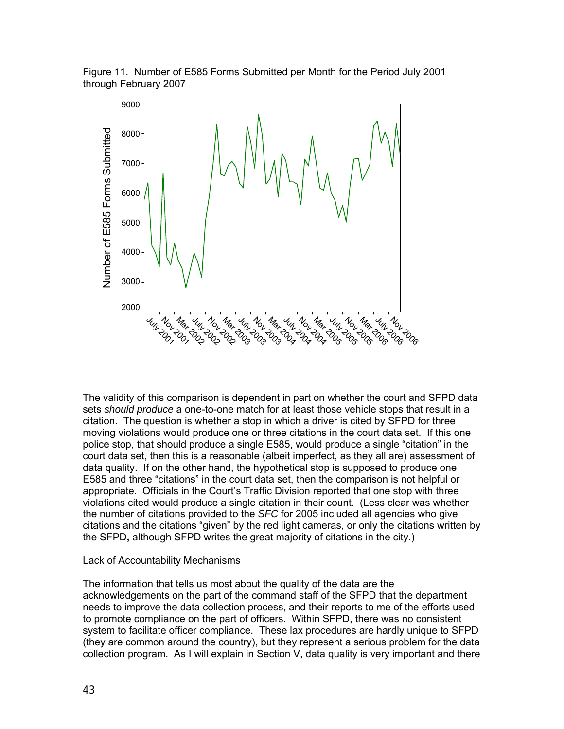Figure 11. Number of E585 Forms Submitted per Month for the Period July 2001 through Febru ary 2007



The validity of this comparison is dependent in part on whether the court and SFPD data sets *should produce* a one-to-one match for at least those vehicle stops that result in a moving violations would produce one or three citations in the court data set. If this one appropriate. Officials in the Court's Traffic Division reported that one stop with three violations cited would produce a single citation in their count. (Less clear was whether  the SFPD**,** although SFPD writes the great majority of citations in the city.) citation. The question is whether a stop in which a driver is cited by SFPD for three police stop, that should produce a single E585, would produce a single "citation" in the court data set, then this is a reasonable (albeit imperfect, as they all are) assessment of data quality. If on the other hand, the hypothetical stop is supposed to produce one E585 and three "citations" in the court data set, then the comparison is not helpful or the number of citations provided to the *SFC* for 2005 included all agencies who give citations and the citations "given" by the red light cameras, or only the citations written by

#### Lack of Accountability Mechanisms

needs to improve the data collection process, and their reports to me of the efforts used The information that tells us most about the quality of the data are the acknowledgements on the part of the command staff of the SFPD that the department to promote compliance on the part of officers. Within SFPD, there was no consistent system to facilitate officer compliance. These lax procedures are hardly unique to SFPD (they are common around the country), but they represent a serious problem for the data collection program. As I will explain in Section V, data quality is very important and there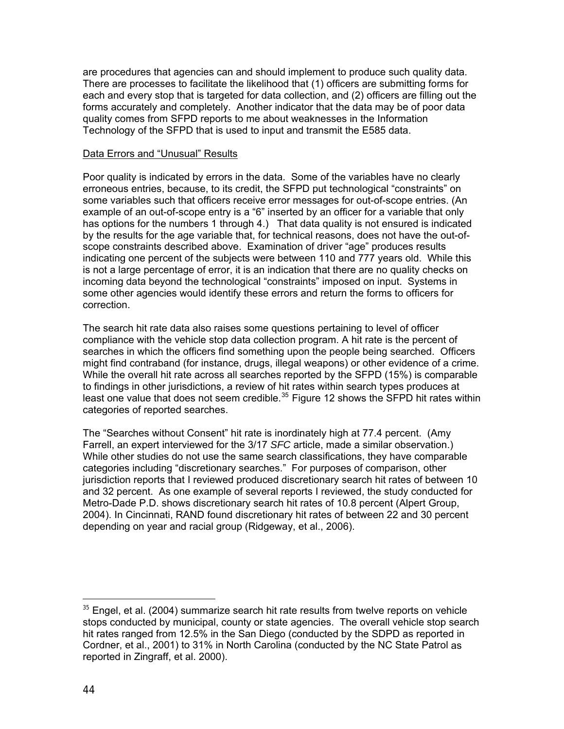are procedures that agencies can and should implement to produce such quality data. There are processes to facilitate the likelihood that (1) officers are submitting forms for each and every stop that is targeted for data collection, and (2) officers are filling out the forms accurately and completely. Another indicator that the data may be of poor data quality comes from SFPD reports to me about weaknesses in the Information Technology of the SFPD that is used to input and transmit the E585 data.

## Data Errors and "Unusual" Results

Poor quality is indicated by errors in the data. Some of the variables have no clearly erroneous entries, because, to its credit, the SFPD put technological "constraints" on some variables such that officers receive error messages for out-of-scope entries. (An example of an out-of-scope entry is a "6" inserted by an officer for a variable that only has options for the numbers 1 through 4.) That data quality is not ensured is indicated indicating one percent of the subjects were between 110 and 777 years old. While this is not a large percentage of error, it is an indication that there are no quality checks on by the results for the age variable that, for technical reasons, does not have the out-ofscope constraints described above. Examination of driver "age" produces results incoming data beyond the technological "constraints" imposed on input. Systems in some other agencies would identify these errors and return the forms to officers for correction.

compliance with the vehicle stop data collection program. A hit rate is the percent of While the overall hit rate across all searches reported by the SFPD (15%) is comparable least one value that does not seem credible. $35$  Figure 12 shows the SFPD hit rates within categories of reported searches. The search hit rate data also raises some questions pertaining to level of officer searches in which the officers find something upon the people being searched. Officers might find contraband (for instance, drugs, illegal weapons) or other evidence of a crime. to findings in other jurisdictions, a review of hit rates within search types produces at

The "Searches without Consent" hit rate is inordinately high at 77.4 percent. (Amy Farrell, an expert interviewed for the 3/17 *SFC* article, made a similar observation.) While other studies do not use the same search classifications, they have comparable categories including "discretionary searches." For purposes of comparison, other jurisdiction reports that I reviewed produced discretionary search hit rates of between 10 and 32 percent. As one example of several reports I reviewed, the study conducted for Metro-Dade P.D. shows discretionary search hit rates of 10.8 percent (Alpert Group, 2004). In Cincinnati, RAND found discretionary hit rates of between 22 and 30 percent depending on year and racial group (Ridgeway, et al., 2006).

 $\overline{a}$  $35$  Engel, et al. (2004) summarize search hit rate results from twelve reports on vehicle Cordner, et al., 2001) to 31% in North Carolina (conducted by the NC State Patrol as reported in Zingraff, et al. 2000). stops conducted by municipal, county or state agencies. The overall vehicle stop search hit rates ranged from 12.5% in the San Diego (conducted by the SDPD as reported in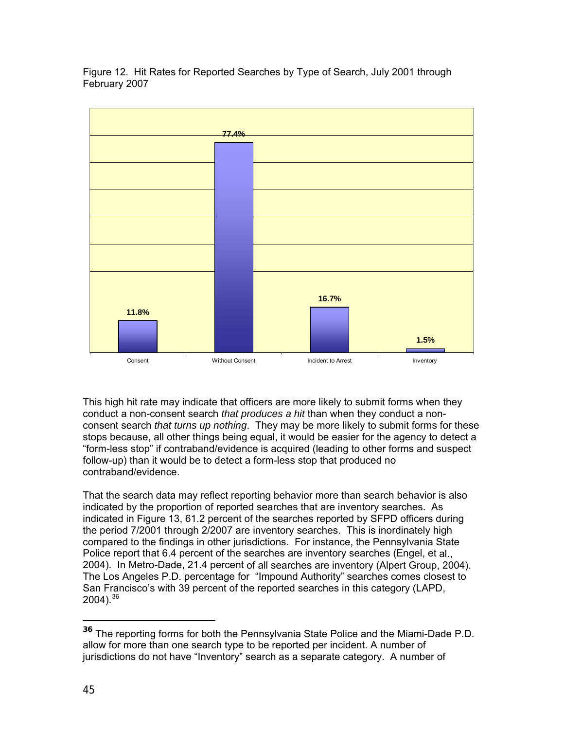Figure 12. Hit Rates for Reported Searches by Type of Search, July 2001 through February 2007



This high hit rate may indicate that officers are more likely to submit forms when they conduct a non-consent search *that produces a hit* than when they conduct a nonconsent search *that turns up nothing*. They may be more likely to submit forms for these stops because, all other things being equal, it would be easier for the agency to detect a "form-less stop" if contraband/evidence is acquired (leading to other forms and suspect follow-up) than it would be to detect a form-less stop that produced no contraband/evidence.

Police report that 6.4 percent of the searches are inventory searches (Engel, et al., 2004). In Metro-Dade, 21.4 percent of all searches are inventory (Alpert Group, 2004). The Los Angeles P.D. percentage for "Impound Authority" searches comes closest to San Francisco's with 39 percent of the reported searches in this category (LAPD, That the search data may reflect reporting behavior more than search behavior is also indicated by the proportion of reported searches that are inventory searches. As indicated in Figure 13, 61.2 percent of the searches reported by SFPD officers during the period 7/2001 through 2/2007 are inventory searches. This is inordinately high compared to the findings in other jurisdictions. For instance, the Pennsylvania State  $2004$ ).<sup>36</sup>

**<sup>36</sup>** The reporting forms for both the Pennsylvania State Police and the Miami-Dade P.D. allow for more than one search type to be reported per incident. A number of jurisdictions do not have "Inventory" search as a separate category. A number of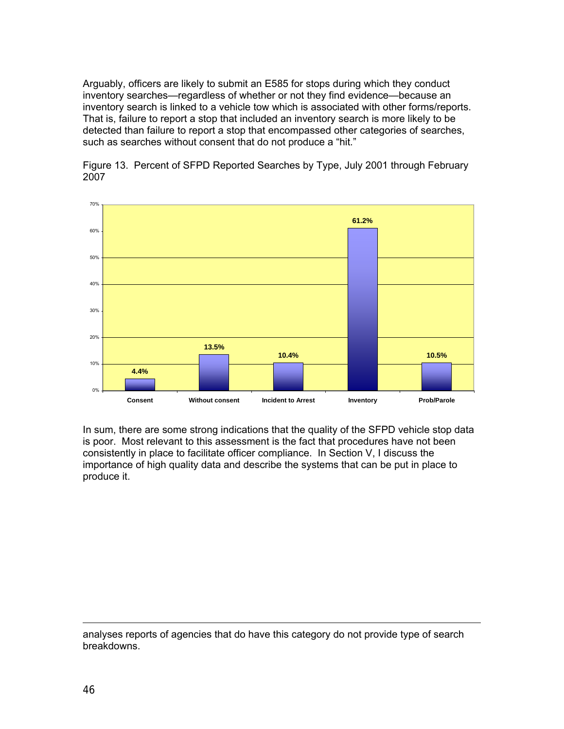Arguably, officers are likely to submit an E585 for stops during which they conduct inventory searches—regardless of whether or not they find evidence—because an inventory search is linked to a vehicle tow which is associated with other forms/reports. That is, failure to report a stop that included an inventory search is more likely to be detected than failure to report a stop that encompassed other categories of searches, such as searches without consent that do not produce a "hit."



Figure 13. Percent of SFPD Reported Searches by Type, July 2001 through February 2007

In sum, there are some strong indications that the quality of the SFPD vehicle stop data is poor. Most relevant to this assessment is the fact that procedures have not been consistently in place to facilitate officer compliance. In Section V, I discuss the importance of high quality data and describe the systems that can be put in place to produce it.

analyses reports of agencies that do have this category do not provide type of search breakdowns.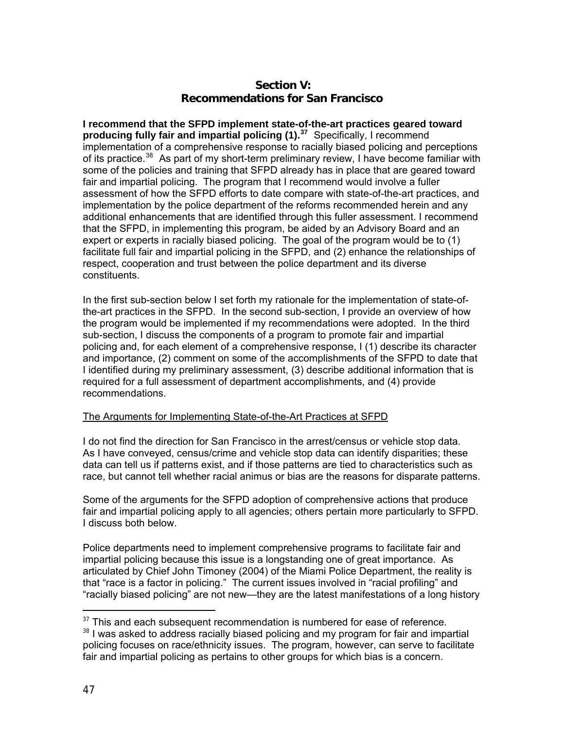# **Section V: Recommendations for San Francisco**

**I recommend that the SFPD implement state-of-the-art practices geared toward producing fully fair and impartial policing (1).<sup>37</sup>** Specifically, I recommend implementation of a comprehensive response to racially biased policing and perceptions of its practice.<sup>38</sup> As part of my short-term preliminary review, I have become familiar with some of the policies and training that SFPD already has in place that are geared toward fair and impartial policing. The program that I recommend would involve a fuller assessment of how the SFPD efforts to date compare with state-of-the-art practices, and implementation by the police department of the reforms recommended herein and any additional enhancements that are identified through this fuller assessment. I recommend that the SFPD, in implementing this program, be aided by an Advisory Board and an expert or experts in racially biased policing.The goal of the program would be to (1) facilitate full fair and impartial policing in the SFPD, and (2) enhance the relationships of respect, cooperation and trust between the police department and its diverse constituents.

required for a full assessment of department accomplishments, and (4) provide recommendations. In the first sub-section below I set forth my rationale for the implementation of state-ofthe-art practices in the SFPD. In the second sub-section, I provide an overview of how the program would be implemented if my recommendations were adopted. In the third sub-section, I discuss the components of a program to promote fair and impartial policing and, for each element of a comprehensive response, I (1) describe its character and importance, (2) comment on some of the accomplishments of the SFPD to date that I identified during my preliminary assessment, (3) describe additional information that is

# The Arguments for Implementing State-of-the-Art Practices at SFPD

I do not find the direction for San Francisco in the arrest/census or vehicle stop data. As I have conveyed, census/crime and vehicle stop data can identify disparities; these data can tell us if patterns exist, and if those patterns are tied to characteristics such as race, but cannot tell whether racial animus or bias are the reasons for disparate patterns.

fair and impartial policing apply to all agencies; others pertain more particularly to SFPD. Some of the arguments for the SFPD adoption of comprehensive actions that produce I discuss both below.

"racially biased policing" are not new—they are the latest manifestations of a long history Police departments need to implement comprehensive programs to facilitate fair and impartial policing because this issue is a longstanding one of great importance. As articulated by Chief John Timoney (2004) of the Miami Police Department, the reality is that "race is a factor in policing." The current issues involved in "racial profiling" and

<span id="page-49-0"></span> $37$  This and each subsequent recommendation is numbered for ease of reference. <sup>38</sup> I was asked to address racially biased policing and my program for fair and impartial fair and impartial policing as pertains to other groups for which bias is a concern. policing focuses on race/ethnicity issues. The program, however, can serve to facilitate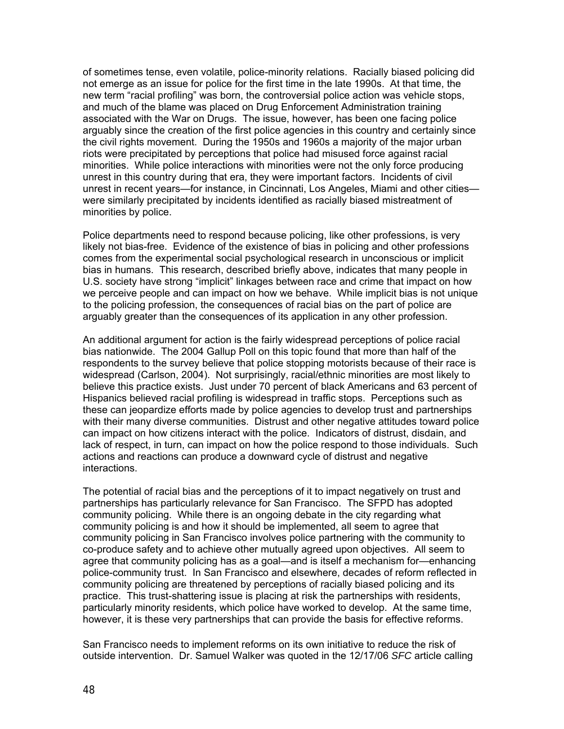of sometimes tense, even volatile, police-minority relations. Racially biased policing did new term "racial profiling" was born, the controversial police action was vehicle stops, arguably since the creation of the first police agencies in this country and certainly since the civil rights movement. During the 1950s and 1960s a majority of the major urban riots were precipitated by perceptions that police had misused force against racial unrest in this country during that era, they were important factors. Incidents of civil unrest in recent years—for instance, in Cincinnati, Los Angeles, Miami and other cities not emerge as an issue for police for the first time in the late 1990s. At that time, the and much of the blame was placed on Drug Enforcement Administration training associated with the War on Drugs. The issue, however, has been one facing police minorities. While police interactions with minorities were not the only force producing were similarly precipitated by incidents identified as racially biased mistreatment of minorities by police.

Police departments need to respond because policing, like other professions, is very likely not bias-free. Evidence of the existence of bias in policing and other professions comes from the experimental social psychological research in unconscious or implicit bias in humans. This research, described briefly above, indicates that many people in U.S. society have strong "implicit" linkages between race and crime that impact on how we perceive people and can impact on how we behave. While implicit bias is not unique to the policing profession, the consequences of racial bias on the part of police are arguably greater than the consequences of its application in any other profession.

these can jeopardize efforts made by police agencies to develop trust and partnerships with their many diverse communities. Distrust and other negative attitudes toward police can impact on how citizens interact with the police. Indicators of distrust, disdain, and An additional argument for action is the fairly widespread perceptions of police racial bias nationwide. The 2004 Gallup Poll on this topic found that more than half of the respondents to the survey believe that police stopping motorists because of their race is widespread (Carlson, 2004). Not surprisingly, racial/ethnic minorities are most likely to believe this practice exists. Just under 70 percent of black Americans and 63 percent of Hispanics believed racial profiling is widespread in traffic stops. Perceptions such as lack of respect, in turn, can impact on how the police respond to those individuals. Such actions and reactions can produce a downward cycle of distrust and negative interactions.

The potential of racial bias and the perceptions of it to impact negatively on trust and partnerships has particularly relevance for San Francisco. The SFPD has adopted community policing. While there is an ongoing debate in the city regarding what community policing is and how it should be implemented, all seem to agree that community policing in San Francisco involves police partnering with the community to co-produce safety and to achieve other mutually agreed upon objectives. All seem to agree that community policing has as a goal—and is itself a mechanism for—enhancing police-community trust. In San Francisco and elsewhere, decades of reform reflected in community policing are threatened by perceptions of racially biased policing and its practice. This trust-shattering issue is placing at risk the partnerships with residents, particularly minority residents, which police have worked to develop. At the same time, however, it is these very partnerships that can provide the basis for effective reforms.

San Francisco needs to implement reforms on its own initiative to reduce the risk of outside intervention. Dr. Samuel Walker was quoted in the 12/17/06 SFC article calling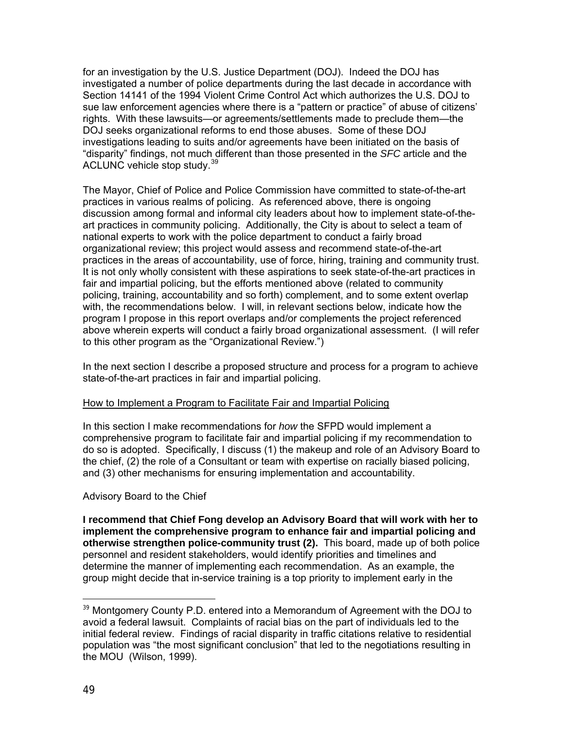for an investigation by the U.S. Justice Department (DOJ). Indeed the DOJ has investigated a number of police departments during the last decade in accordance with Section 14141 of the 1994 Violent Crime Control Act which authorizes the U.S. DOJ to sue law enforcement agencies where there is a "pattern or practice" of abuse of citizens' rights. With these lawsuits—or agreements/settlements made to preclude them—the DOJ seeks organizational reforms to end those abuses. Some of these DOJ investigations leading to suits and/or agreements have been initiated on the basis of "disparity" findings, not much different than those presented in the *SFC* article and the ACLUNC vehicle stop study.[39](#page-49-0)

It is not only wholly consistent with these aspirations to seek state-of-the-art practices in above wherein experts will conduct a fairly broad organizational assessment. (I will refer The Mayor, Chief of Police and Police Commission have committed to state-of-the-art practices in various realms of policing. As referenced above, there is ongoing discussion among formal and informal city leaders about how to implement state-of-theart practices in community policing. Additionally, the City is about to select a team of national experts to work with the police department to conduct a fairly broad organizational review; this project would assess and recommend state-of-the-art practices in the areas of accountability, use of force, hiring, training and community trust. fair and impartial policing, but the efforts mentioned above (related to community policing, training, accountability and so forth) complement, and to some extent overlap with, the recommendations below. I will, in relevant sections below, indicate how the program I propose in this report overlaps and/or complements the project referenced to this other program as the "Organizational Review.")

In the next section I describe a proposed structure and process for a program to achieve state-of-the-art practices in fair and impartial policing.

## How to Implement a Program to Facilitate Fair and Impartial Policing

In this section I make recommendations for *how* the SFPD would implement a do so is adopted. Specifically, I discuss (1) the makeup and role of an Advisory Board to comprehensive program to facilitate fair and impartial policing if my recommendation to the chief, (2) the role of a Consultant or team with expertise on racially biased policing, and (3) other mechanisms for ensuring implementation and accountability.

# Advisory Board to the Chief

implement the comprehensive program to enhance fair and impartial policing and otherwise strengthen police-community trust (2). This board, made up of both police **I recommend that Chief Fong develop an Advisory Board that will work with her to**  personnel and resident stakeholders, would identify priorities and timelines and determine the manner of implementing each recommendation. As an example, the group might decide that in-service training is a top priority to implement early in the

<sup>&</sup>lt;sup>39</sup> Montgomery County P.D. entered into a Memorandum of Agreement with the DOJ to avoid a federal lawsuit. Complaints of racial bias on the part of individuals led to the initial federal review. Findings of racial disparity in traffic citations relative to residential population was "the most significant conclusion" that led to the negotiations resulting in the MOU (Wilson, 1999).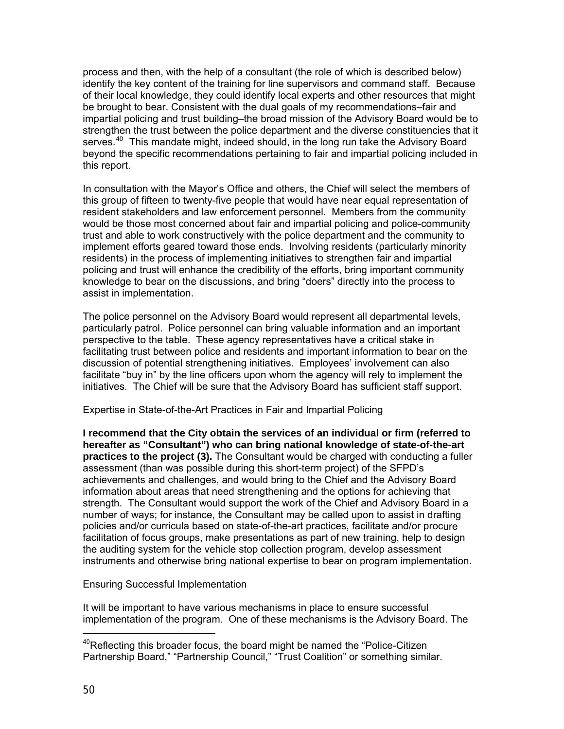process and then, with the help of a consultant (the role of which is described below) identify the key content of the training for line supervisors and command staff. Becaus e of their local knowledge, they could identify local experts and other resources that migh t be brought to bear. Consistent with the dual goals of my recommendations–fair an d impartial policing and trust building–the broad mission of the Advisory Board would b e to strengthen the trust between the police department and the diverse constituencies that it serves.<sup>40</sup> This mandate might, indeed should, in the long run take the Advisory Board beyond the specific recommendations pertaining to fair and impartial policing included in this report.

this group of fifteen to twenty-five people that would have near equal representation of resident stakeholders and law enforcement personnel. Members from the community would be those most concerned about fair and impartial policing and police-community In consultation with the Mayor's Office and others, the Chief will select the members of trust and able to work constructively with the police department and the community to implement efforts geared toward those ends. Involving residents (particularly minority residents) in the process of implementing initiatives to strengthen fair and impartial policing and trust will enhance the credibility of the efforts, bring important community knowledge to bear on the discussions, and bring "doers" directly into the process to assist in implementation.

particularly patrol. Police personnel can bring valuable information and an important facilitating trust between police and residents and important information to bear on the The police personnel on the Advisory Board would represent all departmental levels, perspective to the table. These agency representatives have a critical stake in discussion of potential strengthening initiatives. Employees' involvement can also facilitate "buy in" by the line officers upon whom the agency will rely to implement the initiatives. The Chief will be sure that the Advisory Board has sufficient staff support.

Expertise in State-of-the-Art Practices in Fair and Impartial Policing

practices to the project (3). The Consultant would be charged with conducting a fuller assessment (than was possible during this short-term project) of the SFPD's achievements and challenges, and would bring to the Chief and the Advisory Board strength. The Consultant would support the work of the Chief and Advisory Board in a number of ways; for instance, the Consultant may be called upon to assist in drafting policies and/or curricula based on state-of-the-art practices, facilitate and/or procure **I recommend that the City obtain the services of an individual or firm (referred to hereafter as "Consultant") who can bring national knowledge of state-of-the-art**  information about areas that need strengthening and the options for achieving that facilitation of focus groups, make presentations as part of new training, help to design the auditing system for the vehicle stop collection program, develop assessment instruments and otherwise bring national expertise to bear on program implementation.

Ensuring Successful Implementation

It will be important to have various mechanisms in place to ensure successful implementation of the program. One of these mechanisms is the Advisory Board. The

 $\overline{a}$ 

 $40$ Reflecting this broader focus, the board might be named the "Police-Citizen Partnership Board," "Partnership Council," "Trust Coalition" or something similar.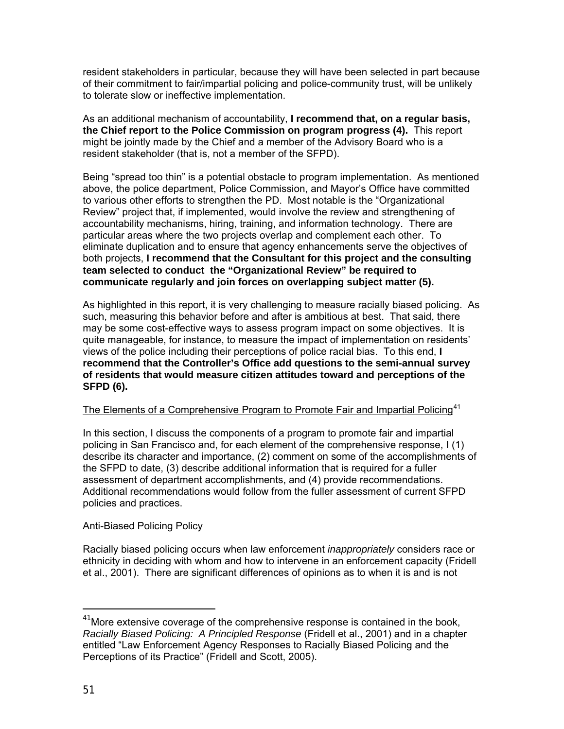resident stakeholders in particular, because they will have been selected in part b ecause of their commitment to fair/impartial policing and police-community trust, will be unlikely to tolerate slow or ineffective implementation.

As an additional mechanism of accountability, **I recommend that, on a regular basis,** the Chief report to the Police Commission on program progress (4). This report might be jointly made by the Chief and a member of the Advisory Board who is a resident stakeholder (that is, not a member of the SFPD).

Being "spread too thin" is a potential obstacle to program implementation. As mentioned to various other efforts to strengthen the PD. Most notable is the "Organizational particular areas where the two projects overlap and complement each other. To eliminate duplication and to ensure that agency enhancements serve the objectives of above, the police department, Police Commission, and Mayor's Office have committed Review" project that, if implemented, would involve the review and strengthening of accountability mechanisms, hiring, training, and information technology. There are both projects, **I recommend that the Consultant for this project and the consulting team selected to conduct the "Organizational Review" be required to communicate regularly and join forces on overlapping subject matter (5).** 

As As highlighted in this report, it is very challenging to measure racially biased policing. quite manageable, for instance, to measure the impact of implementation on residents' views of the police including their perceptions of police racial bias. To this end, **I** such, measuring this behavior before and after is ambitious at best. That said, there may be some cost-effective ways to assess program impact on some objectives. It is **recommend that the Controller's Office add questions to the semi-annual survey of residents that would measure citizen attitudes toward and perceptions of the SFPD (6).** 

# The Elements of a Comprehensive Program to Promote Fair and Impartial Policing<sup>41</sup>

. assessment of department accomplishments, and (4) provide recommendations Additional recommendations would follow from the fuller assessment of current SFPD In this section, I discuss the components of a program to promote fair and impartial policing in San Francisco and, for each element of the comprehensive response, I (1) describe its character and importance, (2) comment on some of the accomplishments of the SFPD to date, (3) describe additional information that is required for a fuller policies and practices.

# Anti-Biased Policing Policy

ethnicity in deciding with whom and how to intervene in an enforcement capacity (Fridell Racially biased policing occurs when law enforcement *inappropriately* considers race or et al., 2001). There are significant differences of opinions as to when it is and is not

-

 $41$ More extensive coverage of the comprehensive response is contained in the book, *Racially Biased Policing: A Principled Response* (Fridell et al., 2001) and in a chapter entitled "Law Enforcement Agency Responses to Racially Biased Policing and the Perceptions of its Practice" (Fridell and Scott, 2005).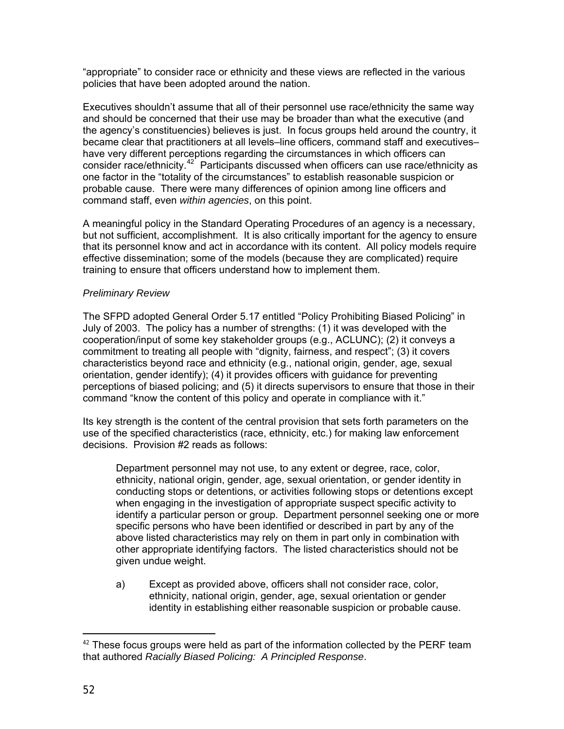"appropriate" to consider race or ethnicity and these views are reflected in the various policies that have been adopted around the nation.

Executives shouldn't assume that all of their personnel use race/ethnicity the same w ay and should be concerned that their use may be broader than what the executive (and the agency's constituencies) believes is just. In focus groups held around the country, it became clear that practitioners at all levels–line officers, command staff and executives – have very different perceptions regarding the circumstances in which officers can consider race/ethnicity.<sup>42</sup> Participants discussed when officers can use race/ethnicity as one factor in the "totality of the circumstances" to establish reasonable suspicion or probable cause. There were many differences of opinion among line officers and command staff, even *within agencies*, on this point.

but not sufficient, accomplishment. It is also critically important for the agency to ensure that its personnel know and act in accordance with its content. All policy models require A meaningful policy in the Standard Operating Procedures of an agency is a necessary, effective dissemination; some of the models (because they are complicated) require training to ensure that officers understand how to implement them.

## *Preliminary Review*

cooperation/input of some key stakeholder groups (e.g., ACLUNC); (2) it conveys a command "know the content of this policy and operate in compliance with it." The SFPD adopted General Order 5.17 entitled "Policy Prohibiting Biased Policing" in July of 2003. The policy has a number of strengths: (1) it was developed with the commitment to treating all people with "dignity, fairness, and respect"; (3) it covers characteristics beyond race and ethnicity (e.g., national origin, gender, age, sexual orientation, gender identify); (4) it provides officers with guidance for preventing perceptions of biased policing; and (5) it directs supervisors to ensure that those in their

Its key strength is the content of the central provision that sets forth parameters on the use of the specified characteristics (race, ethnicity, etc.) for making law enforcement decisions. Provision #2 reads as follows:

Department personnel may not use, to any extent or degree, race, color, conducting stops or detentions, or activities following stops or detentions except identify a particular person or group. Department personnel seeking one or more other appropriate identifying factors. The listed characteristics should not be ethnicity, national origin, gender, age, sexual orientation, or gender identity in when engaging in the investigation of appropriate suspect specific activity to specific persons who have been identified or described in part by any of the above listed characteristics may rely on them in part only in combination with given undue weight.

a) Except as provided above, officers shall not consider race, color, ethnicity, national origin, gender, age, sexual orientation or gender identity in establishing either reasonable suspicion or probable cause.

 $42$  These focus groups were held as part of the information collected by the PERF team that authored *Racially Biased Policing: A Principled Response*.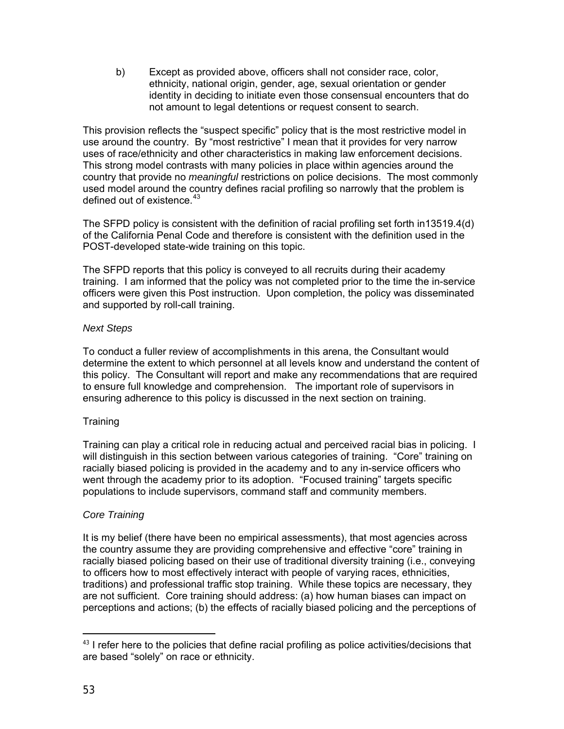b) Except as provided above, officers shall not consider race, color, ethnicity, national origin, gender, age, sexual orientation or gender identity in deciding to initiate even those consensual encounters that do not amount to legal detentions or request consent to search.

use around the country. By "most restrictive" I mean that it provides for very narrow uses of race/ethnicity and other characteristics in making law enforcement decisions. This strong model contrasts with many policies in place within agencies around the This provision reflects the "suspect specific" policy that is the most restrictive model in country that provide no *meaningful* restrictions on police decisions. The most commonly used model around the country defines racial profiling so narrowly that the problem is defined out of existence.<sup>43</sup>

The SFPD policy is consistent with the definition of racial profiling set forth in13519.4(d) of the California Penal Code and therefore is consistent with the definition used in the POST-developed state-wide training on this topic.

The SFPD reports that this policy is conveyed to all recruits during their academy training. I am informed that the policy was not completed prior to the time the in-service officers were given this Post instruction. Upon completion, the policy was disseminated and supported by roll-call training.

# *Next Steps*

determine the extent to which personnel at all levels know and understand the content of this policy. The Consultant will report and make any recommendations that are required to ensure full knowledge and comprehension. The important role of supervisors in ensuring adherence to this policy is discussed in the next section on training. To conduct a fuller review of accomplishments in this arena, the Consultant would

# Training

racially biased policing is provided in the academy and to any in-service officers who Training can play a critical role in reducing actual and perceived racial bias in policing. I will distinguish in this section between various categories of training. "Core" training on went through the academy prior to its adoption. "Focused training" targets specific populations to include supervisors, command staff and community members.

# *Core Training*

It is my belief (there have been no empirical assessments), that most agencies across traditions) and professional traffic stop training. While these topics are necessary, they are not sufficient. Core training should address: (a) how human biases can impact on perceptions and actions; (b) the effects of racially biased policing and the perceptions of the country assume they are providing comprehensive and effective "core" training in racially biased policing based on their use of traditional diversity training (i.e., conveying to officers how to most effectively interact with people of varying races, ethnicities,

 $43$  I refer here to the policies that define racial profiling as police activities/decisions that are based "solely" on race or ethnicity.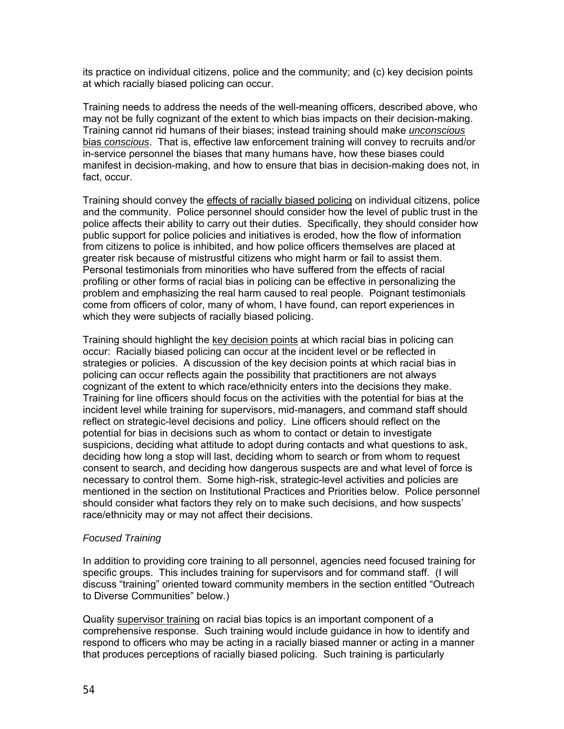its practice on individual citizens, police and the community; and (c) key decision points at which racially biased policing can occur.

. may not be fully cognizant of the extent to which bias impacts on their decision-making Training needs to address the needs of the well-meaning officers, described above, who Training cannot rid humans of their biases; instead training should make *unconscious* bias *conscious*. That is, effective law enforcement training will convey to recruits and/or in-service personnel the biases that many humans have, how these biases could manifest in decision-making, and how to ensure that bias in decision-making does not, in fact, occur.

Training should convey the effects of racially biased policing on individual citizens, police and the community. Police personnel should consider how the level of public trust in the Personal testimonials from minorities who have suffered from the effects of racial rofiling or other forms of racial bias in policing can be effective in personalizing the p problem and emphasizing the real harm caused to real people. Poignant testimonials come from officers of color, many of whom, I have found, can report experiences in police affects their ability to carry out their duties. Specifically, they should consider how public support for police policies and initiatives is eroded, how the flow of information from citizens to police is inhibited, and how police officers themselves are placed at greater risk because of mistrustful citizens who might harm or fail to assist them. which they were subjects of racially biased policing.

Training should highlight the key decision points at which racial bias in policing can occur: Racially biased policing can occur at the incident level or be reflected in strategies or policies. A discussion of the key decision points at which racial bias in policing can occur reflects again the possibility that practitioners are not always cognizant of the extent to which race/ethnicity enters into the decisions they make. Training for line officers should focus on the activities with the potential for bias at the incident level while training for supervisors, mid-managers, and command staff should suspicions, deciding what attitude to adopt during contacts and what questions to ask, deciding how long a stop will last, deciding whom to search or from whom to request consent to search, and deciding how dangerous suspects are and what level of force is necess ary to control them. Some high-risk, strategic-level activities and policies are mentioned in the section on Institutional Practices and Priorities below. Police personnel should consider what factors they rely on to make such decisions, and how suspects' race/et hnicity may or may not affect their decisions. reflect on strategic-level decisions and policy. Line officers should reflect on the potential for bias in decisions such as whom to contact or detain to investigate

### *Focuse d Training*

In addition to providing core training to all personnel, agencies need focused training for specific groups. This includes training for supervisors and for command staff. (I will discuss "training" oriented toward community members in the section entitled "Outreach to Diverse Com munities" below.)

Quality supervisor training on racial bias topics is an important component of a comprehensive response. Such training would include guidance in how to identify and respond to officers who may be acting in a racially biased manner or acting in a manner that produces perceptions of racially biased policing. Such training is particularly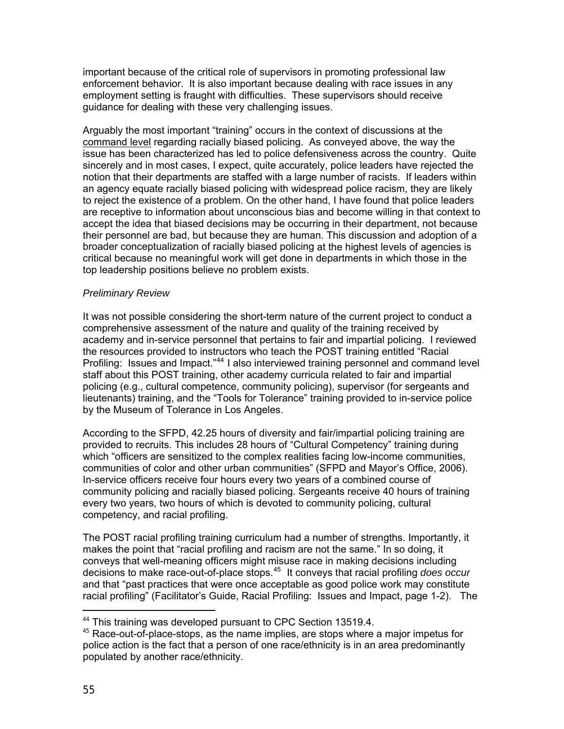important because of the critical role of supervisors in promoting professional law enforcement behavior. It is also important because dealing with race issues in any employment setting is fraught with difficulties. These supervisors should receive guidance for d ealing with these very challenging issues.

Arguably the most important "training" occurs in the context of discussions at the command level regarding racially biased policing. As conveyed above, the way the issue has been characterized has led to police defensiveness across the country. Quit e sincerely and in most cases, I expect, quite accurately, police leaders have rejected the notion that their departments are staffed with a large number of racists. If leaders within an agency equate racially biased policing with widespread police racism, they are likely to reject the existence of a problem. On the other hand, I have found that police leaders are receptive to information about unconscious bias and become willing in that context to broader conceptualization of racially biased policing at the highest levels of agencies is ritical because no meaningful work will get done in departments in which those in the c accept the idea that biased decisions may be occurring in their department, not because their personnel are bad, but because they are human. This discussion and adoption of a top leadership positions believe no problem exists.

## *Preliminary Review*

It was not possible considering the short-term nature of the current project to conduct a comprehensive assessment of the nature and quality of the training received by academy and in-service personnel that pertains to fair and impartial policing. I reviewed policing (e.g., cultural competence, community policing), supervisor (for sergeants and lieutenants) training, and the "Tools for Tolerance" training provided to in-service police by the Museum of Tolerance in Los Angeles. the resources provided to instructors who teach the POST training entitled "Racial Profiling: Issues and Impact."<sup>44</sup> I also interviewed training personnel and command level staff about this POST training, other academy curricula related to fair and impartial

According to the SFPD, 42.25 hours of diversity and fair/impartial policing training are . communities of color and other urban communities" (SFPD and Mayor's Office, 2006) community policing and racially biased policing. Sergeants receive 40 hours of training every two years, two hours of which is devoted to community policing, cultural competency, and racial profiling. provided to recruits. This includes 28 hours of "Cultural Competency" training during which "officers are sensitized to the complex realities facing low-income communities, In-service officers receive four hours every two years of a combined course of

decisions to make race-out-of-place stops.<sup>45</sup> It conveys that racial profiling *does occur* racial profiling" (Facilitator's Guide, Racial Profiling: Issues and Impact, page 1-2). The The POST racial profiling training curriculum had a number of strengths. Importantly, it makes the point that "racial profiling and racism are not the same." In so doing, it conveys that well-meaning officers might misuse race in making decisions including and that "past practices that were once acceptable as good police work may constitute

<span id="page-57-0"></span><sup>&</sup>lt;sup>44</sup> This training was developed pursuant to CPC Section 13519.4.

 $45$  Race-out-of-place-stops, as the name implies, are stops where a major impetus for police action is the fact that a person of one race/ethnicity is in an area predominantly populated by another race/ethnicity.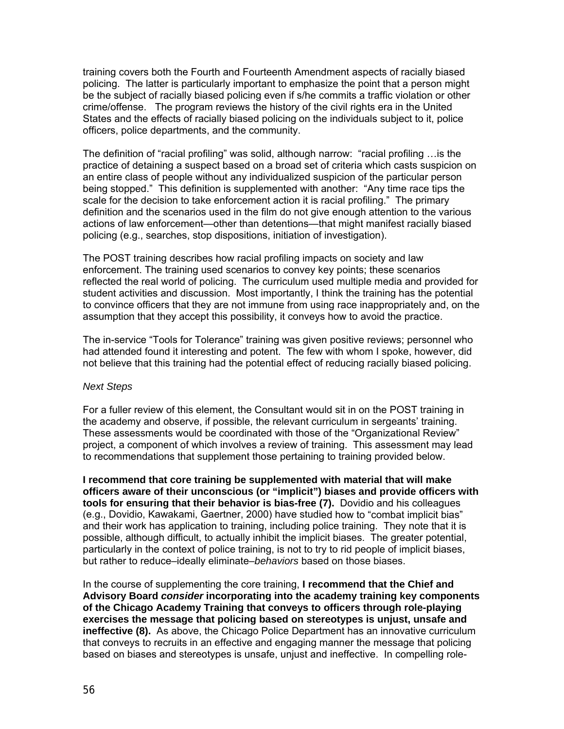training covers both the Fourth and Fourteenth Amendment aspects of racially biased policing. The latter is particularly important to emphasize the point that a person might be the subject of racially biased policing even if s/he commits a traffic violation or other crime/offense. The program reviews the history of the civil rights era in the United States and the effects of racially biased policing on the individuals subject to it, police officers, police departments, and the community.

The definition of "racial profiling" was solid, although narrow: "racial profiling ... is the an entire class of people without any individualized suspicion of the particular person being stopped." This definition is supplemented with another: "Any time race tips the practice of detaining a suspect based on a broad set of criteria which casts suspicion on scale for the decision to take enforcement action it is racial profiling." The primary definition and the scenarios used in the film do not give enough attention to the various actions of law enforcement—other than detentions—that might manifest racially biased policing (e.g., searches, stop dispositions, initiation of investigation).

reflected the real world of policing. The curriculum used multiple media and provided for student activities and discussion. Most importantly, I think the training has the potential to convince officers that they are not immune from using race inappropriately and, on the assumption that they accept this possibility, it conveys how to avoid the practice. The POST training describes how racial profiling impacts on society and law enforcement. The training used scenarios to convey key points; these scenarios

The in-service "Tools for Tolerance" training was given positive reviews; personnel who had attended found it interesting and potent. The few with whom I spoke, however, did not believe that this training had the potential effect of reducing racially biased policing.

#### *Next Steps*

the academy and observe, if possible, the relevant curriculum in sergeants' training. These assessments would be coordinated with those of the "Organizational Review" For a fuller review of this element, the Consultant would sit in on the POST training in project, a component of which involves a review of training. This assessment may lead to recommendations that supplement those pertaining to training provided below.

(e.g., Dovidio, Kawakami, Gaertner, 2000) have studied how to "combat implicit bias" and their work has application to training, including police training. They note that it is possible, although difficult, to actually inhibit the implicit biases. The greater potential, particularly in the context of police training, is not to try to rid people of implicit biases, **I recommend that core training be supplemented with material that will make officers aware of their unconscious (or "implicit") biases and provide officers with tools for ensuring that their behavior is bias-free (7).** Dovidio and his colleagues but rather to reduce–ideally eliminate–*behaviors* based on those biases.

Advisory Board *consider* incorporating into the academy training key components **f the Chicago Academy Training that conveys to officers through role-playing o** exercises the message that policing based on stereotypes is unjust, unsafe and based on biases and stereotypes is unsafe, unjust and ineffective. In compelling role-In the course of supplementing the core training, **I recommend that the Chief and ineffective (8).** As above, the Chicago Police Department has an innovative curriculum that conveys to recruits in an effective and engaging manner the message that policing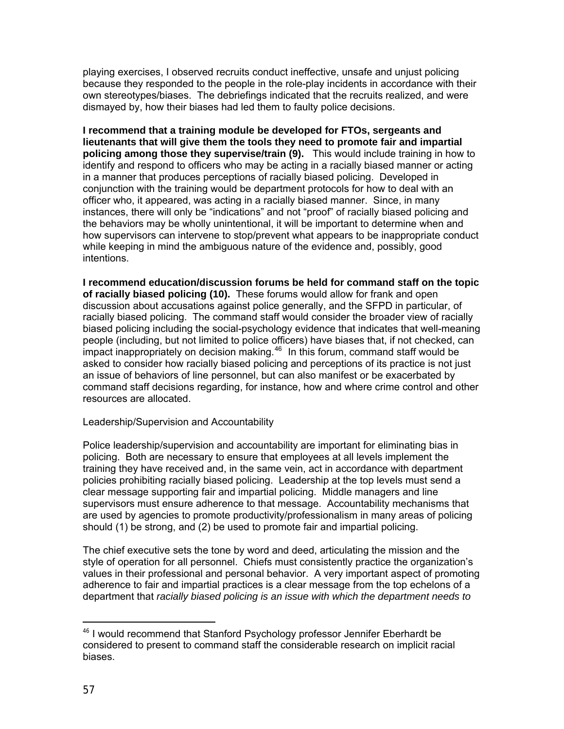playing exercises, I observed recruits conduct ineffective, unsafe and unjust policin g because they responded to the people in the role-play incidents in accordance with t heir own stereotypes/biases. The debriefings indicated that the recruits realized, and w ere dismayed by, how their biases had led them to faulty police decisions.

**I recommend that a training module be developed for FTOs, sergeants and lieutenants that will give them the tools they need to promote fair and impartial policing among those they supervise/train (9).** This would include training in how to identify and respond to officers who may be acting in a racially biased manner or acting in a manner that produces perceptions of racially biased policing. Developed in conjunction with the training would be department protocols for how to deal with an officer who, it appeared, was acting in a racially biased manner. Since, in many instances, there will only be "indications" and not "proof" of racially biased policing and the behaviors may be wholly unintentional, it will be important to determine when and how supervisors can intervene to stop/prevent what appears to be inappropriate conduct while keeping in mind the ambiguous nature of the evidence and, possibly, good intentions.

I recommend education/discussion forums be held for command staff on the topic of racially biased policing (10). These forums would allow for frank and open discussion about accusations against police generally, and the SFPD in particular, of biased policing including the social-psychology evidence that indicates that well-meaning impact inappropriately on decision making. $46$  In this forum, command staff would be command staff decisions regarding, for instance, how and where crime control and other racially biased policing. The command staff would consider the broader view of racially people (including, but not limited to police officers) have biases that, if not checked, can asked to consider how racially biased policing and perceptions of its practice is not just an issue of behaviors of line personnel, but can also manifest or be exacerbated by resources are allocated.

# Leadership/Supervision and Accountability

policies prohibiting racially biased policing. Leadership at the top levels must send a supervisors must ensure adherence to that message. Accountability mechanisms that are used by agencies to promote productivity/professionalism in many areas of policing should (1) be strong, and (2) be used to promote fair and impartial policing. Police leadership/supervision and accountability are important for eliminating bias in policing. Both are necessary to ensure that employees at all levels implement the training they have received and, in the same vein, act in accordance with department clear message supporting fair and impartial policing. Middle managers and line

The chief executive sets the tone by word and deed, articulating the mission and the style of operation for all personnel. Chiefs must consistently practice the organization's values in their professional and personal behavior. A very important aspect of promoting adherence to fair and impartial practices is a clear message from the top echelons of a department that *racially biased policing is an issue with which the department needs to* 

<span id="page-59-0"></span><sup>46</sup> I would recommend that Stanford Psychology professor Jennifer Eberhardt be considered to present to command staff the considerable research on implicit racial biases.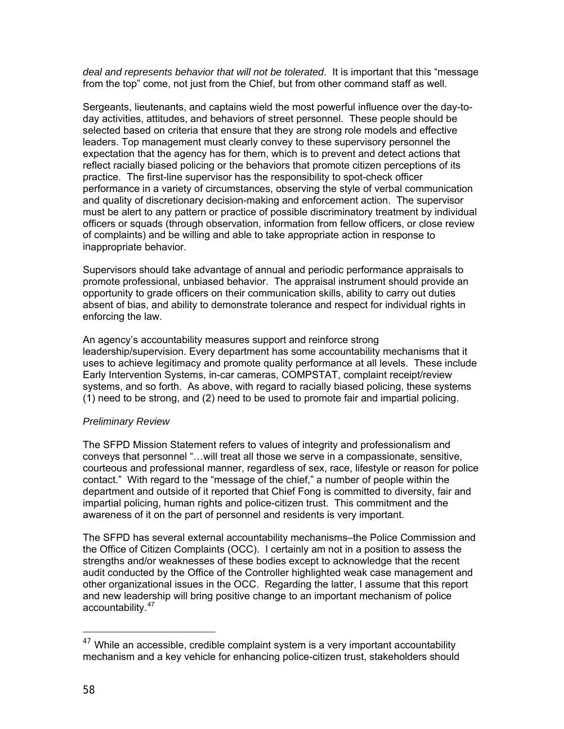deal and represents behavior that will not be tolerated. It is important that this "message from the top" come, not just from the Chief, but from other command staff as well.

Sergeants, lieutenants, and captains wield the most powerful influence over the day-today activities, attitudes, and behaviors of street personnel. These people should be selected based on criteria that ensure that they ar e strong role models and effective leaders. Top management must clearly convey to these supervisory personnel the and quality of discretionary decision-making and enforcement action. The supervisor of complaints) and be willing and able to take appropriate action in response to inappropriate behavior. expectation that the agency has for them, which is to prevent and detect actions that reflect racially biased policing or the behaviors that promote citizen perceptions of its practice. The first-line supervisor has the responsibility to spot-check officer performance in a variety of circumstances, observing the style of verbal communication must be alert to any pattern or practice of possible discriminatory treatment by individual officers or squads (through observation, information from fellow officers, or close review

Supervisors should take advantage of annual and periodic performance appraisals to promote professional, unbiased behavior. The appraisal instrument should provide an opportunity to grade officers on their communication skills, ability to carry out duties absent of bias, and ability to demonstrate tolerance and respect for individual rights in enforcing the law.

Early Intervention Systems, in-car cameras, COMPSTAT, complaint receipt/review systems, and so forth. As above, with regard to racially biased policing, these systems ) need to be strong, and (2) need to be used to promote fair and impartial policing. (1 An agency's accountability measures support and reinforce strong leadership/supervision. Every department has some accountability mechanisms that it uses to achieve legitimacy and promote quality performance at all levels. These include

# *Preliminary Review*

conveys that personnel "...will treat all those we serve in a compassionate, sensitive, courteous and professional manner, regardless of sex, race, lifestyle or reason for police The SFPD Mission Statement refers to values of integrity and professionalism and contact." With regard to the "message of the chief," a number of people within the department and outside of it reported that Chief Fong is committed to diversity, fair and impartial policing, human rights and police-citizen trust. This commitment and the awareness of it on the part of personnel and residents is very important.

strengths and/or weaknesses of these bodies except to acknowledge that the recent audit conducted by the Office of the Controller highlighted weak case management and other organizational issues in the OCC. Regarding the latter, I assume that this report The SFPD has several external accountability mechanisms–the Police Commission and the Office of Citizen Complaints (OCC). I certainly am not in a position to assess the and new leadership will bring positive change to an important mechanism of police accountability.<sup>47</sup>

 $47$  While an accessible, credible complaint system is a very important accountability mechanism and a key vehicle for enhancing police-citizen trust, stakeholders should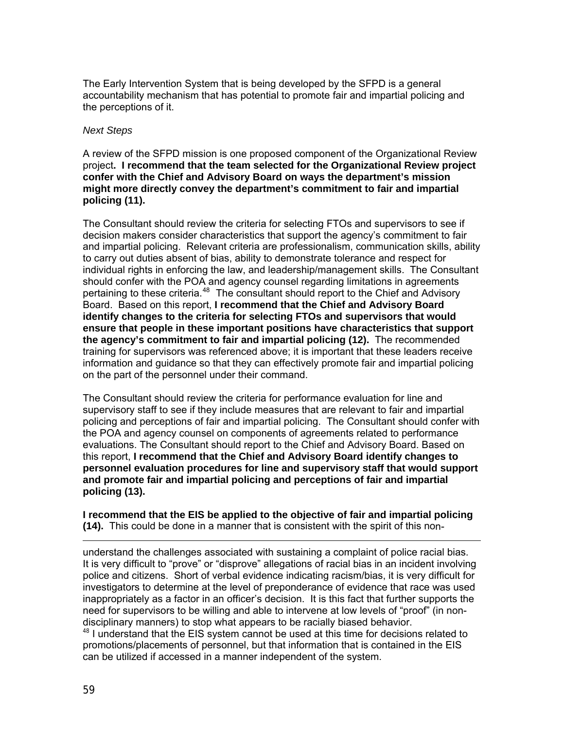The Early Intervention System that is being developed by the SFPD is a general accountability mechanism that has potential to promote fair and impartial policing and the perceptions of it.

#### *Next Steps*

A review of the SFPD mission is one proposed component of the Organizational Review project**. I recommend that the team selected for the Organizational Review project confer with the Chief and Advisory Board on ways the department's missio n might more directly convey the department's commitment to fair and impartial policing (11).** 

The Consultant should review the criteria for selecting FTOs and supervisors to see if decision makers consider characteristics that support the agency's commitment to fair and impartial policing. Relevant criteria are professionalism, communication skills , ability to carry out dut ies absent of bias, ability to demonstrate tolerance and respect for individual rights in enforcing the law, and leadership/management skills. The Consultant pertaining to these criteria.<sup>[48](#page-59-0)</sup> The consultant should report to the Chief and Advisory training for supervisors was referenced above; it is important that these leaders receive should confer with the POA and agency counsel regarding limitations in agreements Board. Based on this report, **I recommend that the Chief and Advisory Board identify changes to the criteria for selecting FTOs and supervisors that would ensure that people in these important positions have characteristics that support the agency's commitment to fair and impartial policing (12).** The recommended information and guidance so that they can effectively promote fair and impartial policing on the part of the personnel under their command.

The Consultant should review the criteria for performance evaluation for line and supervisory staff to see if they include measures that are relevant to fair and impartial policing and perceptions of fair and impartial policing. The Consultant should confer with the POA and agency counsel on components of agreements related to performance personnel evaluation procedures for line and supervisory staff that would support evaluations. The Consultant should report to the Chief and Advisory Board. Based on this report, **I recommend that the Chief and Advisory Board identify changes to and promote fair and impartial policing and perceptions of fair and impartial policing (13).** 

(14). This could be done in a manner that is consistent with the spirit of this non-**I recommend that the EIS be applied to the objective of fair and impartial policing** 

. understand the challenges associated with sustaining a complaint of police racial bias need for supervisors to be willing and able to intervene at low levels of "proof" (in nondisciplinary manners) to stop what appears to be racially biased behavior. It is very difficult to "prove" or "disprove" allegations of racial bias in an incident involving police and citizens. Short of verbal evidence indicating racism/bias, it is very difficult for investigators to determine at the level of preponderance of evidence that race was used inappropriately as a factor in an officer's decision. It is this fact that further supports the

 $48$  I understand that the EIS system cannot be used at this time for decisions related to can be utilized if accessed in a manner independent of the system. promotions/placements of personnel, but that information that is contained in the EIS

 $\overline{a}$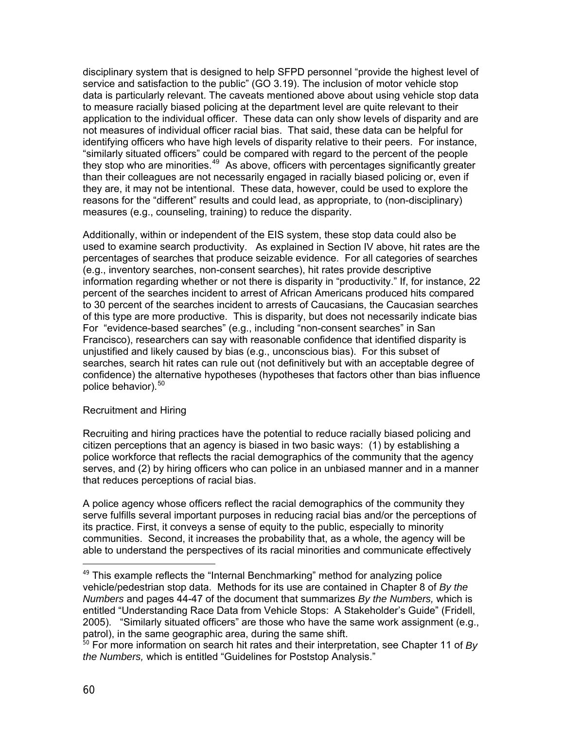disciplinary system that is designed to help SFPD personnel "provide the highest level of service and satisfaction to the public" (GO 3.19). The inclusion of motor vehicle stop data is particularly relevant. The caveats mentioned above about using vehicle stop data application to the individual officer. These data can only show levels of disparity and are identifying officers who have high levels of disparity relative to their peers. For instance, than their colleagues are not necessarily engaged in racially biased policing or, even if to measure racially biased policing at the department level are quite relevant to their not measures of individual officer racial bias. That said, these data can be helpful for "similarly situated officers" could be compared with regard to the percent of the people they stop who are minorities.<sup>49</sup> As above, officers with percentages significantly greater they are, it may not be intentional. These data, however, could be used to explore the reasons for the "different" results and could lead, as appropriate, to (non-disciplinary) measures (e.g., counseling, training) to reduce the disparity.

Additionally, within or independent of the EIS system, these stop data could also be used to examine search productivity. As explained in Section IV above, hit rates are the percentages of searches that produce seizable evidence. For all categories of searches 2 information regarding whether or not there is disparity in "productivity." If, for instance, 2 percent of the searches incident to arrest of African Americans produced hits compared to 30 percent of the searches incident to arrests of Caucasians, the Caucasian searches of this type are more productive. This is disparity, but does not necessarily indicate bias For "evidence-based searches" (e.g., including "non-consent searches" in San Francisco), researchers can say with reasonable confidence that identified disparity is confidence) the alternative hypotheses (hypotheses that factors other than bias influence (e.g., inventory searches, non-consent searches), hit rates provide descriptive unjustified and likely caused by bias (e.g., unconscious bias). For this subset of searches, search hit rates can rule out (not definitively but with an acceptable degree of police behavior).<sup>50</sup>

# Recruitment and Hiring

Recruiting and hiring practices have the potential to reduce racially biased policing and police workforce that reflects the racial demographics of the community that the agency citizen perceptions that an agency is biased in two basic ways: (1) by establishing a serves, and (2) by hiring officers who can police in an unbiased manner and in a manner that reduces perceptions of racial bias.

A police agency whose officers reflect the racial demographics of the community they serve fulfills several important purposes in reducing racial bias and/or the perceptions of its practice. First, it conveys a sense of equity to the public, especially to minority able to understand the perspectives of its racial minorities and communicate effectively communities. Second, it increases the probability that, as a whole, the agency will be

<span id="page-62-0"></span><sup>&</sup>lt;sup>49</sup> This example reflects the "Internal Benchmarking" method for analyzing police vehicle/pedestrian stop data. Methods for its use are contained in Chapter 8 of *By the Numbers* and pages 44-47 of the document that summarizes *By the Numbers,* whic h is entitled "Understa nding Race Data from Vehicle Stops: A Stakeholder's Guide" (Fridell, 2005). "Similarly situated officers" are those who have the same work assignment (e.g., patrol), in the same geographic area, during the same shift.

<sup>&</sup>lt;sup>50</sup> For more information on search hit rates and their interpretation, see Chapter 11 of By *the Numbers,* which is entitled "Guidelines for Poststop Analysis."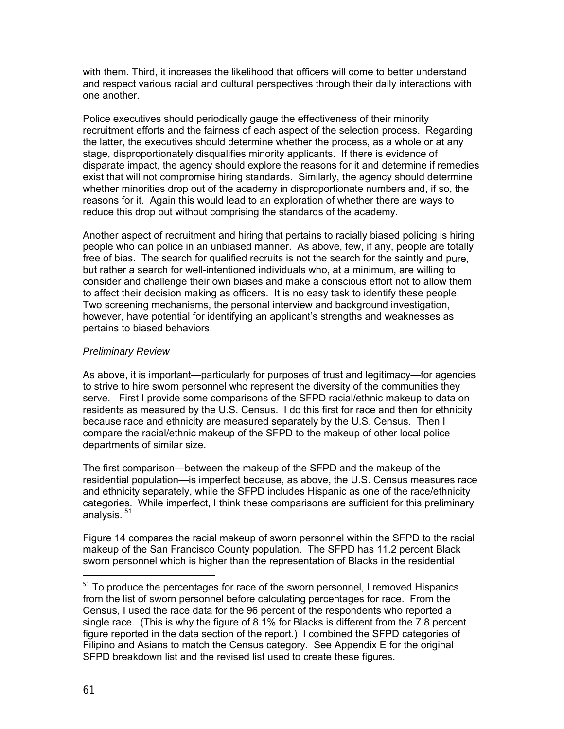with them. Third, it increases the likelihood that officers will come to better understand and respect various racial and cultural perspectives through their daily interactions with one another.

Police executives should periodically gauge the effectiveness of their minority recruitment efforts and the fairness of each aspect of the selection process. Regarding the latter, the executives should determine whether the process, as a whole or at any exist that will not compromise hiring standards. Similarly, the agency should determine whether minorities drop out of the academy in disproportionate numbers and, if so, the reasons for it. Again this would lead to an exploration of whether there are ways to reduce this drop out without comprising the standards of the academy. stage, disproportionately disqualifies minority applicants. If there is evidence of disparate impact, the agency should explore the reasons for it and determine if remedies

free of bias. The search for qualified recruits is not the search for the saintly and pure, consider and challenge their own biases and make a conscious effort not to allow them Another aspect of recruitment and hiring that pertains to racially biased policing is hiring people who can police in an unbiased manner. As above, few, if any, people are totally but rather a search for well-intentioned individuals who, at a minimum, are willing to to affect their decision making as officers. It is no easy task to identify these people. Two screening mechanisms, the personal interview and background investigation, however, have potential for identifying an applicant's strengths and weaknesses as pertains to biased behaviors.

# *Preliminary Review*

As above, it is important—particularly for purposes of trust and legitimacy—for agencies to strive to hire sworn personnel who represent the diversity of the communities they serve. First I provide some comparisons of the SFPD racial/ethnic makeup to data on residents as measured by the U.S. Census. I do this first for race and then for ethnicity because race and ethnicity are measured separately by the U.S. Census. Then I compare the racial/ethnic makeup of the SFPD to the makeup of other local police departments of similar size.

residential population—is imperfect because, as above, the U.S. Census measures race and ethnicity separately, while the SFPD includes Hispanic as one of the race/ethnicity ategories. While imperfect, I think these comparisons are sufficient for this preliminary c The first comparison—between the makeup of the SFPD and the makeup of the analysis. [51](#page-62-0)

Figure 14 compares the racial makeup of sworn personnel within the SFPD to the racial makeup of the San Francisco County population. The SFPD has 11.2 percent Black sworn personnel which is higher than the representation of Blacks in the residential

<sup>&</sup>lt;sup>51</sup> To produce the percentages for race of the sworn personnel, I removed Hispanics from the list of sworn personnel before calculating percentages for race. From the Census, I used the race data for the 96 percent of the respondents who reported a single race. (This is why the figure of 8.1% for Blacks is different from the 7.8 percent figure reported in the data section of the report.) I combined the SFPD categories of Filipino and Asians to match the Census category. See Appendix E for the original SFPD breakdown list and the revised list used to create these figures.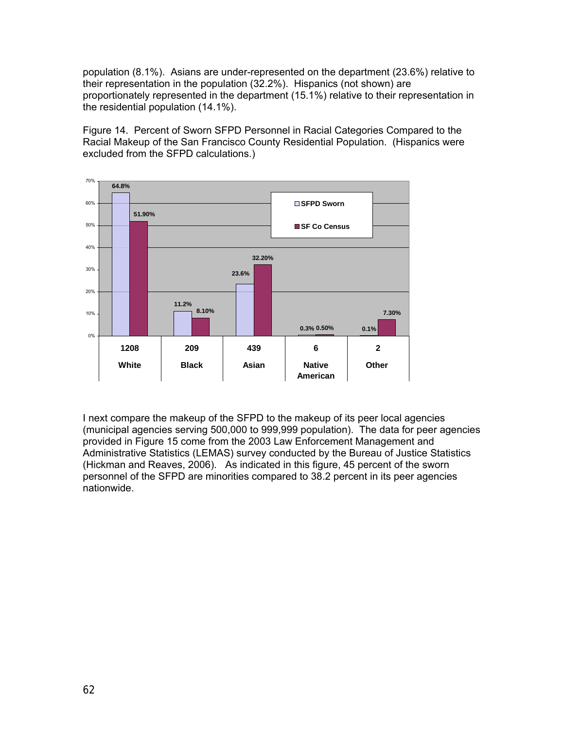population (8.1%). Asians are under-represented on the department (23.6%) relative to their representation in the population (32.2%). Hispanics (not shown) are proportionately represented in the department (15.1%) relative to their representation in the residential population (14.1%).

Figure 14. Percent of Sworn SFPD Personnel in Racial Categories Compared to the Racial Makeup of the San Francisco County Residential Population. (Hispanics were excluded from the SFPD calculations.)



I next compare the makeup of the SFPD to the makeup of its peer local agencies (municipal agencies serving 500,000 to 999,999 population). The data for peer agencies provided in Figure 15 come from the 2003 Law Enforcement Management and Administrative Statistics (LEMAS) survey conducted by the Bureau of Justice Statistics (Hickman and Reaves, 2006). As indicated in this figure, 45 percent of the sworn personnel of the SFPD are minorities compared to 38.2 percent in its peer agencies nationwide.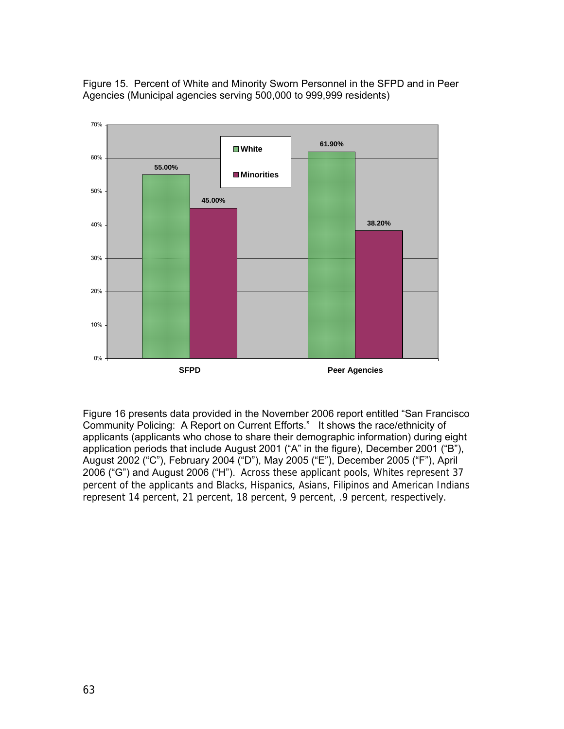

Figure 15. Percent of White and Minority Sworn Personnel in the SFPD and in Peer Agencies (Municipal agencies serving 500,000 to 999,999 residents)

applicants (applicants who chose to share their demographic information) during eight application periods that include August 2001 ("A" in the figure), December 2001 ("B"), Figure 16 presents data provided in the November 2006 report entitled "San Francisco Community Policing: A Report on Current Efforts." It shows the race/ethnicity of August 2002 ("C"), February 2004 ("D"), May 2005 ("E"), December 2005 ("F"), April 2006 ("G") and August 2006 ("H"). Across these applicant pools, Whites represent 37 percent of the applicants and Blacks, Hispanics, Asians, Filipinos and American Indians represent 14 percent, 21 percent, 18 percent, 9 percent, .9 percent, respectively.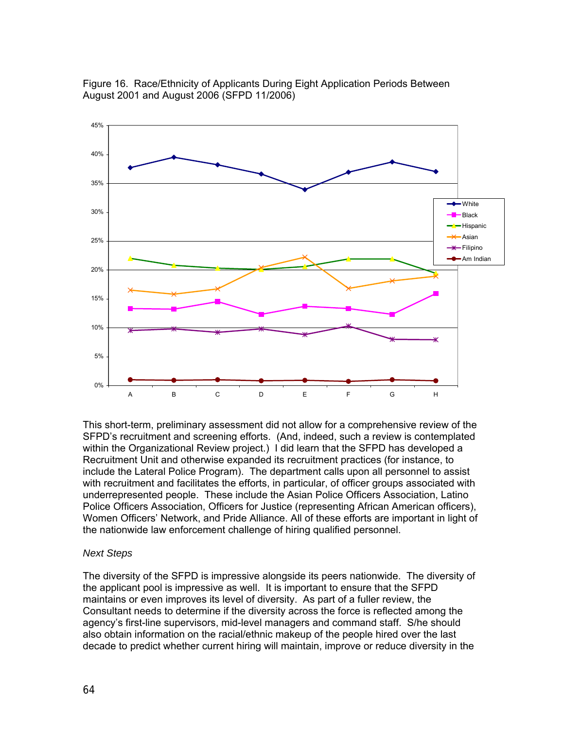

Figure 16. Race/Ethnicity of Applicants During Eight Application Periods B etween August 2001 and August 2006 (SFPD 11/2006)

This short-term, preliminary assessment did not allow for a comprehensive review of the with recruitment and facilitates the efforts, in particular, of officer groups associated with underrepresented people. These include the Asian Police Officers Association, Latino Police Officers Association, Officers for Justice (representing African American officers), Women Officers' Network, and Pride Alliance. All of these efforts are important in light of the nationwide law enforcement challenge of hiring qualified personnel. SFPD's recruitment and screening efforts. (And, indeed, such a review is contemplated within the Organizational Review project.) I did learn that the SFPD has developed a Recruitment Unit and otherwise expanded its recruitment practices (for instance, to include the Lateral Police Program). The department calls upon all personnel to assist

#### *Next Steps*

The diversity of the SFPD is impressive alongside its peers nationwide. The diversity of the applicant pool is impressive as well. It is important to ensure that the SFPD maintains or even improves its level of diversity. As part of a fuller review, the Consultant needs to determine if the diversity across the force is reflected among the agency's first-line supervisors, mid-level managers and command staff. S/he should also obtain information on the racial/ethnic makeup of the people hired over the last decade to predict whether current hiring will maintain, improve or reduce diversity in the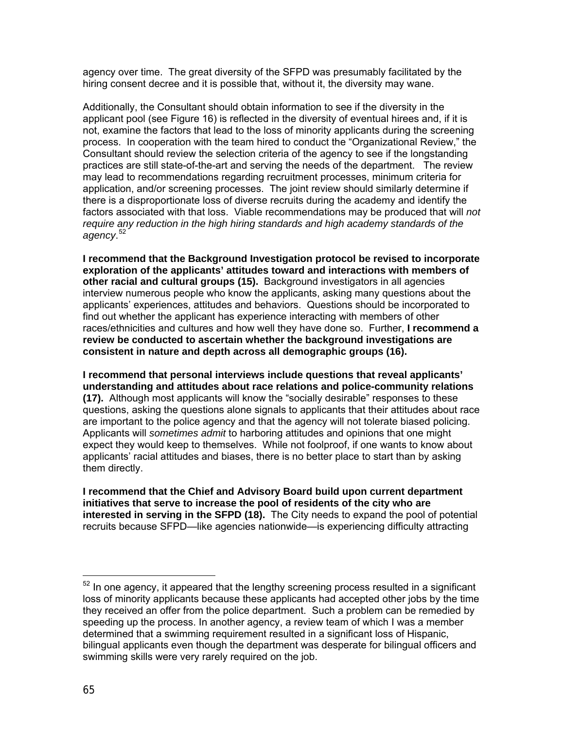agency over time. The great diversity of the SFPD was presumably facilitated by the hiring consent decree and it is possible that, without it, the diversity may wane.

Additionally, the Consultant should obtain information to see if the diversity in the applicant pool (see Figure 16) is reflected in the diversity of eventual hirees and, if it is not, examine the factors that lead to the loss of minority applicants during the screening process. In cooperation with the team hired to conduct the "Organizational Review," the Consultant should review the selection criteria of the agency to see if the longstanding practices are still state-of-the-art and serving the needs of the department. The review may lead to recommendations regarding recruitment processes, minimum criteria for application, and/or screening processes. The joint review should similarly determine if there is a disproportionate loss of diverse recruits during the academy and identify the factors associated with that loss. Viable recommendations may be produced that will *not require any reduction in the high hiring standards and high academy standards of the agency*. 52

**I recommend that the Background Investigation protocol be revised to incorporate exploration of the applicants' attitudes toward and interactions with members of other racial and cultural groups (15).** Background investigators in all agencies interview numerous people who know the applicants, asking many questions about the applicants' experiences, attitudes and behaviors. Questions should be incorporated to find out whether the applicant has experience interacting with members of other races/ethnicities and cultures and how well they have done so. Further, **I recommend a review be conducted to ascertain whether the background investigations are consistent in nature and depth across all demographic groups (16).** 

**nderstanding and attitudes about race relations and police-community relations u 7).** Although most applicants will know the "socially desirable" responses to these **(1** questions, asking the questions alone signals to applicants that their attitudes about race **I recommend that personal interviews include questions that reveal applicants'**  are important to the police agency and that the agency will not tolerate biased policing. Applicants will *sometimes admit* to harboring attitudes and opinions that one might expect they would keep to themselves. While not foolproof, if one wants to know about applicants' racial attitudes and biases, there is no better place to start than by asking them directly.

interested in serving in the SFPD (18). The City needs to expand the pool of potential recruits because SFPD—like agencies nationwide—is experiencing difficulty attracting **I recommend that the Chief and Advisory Board build upon current department initiatives that serve to increase the pool of residents of the city who are** 

 $52$  In one agency, it appeared that the lengthy screening process resulted in a significant loss of minority applicants because these applicants had accepted other jobs by the time they received an offer from the police department. Such a problem can be remedied by speeding up the process. In another agency, a review team of which I was a member determined that a swimming requirement resulted in a significant loss of Hispanic, bilingual applicants even though the department was desperate for bilingual officers and swimming skills were very rarely required on the job.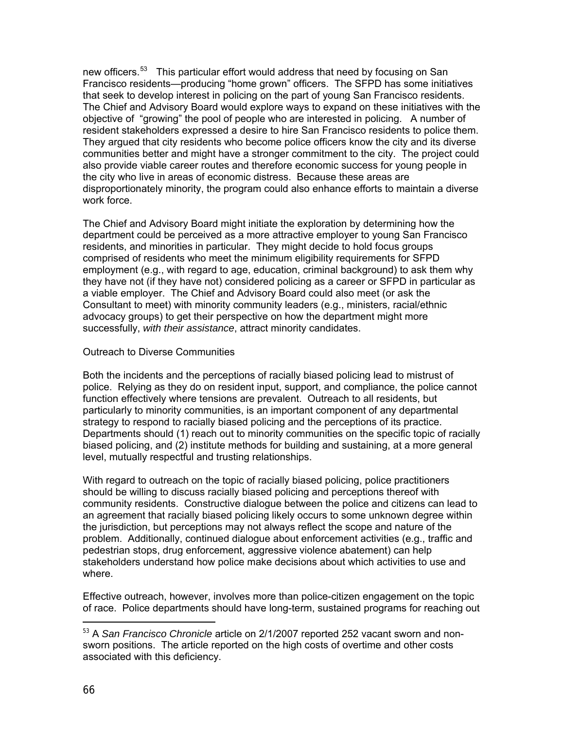new officers.<sup>53</sup> This particular effort would address that need by focusing on San Francisco residents—producing "home grown" officers. The SFPD has some initiatives that seek to develop interest in policing on the part of young San Francisco residents. The Chief and Advisory Board would explore ways to expand on these initiatives with the objective of "growing" the pool of people who are interested in policing. A number of resident stakeholders expressed a desire to hire San Francisco residents to police them. They argued that city residents who become police officers know the city and its diverse communities better and might have a stronger commitment to the city. The project could also provide viable career routes and therefore economic success for young people in the city who live in areas of economic distress. Because these areas are disproportionately minority, the program could also enhance efforts to maintain a diverse work force.

The Chief and Advisory Board might initiate the exploration by determining how the department could be perceived as a more attractive employer to young San Francisco residents, and minorities in particular. They might decide to hold focus groups comprised of residents who meet the minimum eligibility requirements for SFPD employment (e.g., with regard to age, education, criminal background) to ask them why they have not (if they have not) considered policing as a career or SFPD in particular as a viable employer. The Chief and Advisory Board could also meet (or ask the Consultant to meet) with minority community leaders (e.g., ministers, racial/ethnic advocacy groups) to get their perspective on how the department might more successfully, *with their assistance*, attract minority candidates.

# Outreach to Diverse Communities

particularly to minority communities, is an important component of any departmental strategy to respond to racially biased policing and the perceptions of its practice. Both the incidents and the perceptions of racially biased policing lead to mistrust of police. Relying as they do on resident input, support, and compliance, the police cannot function effectively where tensions are prevalent. Outreach to all residents, but Departments should (1) reach out to minority communities on the specific topic of racially biased policing, and (2) institute methods for building and sustaining, at a more general level, mutually respectful and trusting relationships.

stakeholders understand how police make decisions about which activities to use and With regard to outreach on the topic of racially biased policing, police practitioners should be willing to discuss racially biased policing and perceptions thereof with community residents. Constructive dialogue between the police and citizens can lead to an agreement that racially biased policing likely occurs to some unknown degree within the jurisdiction, but perceptions may not always reflect the scope and nature of the problem. Additionally, continued dialogue about enforcement activities (e.g., traffic and pedestrian stops, drug enforcement, aggressive violence abatement) can help where.

of race. Police departments should have long-term, sustained programs for reaching out Effective outreach, however, involves more than police-citizen engagement on the topic

<sup>53</sup> A *San Francisco Chronicle* article on 2/1/2007 reported 252 vacant sworn and nonsworn positions. The article reported on the high costs of overtime and other costs associated with this deficiency.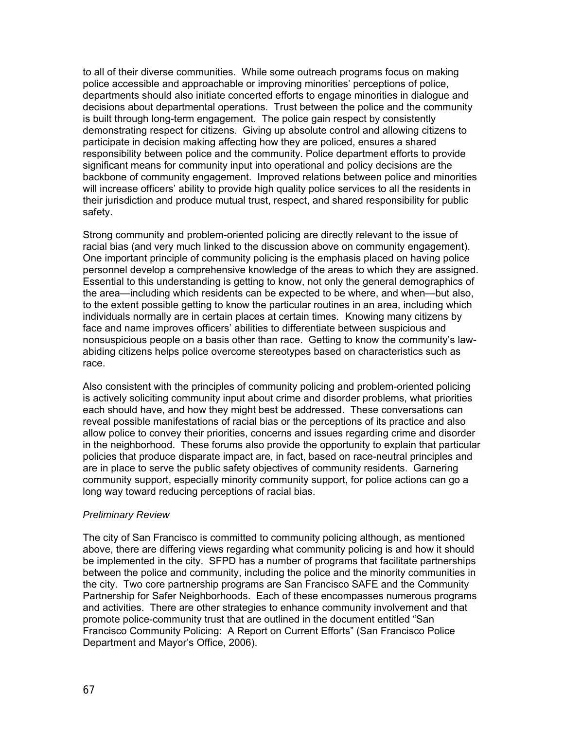to all of their diverse communities. While some outreach programs focus on making police accessible and approachable or improving minorities' perceptions of police, departments should also initiate concerted efforts to engage minorities in dialogue and decisions about departmental operations. Trust between the police and the community is built through long-term engagement. The police gain respect by consistently demonstrating respect for citizens. Giving up absolute control and allowing citizens to participate in decision making affecting how they are policed, ensures a shared responsibility between police and the community. Police department efforts to provide significant means for community input into operational and policy decisions are the backbone of community engagement. Improved relations between police and minorities will increase officers' ability to provide high quality police services to all the residents in their jurisdiction and produce mutual trust, respect, and shared responsibility for public safety.

racial bias (and very much linked to the discussion above on community engagement). One important principle of community policing is the emphasis placed on having police the area—including which residents can be expected to be where, and when—but also, Strong community and problem-oriented policing are directly relevant to the issue of personnel develop a comprehensive knowledge of the areas to which they are assigned. Essential to this understanding is getting to know, not only the general demographics of to the extent possible getting to know the particular routines in an area, including which individuals normally are in certain places at certain times. Knowing many citizens by face and name improves officers' abilities to differentiate between suspicious and nonsuspicious people on a basis other than race. Getting to know the community's lawabiding citizens helps police overcome stereotypes based on characteristics such as race.

in the neighborhood. These forums also provide the opportunity to explain that particular community support, especially minority community support, for police actions can go a long way toward reducing perceptions of racial bias. Also consistent with the principles of community policing and problem-oriented policing is actively soliciting community input about crime and disorder problems, what priorities each should have, and how they might best be addressed. These conversations can reveal possible manifestations of racial bias or the perceptions of its practice and also allow police to convey their priorities, concerns and issues regarding crime and disorder policies that produce disparate impact are, in fact, based on race-neutral principles and are in place to serve the public safety objectives of community residents. Garnering

# *Preliminary Review*

above, there are differing views regarding what community policing is and how it should be implemented in the city. SFPD has a number of programs that facilitate partnerships between the police and community, including the police and the minority communities in The city of San Francisco is committed to community policing although, as mentioned the city. Two core partnership programs are San Francisco SAFE and the Community Partnership for Safer Neighborhoods. Each of these encompasses numerous programs and activities. There are other strategies to enhance community involvement and that promote police-community trust that are outlined in the document entitled "San Francisco Community Policing: A Report on Current Efforts" (San Francisco Police Department and Mayor's Office, 2006).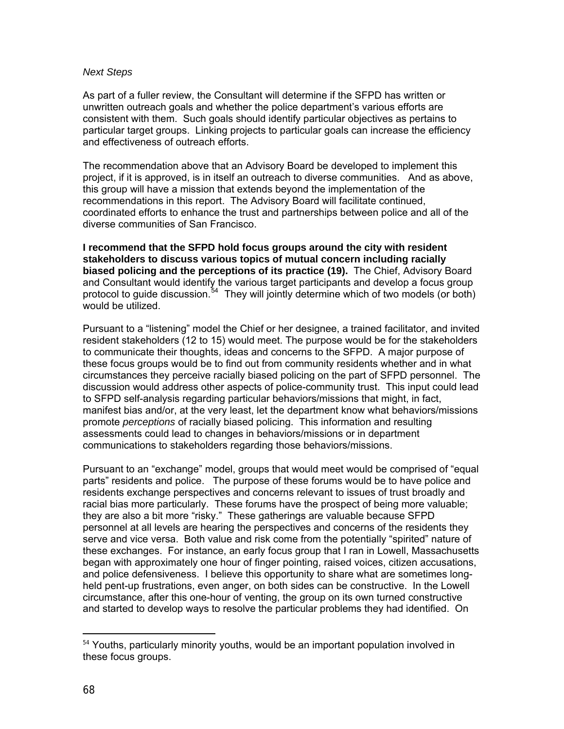#### *Next Steps*

As part of a fuller review, the Consultant will determine if the SFPD has written or unwritten outreach goals and whether the police department's various efforts are consistent with them. Such goals should identify particular objectives as pertains to particular target groups. Linking projects to particular goals can increase the efficiency and effectiveness of outreach efforts.

The recommendation above that an Advisory Board be developed to implement this project, if it is approved, is in itself an outreach to diverse communities. A nd as above, this group will have a mission that extends beyond the implementation of the recommenda tions in this report. The Advisory Board will facilitate continued, oordinated efforts to enhance the trust and partnerships between police and all of the c diverse communities of San Francisco.

**I recommend that the SFPD hold focus groups around the city with resident** protocol to guide discussion.<sup>54</sup> They will jointly determine which of two models (or both) **stakeholders to discuss various topics of mutual concern including racially biased policing and the perceptions of its practice (19).** The Chief, Advisory Board and Consultant would identify the various target participants and develop a focus group would be utilized.

Pursuant to a "listening" model the Chief or her designee, a trained facilitator, and invited resident stakeholders (12 to 15) would meet. The purpose would be for the stakeholders to communicate their thoughts, ideas and concerns to the SFPD. A major purpose of these focus groups would be to find out from community residents whether and in what circumstances they perceive racially biased policing on the part of SFPD personnel. The manifest bias and/or, at the very least, let the department know what behaviors/missions discussion would address other aspects of police-community trust. This input could lead to SFPD self-analysis regarding particular behaviors/missions that might, in fact, promote *perceptions* of racially biased policing. This information and resulting assessments could lead to changes in behaviors/missions or in department communications to stakeholders regarding those behaviors/missions.

Pursuant to an "exchange" model, groups that would meet would be comprised of "equal parts" residents and police. The purpose of these forums would be to have police and residents exchange perspectives and concerns relevant to issues of trust broadly and personnel at all levels are hearing the perspectives and concerns of the residents they these exchanges. For instance, an early focus group that I ran in Lowell, Massachusetts began with approximately one hour of finger pointing, raised voices, citizen accusations, and police defensiveness. I believe this opportunity to share what are sometimes longheld pent-up frustrations, even anger, on both sides can be constructive. In the Lowell racial bias more particularly. These forums have the prospect of being more valuable; they are also a bit more "risky." These gatherings are valuable because SFPD serve and vice versa. Both value and risk come from the potentially "spirited" nature of circumstance, after this one-hour of venting, the group on its own turned constructive and started to develop ways to resolve the particular problems they had identified. On

<sup>&</sup>lt;sup>54</sup> Youths, particularly minority youths, would be an important population involved in these focus groups.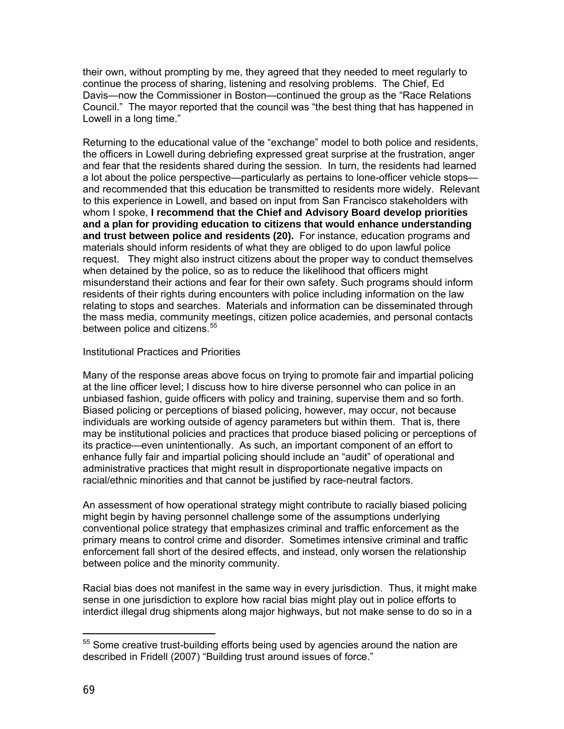their own, without prompting by me, they agreed that they needed to meet regularly to continue the process of sharing, listening and resolving problems. The Chief, Ed Davis—now the Commissioner in Boston—continued the group as the "Race Relations Council." The mayor reported that the council was "the best thing that has happened in Lowell in a long time."

Returning to the educational value of the "exchange" model to both police and re sidents, the officers in Lowell during debriefing expressed great surprise at the frustration, ange r and fear that the residents shared during the session. In turn, the residents had learned a lot about the police perspective—particularly as pertains to lone-officer vehicle stops and recommended that this education be transmitted to residents more widely. Relevan t to this experience in Lowell, and based on input from San Francisco stakeholders with whom I s poke, **I recommend that the Chief and Advisory Board develop priorities**  and a plan for providing education to citizens that would enhance understanding and trust between police and residents (20). For instance, education programs and the mass media, community meetings, citizen police academies, and personal contacts materials should inform residents of what they are obliged to do upon lawful police request. They might also instruct citizens about the proper way to conduct themselves when detained by the police, so as to reduce the likelihood that officers might misunderstand their actions and fear for their own safety. Such programs should inform residents of their rights during encounters with police including information on the law relating to stops and searches. Materials and information can be disseminated through between police and citizens.<sup>55</sup>

## Institutional Practices and Priorities

Many of the response areas above focus on trying to promote fair and impartial policing at the line officer level; I discuss how to hire diverse personnel who can police in an unbiased fashion, guide officers with policy and training, supervise them and so forth. Biased policing or perceptions of biased policing, however, may occur, not because individuals are working outside of agency parameters but within them. That is, there may be institutional policies and practices that produce biased policing or perceptions of its practice—even unintentionally. As such, an important component of an effort to enhance fully fair and impartial policing should include an "audit" of operational and administrative practices that might result in disproportionate negative impacts on racial/ethnic minorities and that cannot be justified by race-neutral factors.

An assessment of how operational strategy might contribute to racially biased policing might begin by having personnel challenge some of the assumptions underlying onventional police strategy that emphasizes criminal and traffic enforcement as the c primary means to control crime and disorder. Sometimes intensive criminal and traffic enforcement fall short of the desired effects, and instead, only worsen the relationship between police and the minority community.

Racial bias does not manifest in the same way in every jurisdiction. Thus, it might make sense in one jurisdiction to explore how racial bias might play out in police efforts to interdict illegal drug shipments along major highways, but not make sense to do so in a

 $55$  Some creative trust-building efforts being used by agencies around the nation are described in Fridell (2007) "Building trust around issues of force."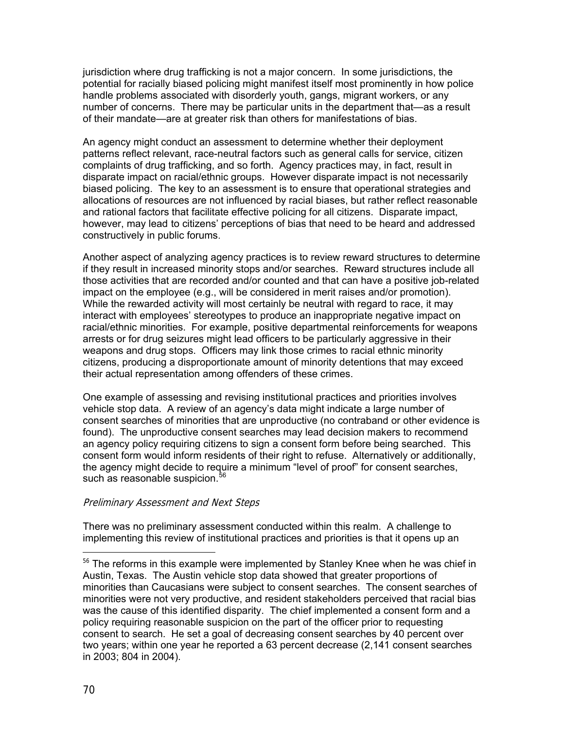jurisdiction where drug trafficking is not a major concern. In some jurisdictions, the potential for racially biased policing might manifest itself most prominently in how police number of concerns. There may be particular units in the department that—as a result handle problems associated with disorderly youth, gangs, migrant workers, or any of their mandate—are at greater risk than others for manifestations of bias.

An agency might conduct an assessment to determine whether their deployment patterns reflect relevant, race-neutral factors such as general calls for service, citizen biased policing. The key to an assessment is to ensure that operational strategies and allocations of resources are not influenced by racial biases, but rather reflect reasonable however, may lead to citizens' perceptions of bias that need to be heard and addressed constructively in public forums. complaints of drug trafficking, and so forth. Agency practices may, in fact, result in disparate impact on racial/ethnic groups. However disparate impact is not necessarily and rational factors that facilitate effective policing for all citizens. Disparate impact,

Another aspect of analyzing agency practices is to review reward structures to determine While the rewarded activity will most certainly be neutral with regard to race, it may interact with employees' stereotypes to produce an inappropriate negative impact on if they result in increased minority stops and/or searches. Reward structures include all those activities that are recorded and/or counted and that can have a positive job-related impact on the employee (e.g., will be considered in merit raises and/or promotion). racial/ethnic minorities. For example, positive departmental reinforcements for weapons arrests or for drug seizures might lead officers to be particularly aggressive in their weapons and drug stops. Officers may link those crimes to racial ethnic minority citizens, producing a disproportionate amount of minority detentions that may exceed their actual representation among offenders of these crimes.

One example of assessing and revising institutional practices and priorities involves consent searches of minorities that are unproductive (no contraband or other evidence is found). The unproductive consent searches may lead decision makers to recommend an agency policy requiring citizens to sign a consent form before being searched. This onsent form would inform residents of their right to refuse. Alternatively or additionally, c vehicle stop data. A review of an agency's data might indicate a large number of the agency might decide to require a minimum "level of proof" for consent searches, such as reasonable suspicion.<sup>56</sup>

## Preliminary Assessment and Next Steps

There was no preliminary assessment conducted within this realm. A challenge to implementing this review of institutional practices and priorities is that it opens up an

 $\overline{a}$ 

<span id="page-72-0"></span><sup>&</sup>lt;sup>56</sup> The reforms in this example were implemented by Stanley Knee when he was chief in Austin, Texas. The Austin vehicle stop data showed that greater proportions of minorities than Caucasians were subject to consent searches. The consent searches of minorities were not very productive, and resident stakeholders perceived that racial bias was the cause of this identified disparity. The chief implemented a consent form and a policy requiring reasonable suspicion on the part of the officer prior to requesting consent to search. He set a goal of decreasing consent searches by 40 percent over two years; within one year he reported a 63 percent decrease (2,141 consent searches in 2003; 804 in 2004).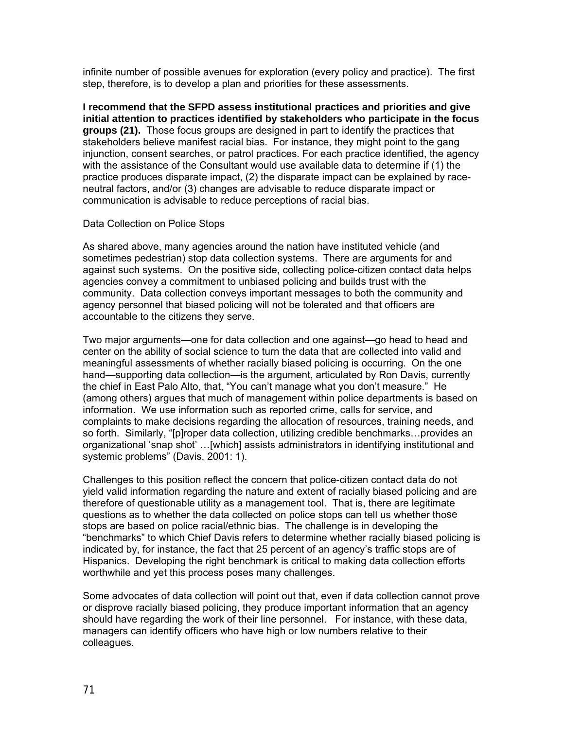infinite number of possible avenues for exploration (every policy and practice). The firs t step, therefore, is to develop a plan and priorities for these assessments.

**I recommend that the SFPD assess institutional practices and priorities and give**  initial attention to practices identified by stakeholders who participate in the focus **roups (21).** Those focus groups are designed in part to identify the practices that **g** stakeholders believe manifest racial bias. For instance, they might point to the gang injunction, consent searches, or patrol practices. For each practice identified, the agency with the assistance of the Consultant would use available data to determine if (1) the practice produces disparate impact, (2) the disparate impact can be explained by raceneutral factors, and/or (3) changes are advisable to reduce disparate impact or communication is advisable to reduce perceptions of racial bias.

## Data Collection on Police Stops

against such systems. On the positive side, collecting police-citizen contact data helps As shared above, many agencies around the nation have instituted vehicle (and sometimes pedestrian) stop data collection systems. There are arguments for and agencies convey a commitment to unbiased policing and builds trust with the community. Data collection conveys important messages to both the community and agency personnel that biased policing will not be tolerated and that officers are accountable to the citizens they serve.

Two major arguments—one for data collection and one against—go head to head and center on the ability of social science to turn the data that are collected into valid and meaningful assessments of whether racially biased policing is occurring. On the one (among others) argues that much of management within police departments is based on organizational 'snap shot' ...[which] assists administrators in identifying institutional and hand—supporting data collection—is the argument, articulated by Ron Davis, currently the chief in East Palo Alto, that, "You can't manage what you don't measure." He information. We use information such as reported crime, calls for service, and complaints to make decisions regarding the allocation of resources, training needs, and so forth. Similarly, "[p]roper data collection, utilizing credible benchmarks…provides an systemic problems" (Davis, 2001: 1).

yield valid information regarding the nature and extent of racially biased policing and are questions as to whether the data collected on police stops can tell us whether those "benchmarks" to which Chief Davis refers to determine whether racially biased policing is Hispanics. Developing the right benchmark is critical to making data collection efforts worthwhile and yet this process poses many challenges. Challenges to this position reflect the concern that police-citizen contact data do not therefore of questionable utility as a management tool. That is, there are legitimate stops are based on police racial/ethnic bias. The challenge is in developing the indicated by, for instance, the fact that 25 percent of an agency's traffic stops are of

managers can identify officers who have high or low numbers relative to their Some advocates of data collection will point out that, even if data collection cannot prove or disprove racially biased policing, they produce important information that an agency should have regarding the work of their line personnel. For instance, with these data, colleagues.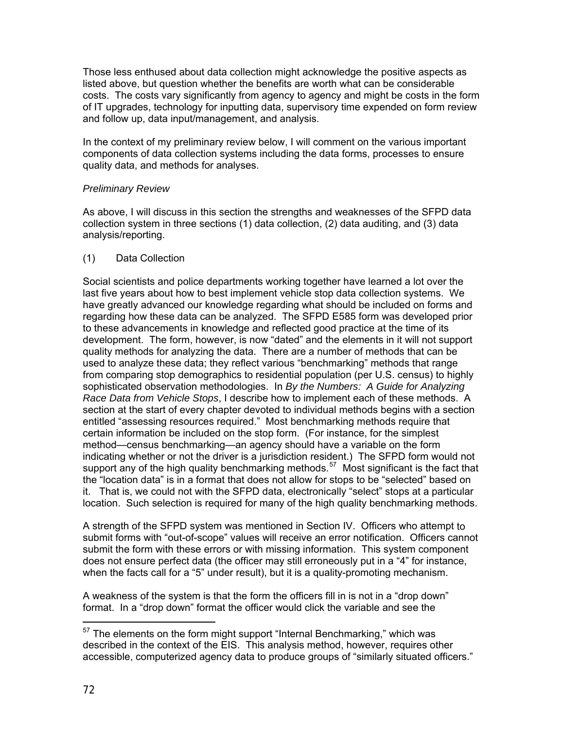Those less enthused about data collection might acknowledge the positive aspects a s listed above, but question whether the benefits are worth what can be considerable costs. The costs vary significantly from agency to agency and might be costs in the form of IT upgrades, technology for inputting data, supervisory time expended on form review and follow up, data input/management, and analysis.

In the context of my preliminary review below, I will comment on the various important components of data collection systems including the data forms, processes to ensure quality data, and methods for analyses.

# *Preliminary Review*

As above, I will discuss in this section the strengths and weaknesses of the SFPD data collection system in three sections (1) data collection, (2) data auditing, and (3) data analysis/reporting.

## (1) Data Collection

last five years about how to best implement vehicle stop data collection systems. We have greatly advanced our knowledge regarding what should be included on forms and regarding how these data can be analyzed. The SFPD E585 form was developed prior development. The form, however, is now "dated" and the elements in it will not support quality methods for analyzing the data. There are a number of methods that can be from comparing stop demographics to residential population (per U.S. census) to highly sophisticated observation methodologies. In *By the Numbers: A Guide for Analyzing* Race Data from Vehicle Stops, I describe how to implement each of these methods. A section at the start of every chapter devoted to individual methods begins with a section support any of the high quality benchmarking methods.<sup>[57](#page-72-0)</sup> Most significant is the fact that the "location data" is in a format that does not allow for stops to be "selected" based on it. That is, we could not with the SFPD data, electronically "select" stops at a particular location. Such selection is required for many of the high quality benchmarking methods. Social scientists and police departments working together have learned a lot over the to these advancements in knowledge and reflected good practice at the time of its used to analyze these data; they reflect various "benchmarking" methods that range entitled "assessing resources required." Most benchmarking methods require that certain information be included on the stop form. (For instance, for the simplest method—census benchmarking—an agency should have a variable on the form indicating whether or not the driver is a jurisdiction resident.) The SFPD form would not

A strength of the SFPD system was mentioned in Section IV. Officers who attempt to submit forms with "out-of-scope" values will receive an error notification. Officers cannot submit the form with these errors or with missing information. This system component when the facts call for a "5" under result), but it is a quality-promoting mechanism. does not ensure perfect data (the officer may still erroneously put in a "4" for instance,

A weakness of the system is that the form the officers fill in is not in a "drop down" format. In a "drop down" format the officer would click the variable and see the

 $\overline{a}$ 

<sup>&</sup>lt;sup>57</sup> The elements on the form might support "Internal Benchmarking," which was described in the context of the EIS. This analysis method, however, requires other accessible, computerized agency data to produce groups of "similarly situated officers."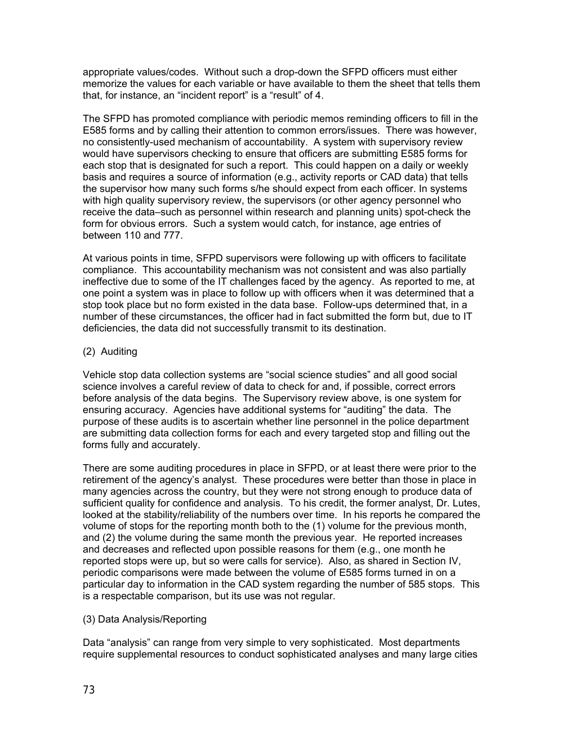appropriate values/codes. Without such a drop-down the SFPD officers must either memorize the values for each variable or have available to them the sheet that tells them that, for instance, an "incident report" is a "result" of 4.

E585 forms and by calling their attention to common errors/issues. There was however, the supervisor how many such forms s/he should expect from each officer. In systems with high quality supervisory review, the supervisors (or other agency personnel who receive the data–such as personnel within research and planning units) spot-check the form for obvious errors. Such a system would catch, for instance, age entries of between 110 and 777. The SFPD has promoted compliance with periodic memos reminding officers to fill in the no consistently-used mechanism of accountability. A system with supervisory review would have supervisors checking to ensure that officers are submitting E585 forms for each stop that is designated for such a report. This could happen on a daily or weekly basis and requires a source of information (e.g., activity reports or CAD data) that tells

At various points in time, SFPD supervisors were following up with officers to facilitate ineffective due to some of the IT challenges faced by the agency. As reported to me, at one point a system was in place to follow up with officers when it was determined that a stop took place but no form existed in the data base. Follow-ups determined that, in a number of these circumstances, the officer had in fact submitted the form but, due to IT deficiencies, the data did not successfully transmit to its destination. compliance. This accountability mechanism was not consistent and was also partially

# (2) Auditing

ensuring accuracy. Agencies have additional systems for "auditing" the data. The Vehicle stop data collection systems are "social science studies" and all good social science involves a careful review of data to check for and, if possible, correct errors before analysis of the data begins. The Supervisory review above, is one system for purpose of these audits is to ascertain whether line personnel in the police department are submitting data collection forms for each and every targeted stop and filling out the forms fully and accurately.

here are some auditing procedures in place in SFPD, or at least there were prior to the T sufficient quality for confidence and analysis. To his credit, the former analyst, Dr. Lutes, looked at the stability/reliability of the numbers over time. In his reports he compared the volume of stops for the reporting month both to the (1) volume for the previous month, periodic comparisons were made between the volume of E585 forms turned in on a particular day to information in the CAD system regarding the number of 585 stops. This retirement of the agency's analyst. These procedures were better than those in place in many agencies across the country, but they were not strong enough to produce data of and (2) the volume during the same month the previous year. He reported increases and decreases and reflected upon possible reasons for them (e.g., one month he reported stops were up, but so were calls for service). Also, as shared in Section IV, is a respectable comparison, but its use was not regular.

# (3) Data Analysis/Reporting

Data "analysis" can range from very simple to very sophisticated. Most departments require supplemental resources to conduct sophisticated analyses and many large cities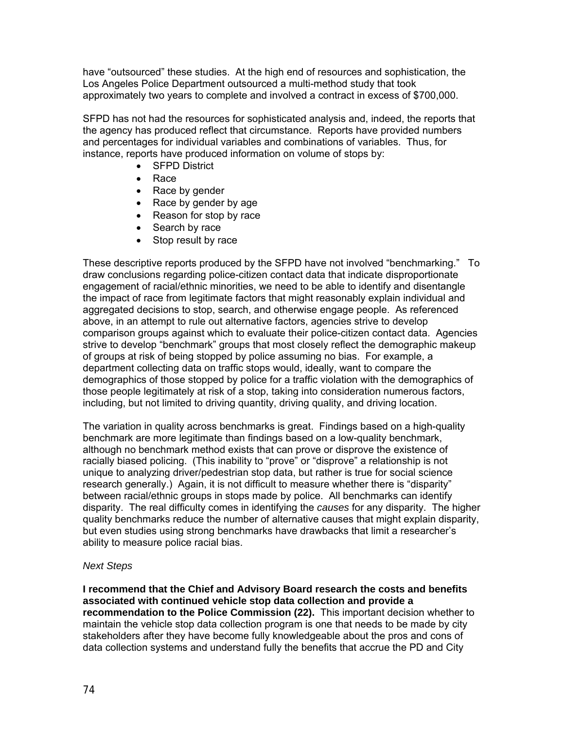have "outsourced" these studies. At the high end of resources and sophistication, the Los Angeles Police Department outsourced a multi-method study that took approximately two years to complete and involved a contract in excess of \$700,000.

SFPD has not had the resources for sophisticated analysis and, indeed, the reports that the agency has produced reflect that circumstance. Reports have provided numbers and percentages for individual variables and combinations of variables. Thus, for instance, reports have produced information on volume of stops by:

- SFPD District
- Race
- Race by gender
- Race by gender by age
- Reason for stop by race
- Search by race
- Stop result by race

These descriptive reports produced by the SFPD have not involved "benchmarking." To draw conclusions regarding police-citizen contact data that indicate disproportionate engagement of racial/ethnic minorities, we need to be able to identify and disentangle the impact of race from legitimate factors that might reasonably explain individual and aggregated decisions to stop, search, and otherwise engage people. As referenced above, in an attempt to rule out alternative factors, agencies strive to develop comparison groups against which to evaluate their police-citizen contact data. Agencies strive to develop "benchmark" groups that most closely reflect the demographic makeup of groups at risk of being stopped by police assuming no bias. For example, a department collecting data on traffic stops would, ideally, want to compare the demographics of those stopped by police for a traffic violation with the demographics of those people legitimately at risk of a stop, taking into consideration numerous factors, including, but not limited to driving quantity, driving quality, and driving location.

The variation in quality across benchmarks is great. Findings based on a high-quality quality benchmarks reduce the number of alternative causes that might explain disparity, benchmark are more legitimate than findings based on a low-quality benchmark, although no benchmark method exists that can prove or disprove the existence of racially biased policing. (This inability to "prove" or "disprove" a relationship is not unique to analyzing driver/pedestrian stop data, but rather is true for social science research generally.) Again, it is not difficult to measure whether there is "disparity" between racial/ethnic groups in stops made by police. All benchmarks can identify disparity. The real difficulty comes in identifying the *causes* for any disparity. The higher but even studies using strong benchmarks have drawbacks that limit a researcher's ability to measure police racial bias.

# *Next Steps*

I recommend that the Chief and Advisory Board research the costs and benefits recommendation to the Police Commission (22). This important decision whether to maintain the vehicle stop data collection program is one that needs to be made by city stakeholders after they have become fully knowledgeable about the pros and cons of data collection systems and understand fully the benefits that accrue the PD and City **associated with continued vehicle stop data collection and provide a**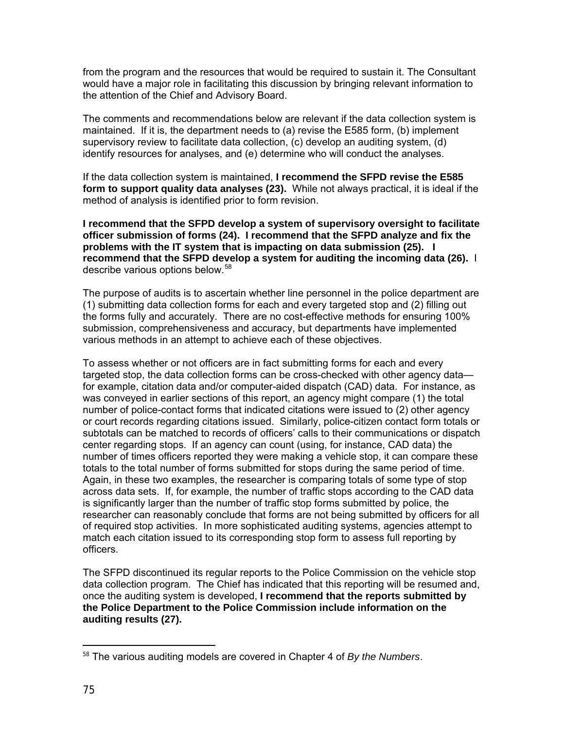from the program and the resources that would be required to sustain it. The Consult ant would have a major role in facilitating this discussion by bringing relevant information to the attention of the Chief and Advisory Board.

The comments and recommendations below are relevant if the data collection system is maintained. If it is, the department needs to (a) revise the E585 form, (b) implement supervisory review to facilitate data collection, (c) develop an auditing system, (d) identify resources for analyses, and (e) determine who will conduct the analyses.

form to support quality data analyses (23). While not always practical, it is ideal if the If the data collection system is maintained, **I recommend the SFPD revise the E585**  method of analysis is identified prior to form revision.

I recommend that the SFPD develop a system of supervisory oversight to facilitate officer submission of forms (24). I recommend that the SFPD analyze and fix the **roblems with the IT system that is impacting on data submission (25). I p** recommend that the SFPD develop a system for auditing the incoming data (26). I describe various options below.<sup>58</sup>

submission, comprehensiveness and accuracy, but departments have implemented various methods in an attempt to achieve each of these objectives. The purpose of audits is to ascertain whether line personnel in the police department are (1) submitting data collection forms for each and every targeted stop and (2) filling out the forms fully and accurately. There are no cost-effective methods for ensuring 100%

To assess whether or not officers are in fact submitting forms for each and every targeted stop, the data collection forms can be cross-checked with other agency datafor example, citation data and/or computer-aided dispatch (CAD) data. For instance, as number of police-contact forms that indicated citations were issued to (2) other agency or court records regarding citations issued. Similarly, police-citizen contact form totals or subtotals can be matched to records of officers' calls to their communications or dispatch center regarding stops. If an agency can count (using, for instance, CAD data) the number of times officers reported they were making a vehicle stop, it can compare these was conveyed in earlier sections of this report, an agency might compare (1) the total totals to the total number of forms submitted for stops during the same period of time. Again, in these two examples, the researcher is comparing totals of some type of stop across data sets. If, for example, the number of traffic stops according to the CAD data is significantly larger than the number of traffic stop forms submitted by police, the researcher can reasonably conclude that forms are not being submitted by officers for all of required stop activities. In more sophisticated auditing systems, agencies attempt to match each citation issued to its corresponding stop form to assess full reporting by officers.

The SFPD discontinued its regular reports to the Police Commission on the vehicle stop once the auditing system is developed, **I recommend that the reports submitted by e Police Department to the Police Commission include information on the th** data collection program. The Chief has indicated that this reporting will be resumed and, **auditing results (27).**

-

<sup>58</sup> The various auditing models are covered in Chapter 4 of *By the Numbers*.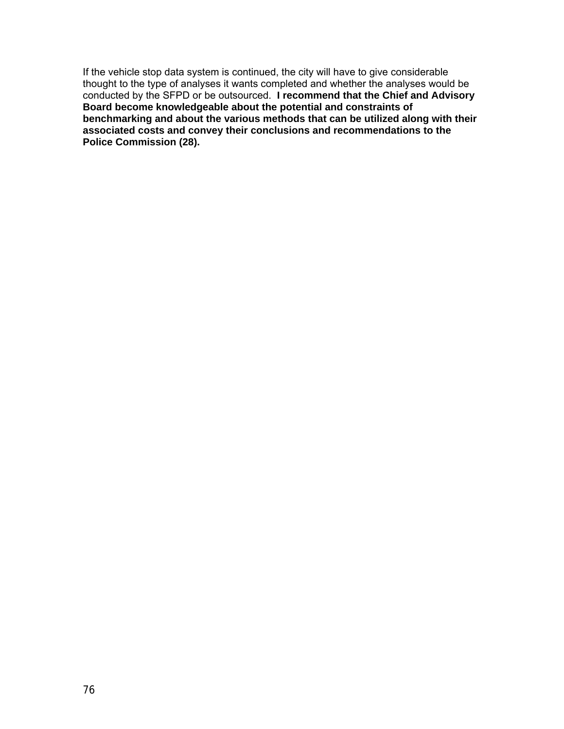If the vehicle stop data system is continued, the city will have to give considerable thought to the type of analyses it wants completed and whether the analyses would be conducted by the SFPD or be outsourced. **I recommend that the Chief and Advisory Board become knowledgeable about the potential and constraints of benchmarking and about the various methods that can be utilized along with their associated costs and convey their conclusions and recommendations to the Police Commission (28).**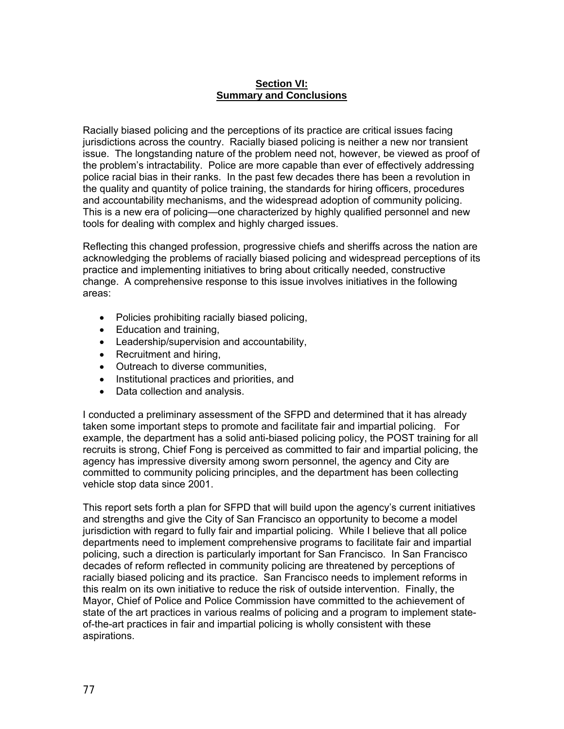## **Section VI: Summary and Conclusions**

jurisdictions across the country. Racially biased policing is neither a new nor transient issue. The longstanding nature of the problem need not, however, be viewed as proof of the problem's intractability. Police are more capable than ever of effectively addressing and accountability mechanisms, and the widespread adoption of community policing. This is a new era of policing—one characterized by highly qualified personnel and new Racially biased policing and the perceptions of its practice are critical issues facing police racial bias in their ranks. In the past few decades there has been a revolution in the quality and quantity of police training, the standards for hiring officers, procedures tools for dealing with complex and highly charged issues.

Reflecting this changed profession, progressive chiefs and sheriffs across the nation are practice and implementing initiatives to bring about critically needed, constructive change. A comprehensive response to this issue involves initiatives in the following acknowledging the problems of racially biased policing and widespread perceptions of its areas:

- Policies prohibiting racially biased policing,
- Education and training,
- Leadership/supervision and accountability,
- Recruitment and hiring,
- Outreach to diverse communities,
- Institutional practices and priorities, and
- Data collection and analysis.

I conducted a preliminary assessment of the SFPD and determined that it has already taken some important steps to promote and facilitate fair and impartial policing. For example, the department has a solid anti-biased policing policy, the POST training for all recruits is strong, Chief Fong is perceived as committed to fair and impartial policing, the agency has impressive diversity among sworn personnel, the agency and City are committed to community policing principles, and the department has been collecting vehicle stop data since 2001.

departments need to implement comprehensive programs to facilitate fair and impartial policing, such a direction is particularly important for San Francisco. In San Francisco state of the art practices in various realms of policing and a program to implement stateof-the-art practices in fair and impartial policing is wholly consistent with these aspirations. This report sets forth a plan for SFPD that will build upon the agency's current initiatives and strengths and give the City of San Francisco an opportunity to become a model jurisdiction with regard to fully fair and impartial policing. While I believe that all police decades of reform reflected in community policing are threatened by perceptions of racially biased policing and its practice. San Francisco needs to implement reforms in this realm on its own initiative to reduce the risk of outside intervention. Finally, the Mayor, Chief of Police and Police Commission have committed to the achievement of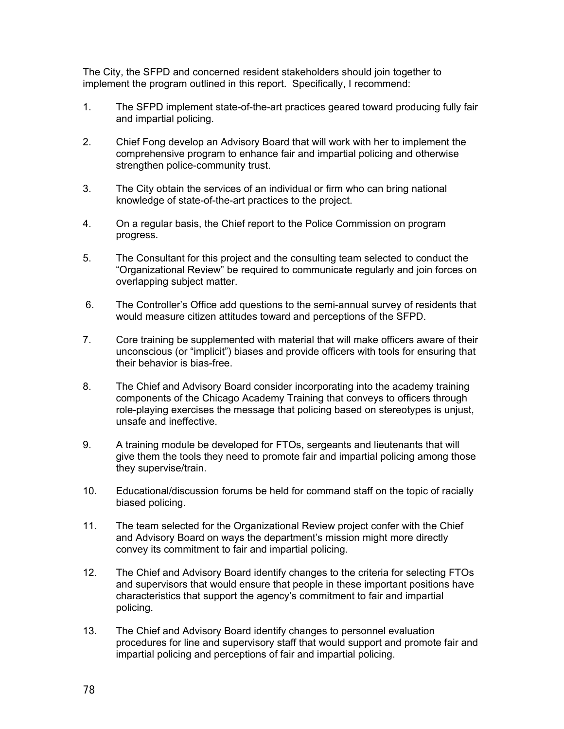The City, the SFPD and concerned resident stakeholders should join together to implement the program outlined in this report. Specifically, I recommend:

- 1. The SFPD implement state-of-the-art practices geared toward produ cing fully fair and impartial policing.
- 2. Chief Fong develop an Advisory Board that will work with her to implement the comprehensive program to enhance fair and impartial policing and otherwise strengthen police-community trust.
- 3. The City obtain the services of an individual or firm who can bring national knowledge of state-of-the-art practices to the project.
- 4. On a regular basis, the Chief report to the Police Commission on program progress.
- 5. The Consultant for this project and the consulting team selected to conduct the "Organizational Review" be required to communicate regularly and join forces on overlapping subject matter.
- 6. The Controller's Office add questions to the semi-annual survey of residents that would measure citizen attitudes toward and perceptions of the SFPD.
- 7. Core training be supplemented with material that will make officers aware of their unconscious (or "implicit") biases and provide officers with tools for ensuring that their behavior is bias-free.
- 8. The Chief and Advisory Board consider incorporating into the academy training components of the Chicago Academy Training that conveys to officers through role-playing exercises the message that policing based on stereotypes is unjust, unsafe and ineffective.
- 9. A training module be developed for FTOs, sergeants and lieutenants that will give them the tools they need to promote fair and impartial policing among those they supervise/train.
- 10. Educational/discussion forums be held for command staff on the topic of racially biased policing.
- 11. The team selected for the Organizational Review project confer with the Chief and Advisory Board on ways the department's mission might more directly convey its commitment to fair and impartial policing.
- 12. The Chief and Advisory Board identify changes to the criteria for selecting FTOs and supervisors that would ensure that people in these important positions have characteristics that support the agency's commitment to fair and impartial policing.
- 13. The Chief and Advisory Board identify changes to personnel evaluation procedures for line and supervisory staff that would support and promote fair and impartial policing and perceptions of fair and impartial policing.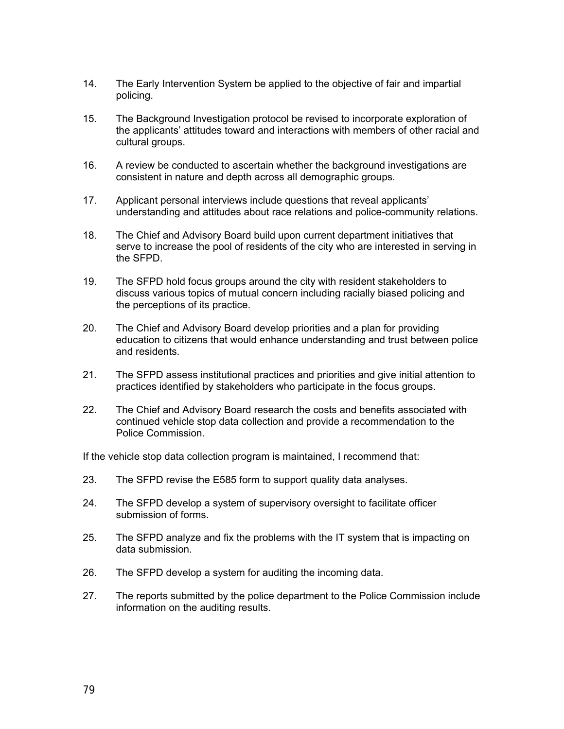- 14. The Early Intervention System be applied to the objective of fair and impartial policing.
- The Background Investigation protocol be revised to incorporate exploration of the applicants' attitudes toward and interactions with members of other racial and  $15<sub>1</sub>$ cultural groups.
- 16. A review be conducted to ascertain whether the background investigations are consistent in nature and depth across all demographic groups.
- . understanding and attitudes about race relations and police-community relations 17. Applicant personal interviews include questions that reveal applicants'
- The Chief and Advisory Board build upon current department initiatives that  $18.$ serve to increase the pool of residents of the city who are interested in serving in the SFPD.
- discuss various topics of mutual concern including racially biased policing and the perceptions of its practice. 19. The SFPD hold focus groups around the city with resident stakeholders to
- 20. The Chief and Advisory Board develop priorities and a plan for providing education to citizens that would enhance understanding and trust between police and residents.
- 21. The SFPD assess institutional practices and priorities and give initial attention to practices identified by stakeholders who participate in the focus groups.
- 22. The Chief and Advisory Board research the costs and benefits associated with continued vehicle stop data collection and provide a recommendation to the Police Commission.

If the vehicle stop data collection program is maintained, I recommend that:

- 23. The SFPD revise the E585 form to support quality data analyses.
- 24. The SFPD develop a system of supervisory oversight to facilitate officer submission of forms.
- 25. The SFPD analyze and fix the problems with the IT system that is impacting on data submission.
- 26. The SFPD develop a system for auditing the incoming data.
- 27. The reports submitted by the police department to the Police Commission include information on the auditing results.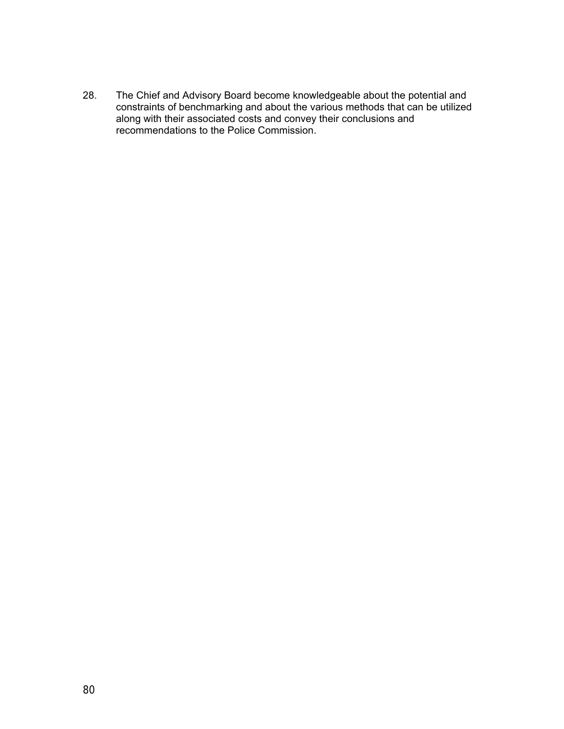28. The Chief and Advisory Board become knowledgeable about the potential and ed costs and convey their conclusions and endations to the Police Commission. constraints of benchmarking and about the various methods that can be utilized along with their associat recomm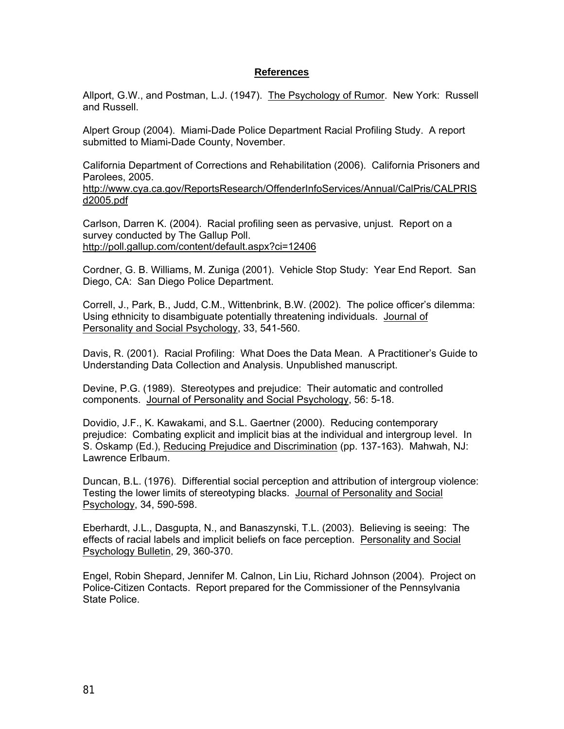## **References**

Allport, G.W., and Postman, L.J. (1947). The Psychology of Rumor. New York: Russell and Russell.

Alpert G roup (2004). Miami-Dade Police Department Racial Profiling Study. A report submitted to Miami-Dade County, November.

California Department of Corrections and Rehabilitation (2006). California Prisoners and Parolee s, 2005.

http://www.cya.ca.gov/ReportsResearch/OffenderInfoServices/Annual/CalPris/CALPRIS d2005.pdf

Carlson, Darren K. (2004). Racial profiling seen as pervasive, unjust. Report on a http://p oll.gallup.com/content/default.aspx?ci=12406 survey conducted by The Gallup Poll.

Cordner, G. B. Williams, M. Zuniga (2001). Vehicle Stop Study: Year End Report. San Diego, CA: San Diego Police Department.

Correll, J., Park, B., Judd, C.M., Wittenbrink, B.W. (2002). The police officer's dilemma: Using ethnicity to disambiguate potentially threatening individuals. Journal of Personality and Social Psychology, 33, 541-560.

Davis, R. (2001). Racial Profiling: What Does the Data Mean. A Practitioner's Guide to Understanding Data Collection and Analysis. Unpublished manuscript.

Devine , P.G. (1989). Stereotypes and prejudice: Their automatic and controlled components. Journal of Personality and Social Psychology, 56: 5-18.

Dovidio , J.F., K. Kawakami, and S.L. Gaertner (2000). Reducing contemporary prejudice: Combating explicit and implicit bias at the individual and intergroup level. In S. Oskamp (Ed.), Reducing Prejudice and Discrimination (pp. 137-163). Mahwah, NJ: Lawrence Erlbaum.

Testing the lower limits of stereotyping blacks. Journal of Personality and Social Duncan, B.L. (1976). Differential social perception and attribution of intergroup violence: Psychology, 34, 590-598.

Eberhardt, J.L., Dasgupta, N., and Banaszynski, T.L. (2003). Believing is seeing: The effects of racial labels and implicit beliefs on face perception. Personality and Social Psychology Bulletin, 29, 360-370.

Engel, Robin Shepard, Jennifer M. Calnon, Lin Liu, Richard Johnson (2004). Project on Police-Citizen Contacts. Report prepared for the Commissioner of the Pennsylvania State Police.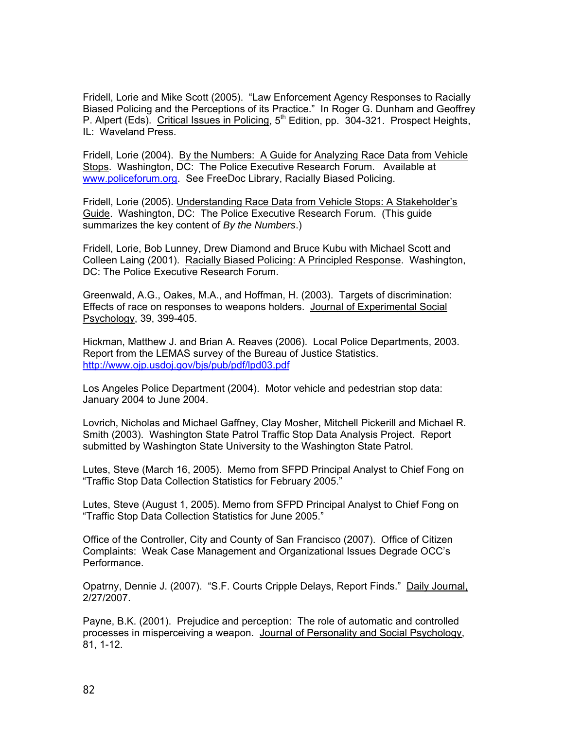Fridell, Lorie and Mike Scott (2005). "Law Enforcement Agency Responses to Racially Biased Policing and the Perceptions of its Practice." In Roger G. Dunham and Geoffrey P. Alpert (Eds). Critical Issues in Policing, 5<sup>th</sup> Edition, pp. 304-321. Prospect Heights, IL: Waveland Press.

Fridell, Lorie (2004). By the Numbers: A Guide for Analyzing Race Data from Vehicle Stops. Washington, DC: The Police Executive Research Forum. Available at www.policeforum.org. See FreeDoc Library, Racially Biased Policing.

Fridell, Lorie (2005). Understanding Race Data from Vehicle Stops: A Stakeholder's Guide. Washington, DC: The Police Executive Research Forum. (This guide summarizes the key content of *By the Numbers*.)

Fridell, Lorie, Bob Lunney, Drew Diamond and Bruce Kubu with Michael Scott and Colleen Laing (2001). Racially Biased Policing: A Principled Response. Washington, DC: The Police Executive Research Forum.

Greenwald, A.G., Oakes, M.A., and Hoffman, H. (2003). Targets of discrimination: Effects of race on responses to weapons holders. Journal of Experimental Social Psychology, 39, 399-405.

Hickman, Matthew J. and Brian A. Reaves (2006). Local Police Departments, 2003. Report from the LEMAS survey of the Bureau of Justice Statistics. http://www.ojp.usdoj.gov/bjs/pub/pdf/lpd03.pdf

Los Angeles Police Department (2004). Motor vehicle and pedestrian stop data: January 2004 to June 2004.

Lovrich, Nicholas and Michael Gaffney, Clay Mosher, Mitchell Pickerill and Michael R. Smith (2003). Washington State Patrol Traffic Stop Data Analysis Project. Report submitted by Washington State University to the Washington State Patrol.

Lutes, Steve (March 16, 2005). Memo from SFPD Principal Analyst to Chief Fong on "Traffic Stop Data Collection Statistics for February 2005."

Lutes, Steve (August 1, 2005). Memo from SFPD Principal Analyst to Chief Fong on "Traffic Stop Data Collection Statistics for June 2005."

Office of the Controller, City and County of San Francisco (2007). Office of Citizen Complaints: Weak Case Management and Organizational Issues Degrade OCC's Performance.

Opatrny, Dennie J. (2007). "S.F. Courts Cripple Delays, Report Finds." Daily Journal, 2/27/2007.

Payne, B.K. (2001). Prejudice and perception: The role of automatic and controlled processes in misperceiving a weapon. Journal of Personality and Social Psychology, 81, 1-12.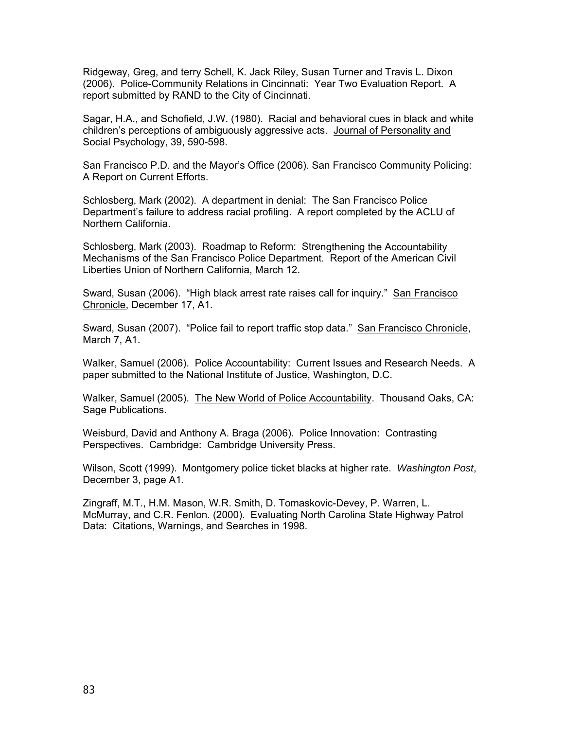Ridgeway, Greg, and terry Schell, K. Jack Riley, Susan Turner and Travis L. Dixon (2006). Police-Community Relations in Cincinnati: Year Two Evaluation Report. A report submitted by RAND to the City of Cincinnati.

Sagar, H.A., and Schofield, J.W. (1980). Racial and behavioral cues in black and white children's perceptions of ambiguously aggressive acts. Journal of Personality and Social Psychology, 39, 590-598.

San Francisco P.D. and the Mayor's Office (2006). San Francisco Community Policing: A Report on Curr ent Efforts.

Schlosberg , Mark (2002). A department in denial: The San Francisco Police Department's failure to address racial profiling. A report completed by the ACLU of Northern California.

Schlosberg, Mark (2003). Roadmap to Reform: Strengthening the Accountability Mechanisms of the San Francisco Police Department. Report of the American Civil Liberties Union of Northern California, March 12.

Sward, Susan (2006). "High black arrest rate raises call for inquiry." San Francisco Chronicle, December 17, A1.

Sward, Susan (2007). "Police fail to report traffic stop data." San Francisco Chronicle, March 7, A1.

Walker, Samuel (2006). Police Accountability: Current Issues and Research Needs. A paper submitted to the National Institute of Justice, Washington, D.C.

Walker, Samuel (2005). The New World of Police Accountability. Thousand Oaks, CA: Sage Publications.

Weisburd, David and Anthony A. Braga (2006). Police Innovation: Contrasting Perspectives. Cambridge: Cambridge University Press.

Wilson, Scott (1999). Montgomery police ticket blacks at higher rate. Washington Post, December 3, page A1.

Zingraff, M.T., H.M. Mason, W.R. Smith, D. Tomaskovic-Devey, P. Warren, L. McMurray, and C.R. Fenlon. (2000). Evaluating North Carolina State Highway Patrol Data: Citations, Warnings, and Searches in 1998.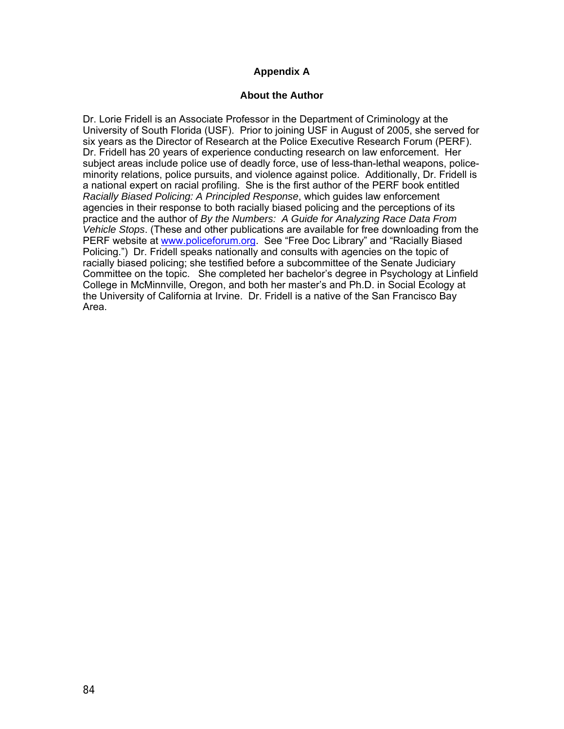## **Appendix A**

#### **About the Author**

University of South Florida (USF). Prior to joining USF in August of 2005, she served for six years as the Director of Research at the Police Executive Research Forum (PERF). subject areas include police use of deadly force, use of less-than-lethal weapons, policeminority relations, police pursuits, and violence against police. Additionally, Dr. Fridell is a national expert on racial profiling. She is the first author of the PERF book entitled practice and the author of *By the Numbers: A Guide for Analyzing Race Data From* Vehicle Stops. (These and other publications are available for free downloading from the Dr. Lorie Fridell is an Associate Professor in the Department of Criminology at the Dr. Fridell has 20 years of experience conducting research on law enforcement. Her *Racially Biased Policing: A Principled Response*, which guides law enforcement agencies in their response to both racially biased policing and the perceptions of its PERF website at www.policeforum.org. See "Free Doc Library" and "Racially Biased Policing.") Dr. Fridell speaks nationally and consults with agencies on the topic of racially biased policing; she testified before a subcommittee of the Senate Judiciary Committee on the topic. She completed her bachelor's degree in Psychology at Linfield College in McMinnville, Oregon, and both her master's and Ph.D. in Social Ecology at the University of California at Irvine.Dr. Fridell is a native of the San Francisco Bay Area.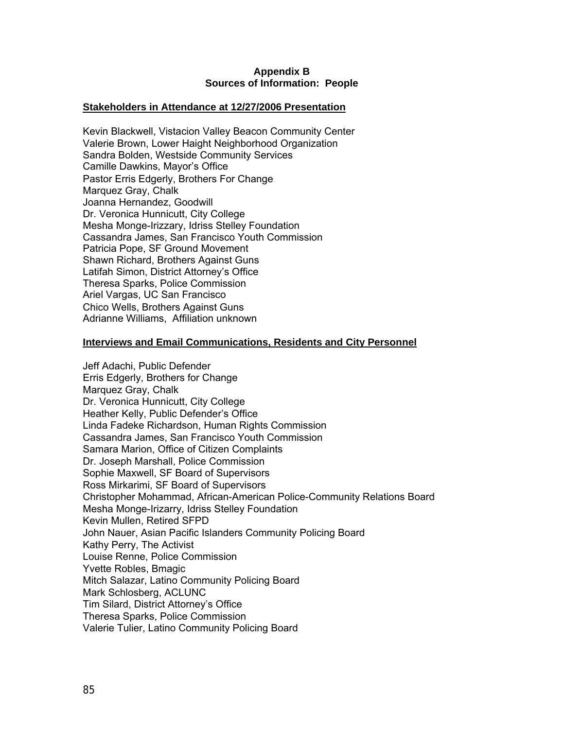## **Appendix B Sources of Information: People**

## **Stakeholders in Attendance at 12/27/2006 Presentation**

Valerie Brown, Lower Haight Neighborhood Organization Sandra Bolden, Westside Community Services Pastor Erris Edgerly, Brothers For Change Marquez Gray, Chalk Mesha Monge-Irizzary, Idriss Stelley Foundation Cassandra James, San Francisco Youth Commission Theresa Sparks, Police Commission Chico Wells, Brothers Against Guns Adrianne Williams, Affiliation unknown Kevin Blackwell, Vistacion Valley Beacon Community Center Camille Dawkins, Mayor's Office Joanna Hernandez, Goodwill Dr. Veronica Hunnicutt, City College Patricia Pope, SF Ground Movement Shawn Richard, Brothers Against Guns Latifah Simon, District Attorney's Office Ariel Vargas, UC San Francisco

## **Interviews and Email Communications, Residents and City Personnel**

Heather Kelly, Public Defender's Office Ross Mirkarimi, SF Board of Supervisors John Nauer, Asian Pacific Islanders Community Policing Board Kathy Perry, The Activist Louise Renne, Police Commission Yvette Robles, Bmagic Mitch Salazar, Latino Community Policing Board Mark Schlosberg, ACLUNC Tim Silard, District Attorney's Office Theresa Sparks, Police Commission Valerie Tulier, Latino Community Policing Board Jeff Adachi, Public Defender Erris Edgerly, Brothers for Change Marquez Gray, Chalk Dr. Veronica Hunnicutt, City College Linda Fadeke Richardson, Human Rights Commission Cassandra James, San Francisco Youth Commission Samara Marion, Office of Citizen Complaints Dr. Joseph Marshall, Police Commission Sophie Maxwell, SF Board of Supervisors Christopher Mohammad, African-American Police-Community Relations Board Mesha Monge-Irizarry, Idriss Stelley Foundation Kevin Mullen, Retired SFPD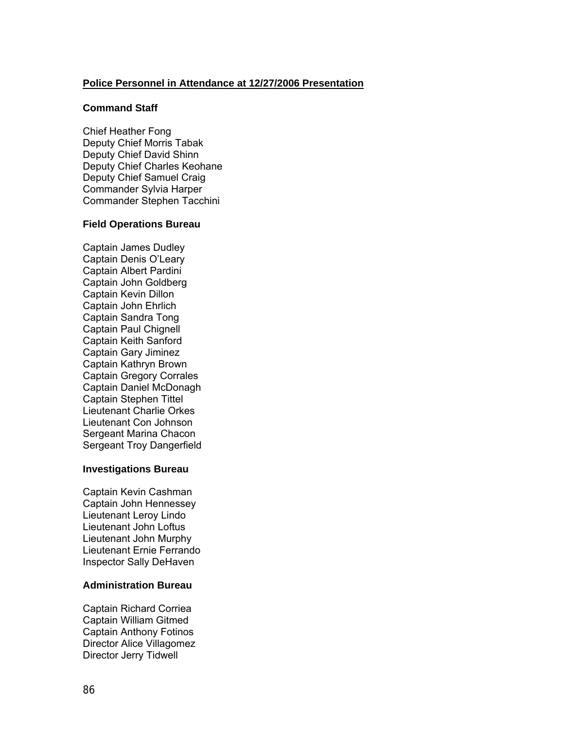## **Police Personnel in Attendance at 12/27/2006 Presentation**

## **Command Staff**

Chief Heather Fong Deputy Chief Morris Tabak Deputy Chief David Shinn Deputy Chief Charles Keohane Deputy Chief Samuel Craig Commander Sylvia Harper Commander Stephen Tacchini

## **Field Operations Bureau**

Captain John Ehrlich Captain Sandra Tong Captain Paul Chignell Captain Keith Sanford Captain Gary Jiminez Captain Kathryn Brown Captain Gregory Corrales Captain Daniel McDonagh Captain Stephen Tittel Lieutenant Charlie Orkes Lieutenant Con Johnson Sergeant Marina Chacon Sergeant Troy Dangerfield Captain James Dudley Captain Denis O'Leary Captain Albert Pardini Captain John Goldberg Captain Kevin Dillon

## **Investigations Bureau**

Captain Kevin Cashman Captain John Hennessey Lieutenant Leroy Lindo Lieutenant John Loftus Lieutenant John Murphy Lieutenant Ernie Ferrando Inspector Sally DeHaven

## **Administration Bureau**

Captain Richard Corriea Captain William Gitmed Captain Anthony Fotinos Director Alice Villagomez Director Jerry Tidwell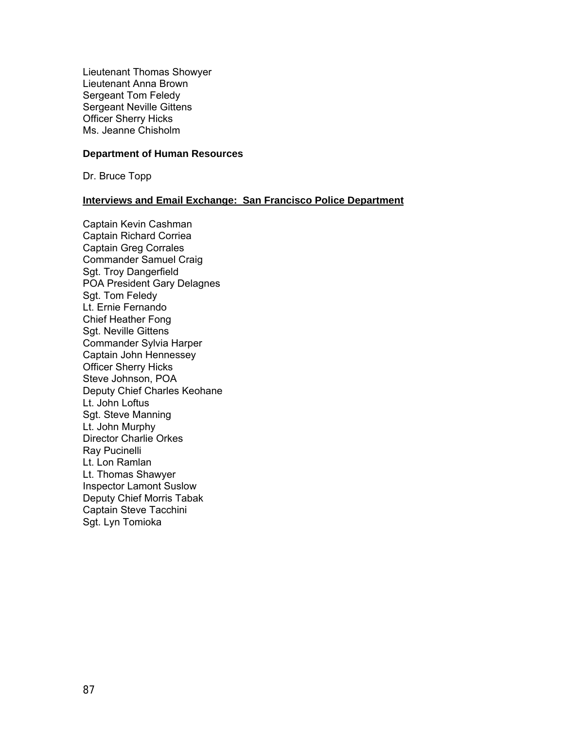Lieutenant Thomas Showyer Lieutenant Anna Brown Sergeant Tom Feledy Officer Sherry Hicks Sergeant Neville Gittens Ms. Jeanne Chisholm

#### **Department of Human Resources**

Dr. Bruce Topp

## **Interviews and Email Exchange: San Francisco Police Department**

Sgt. Neville Gittens Captain John Hennessey Deputy Chief Charles Keohane Captain Kevin Cashman Captain Richard Corriea Captain Greg Corrales Commander Samuel Craig Sgt. Troy Dangerfield POA President Gary Delagnes Sgt. Tom Feledy Lt. Ernie Fernando Chief Heather Fong Commander Sylvia Harper Officer Sherry Hicks Steve Johnson, POA Lt. John Loftus Sgt. Steve Manning Lt. John Murphy Director Charlie Orkes Ray Pucinelli Lt. Lon Ramlan Lt. Thomas Shawyer Inspector Lamont Suslow Deputy Chief Morris Tabak Captain Steve Tacchini Sgt. Lyn Tomioka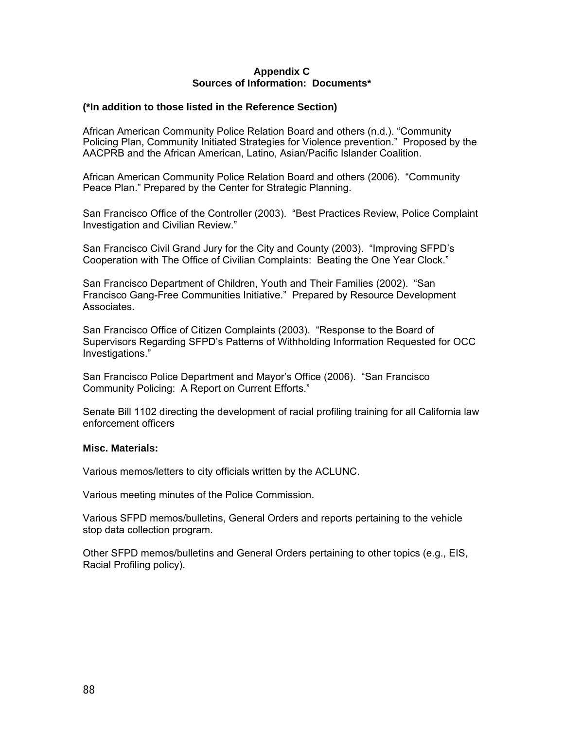## **Appendix C Sources of Information: Documents\***

## **ose listed in the Reference Section) (\*In addition to th**

African American Community Police Relation Board and others (n.d.). "Community Policing Plan, Community Initiated Strategies for Violence prevention." Proposed by the AACPRB and the African American, Latino, Asian/Pacific Islander Coalition.

African American Community Police Relation Board and others (2006). "Community Peace Plan." Prepared by the Center for Strategic Planning.

San Francisco Office of the Controller (2003). "Best Practices Review, Police Complaint Investigation and Civilian Review."

San Francisco Civil Grand Jury for the City and County (2003). "Improving SFPD's Cooperation with The Office of Civilian Complaints: Beating the One Year Clock."

San Francisco Department of Children, Youth and Their Families (2002). "San Francisco Gang-Free Communities Initiative." Prepared by Resource Development **Associates** 

San Francisco Office of Citizen Complaints (2003). "Response to the Board of Supervisors Regarding SFPD's Patterns of Withholding Information Requested for OCC Investigations."

San Francisco Police Department and Mayor's Office (2006). "San Francisco Community Policing: A Report on Current Efforts."

Senate Bill 1102 directing the development of racial profiling training for all California law enforcement officers

## **Misc. Materials:**

Various memos/letters to city officials written by the ACLUNC.

Various meeting minutes of the Police Commission.

Various SFPD memos/bulletins, General Orders and reports pertaining to the vehicle stop data collection program.

Other SFPD memos/bulletins and General Orders pertaining to other topics (e.g., EIS, Racial Profiling policy).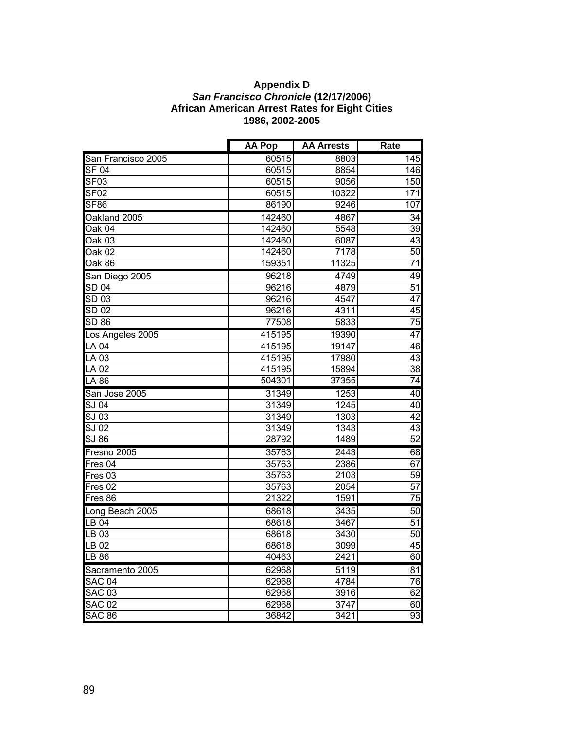#### **Appendix D**  *San Francisco Chronicle* **(12/17/2006) n American Arrest Rates for Eight Cities 1986, 2002-2005 Africa**

|                    | <b>AA Pop</b> | <b>AA Arrests</b> | Rate |
|--------------------|---------------|-------------------|------|
| San Francisco 2005 | 60515         | 8803              | 145  |
| <b>SF 04</b>       | 60515         | 8854              | 146  |
| SF <sub>03</sub>   | 60515         | 9056              | 150  |
| <b>SF02</b>        | 60515         | 10322             | 171  |
| SF <sub>86</sub>   | 86190         | 9246              | 107  |
| Oakland 2005       | 142460        | 4867              | 34   |
| Oak 04             | 142460        | 5548              | 39   |
| Oak 03             | 142460        | 6087              | 43   |
| Oak 02             | 142460        | 7178              | 50   |
| Oak 86             | 159351        | 11325             | 71   |
| San Diego 2005     | 96218         | 4749              | 49   |
| SD 04              | 96216         | 4879              | 51   |
| $SD$ 03            | 96216         | 4547              | 47   |
| SD 02              | 96216         | 4311              | 45   |
| SD 86              | 77508         | 5833              | 75   |
| Los Angeles 2005   | 415195        | 19390             | 47   |
| <b>LA 04</b>       | 415195        | 19147             | 46   |
| LA 03              | 415195        | 17980             | 43   |
| <b>LA 02</b>       | 415195        | 15894             | 38   |
| <b>LA 86</b>       | 504301        | 37355             | 74   |
| San Jose 2005      | 31349         | 1253              | 40   |
| SJ 04              | 31349         | 1245              | 40   |
| $SJ$ $03$          | 31349         | 1303              | 42   |
| SJ 02              | 31349         | 1343              | 43   |
| <b>SJ 86</b>       | 28792         | 1489              | 52   |
| Fresno 2005        | 35763         | 2443              | 68   |
| Fres <sub>04</sub> | 35763         | 2386              | 67   |
| Fres <sub>03</sub> | 35763         | $\frac{1}{2103}$  | 59   |
| Fres <sub>02</sub> | 35763         | 2054              | 57   |
| Fres 86            | 21322         | 1591              | 75   |
| Long Beach 2005    | 68618         | 3435              | 50   |
| LB 04              | 68618         | 3467              | 51   |
| LB 03              | 68618         | 3430              | 50   |
| LB 02              | 68618         | 3099              | 45   |
| <b>LB 86</b>       | 40463         | 2421              | 60   |
| Sacramento 2005    | 62968         | 5119              | 81   |
| <b>SAC 04</b>      | 62968         | 4784              | 76   |
| <b>SAC 03</b>      | 62968         | 3916              | 62   |
| <b>SAC 02</b>      | 62968         | 3747              | 60   |
| SAC 86             | 36842         | 3421              | 93   |